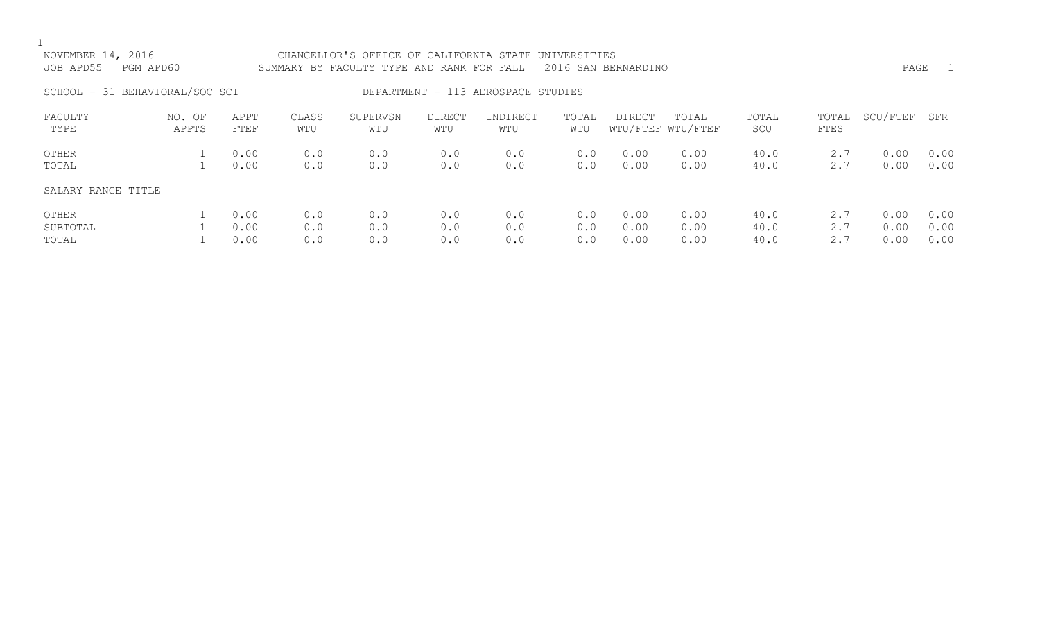| NOVEMBER 14, 2016<br>JOB APD55 | PGM APD60       |                      |                   | CHANCELLOR'S OFFICE OF CALIFORNIA STATE UNIVERSITIES<br>SUMMARY BY FACULTY TYPE AND RANK FOR FALL |                   |                                    |                   | 2016 SAN BERNARDINO  |                            |                      |                   | PAGE                 | $\overline{1}$       |
|--------------------------------|-----------------|----------------------|-------------------|---------------------------------------------------------------------------------------------------|-------------------|------------------------------------|-------------------|----------------------|----------------------------|----------------------|-------------------|----------------------|----------------------|
| SCHOOL - 31 BEHAVIORAL/SOC SCI |                 |                      |                   |                                                                                                   |                   | DEPARTMENT - 113 AEROSPACE STUDIES |                   |                      |                            |                      |                   |                      |                      |
| FACULTY<br>TYPE                | NO. OF<br>APPTS | APPT<br>FTEF         | CLASS<br>WTU      | SUPERVSN<br>WTU                                                                                   | DIRECT<br>WTU     | INDIRECT<br>WTU                    | TOTAL<br>WTU      | DIRECT               | TOTAL<br>WTU/FTEF WTU/FTEF | TOTAL<br>SCU         | TOTAL<br>FTES     | SCU/FTEF             | SFR                  |
| OTHER<br>TOTAL                 |                 | 0.00<br>0.00         | 0.0<br>0.0        | 0.0<br>0.0                                                                                        | 0.0<br>0.0        | 0.0<br>0.0                         | 0.0<br>0.0        | 0.00<br>0.00         | 0.00<br>0.00               | 40.0<br>40.0         | 2.7<br>2.7        | 0.00<br>0.00         | 0.00<br>0.00         |
| SALARY RANGE TITLE             |                 |                      |                   |                                                                                                   |                   |                                    |                   |                      |                            |                      |                   |                      |                      |
| OTHER<br>SUBTOTAL<br>TOTAL     |                 | 0.00<br>0.00<br>0.00 | 0.0<br>0.0<br>0.0 | 0.0<br>0.0<br>0.0                                                                                 | 0.0<br>0.0<br>0.0 | 0.0<br>0.0<br>0.0                  | 0.0<br>0.0<br>0.0 | 0.00<br>0.00<br>0.00 | 0.00<br>0.00<br>0.00       | 40.0<br>40.0<br>40.0 | 2.7<br>2.7<br>2.7 | 0.00<br>0.00<br>0.00 | 0.00<br>0.00<br>0.00 |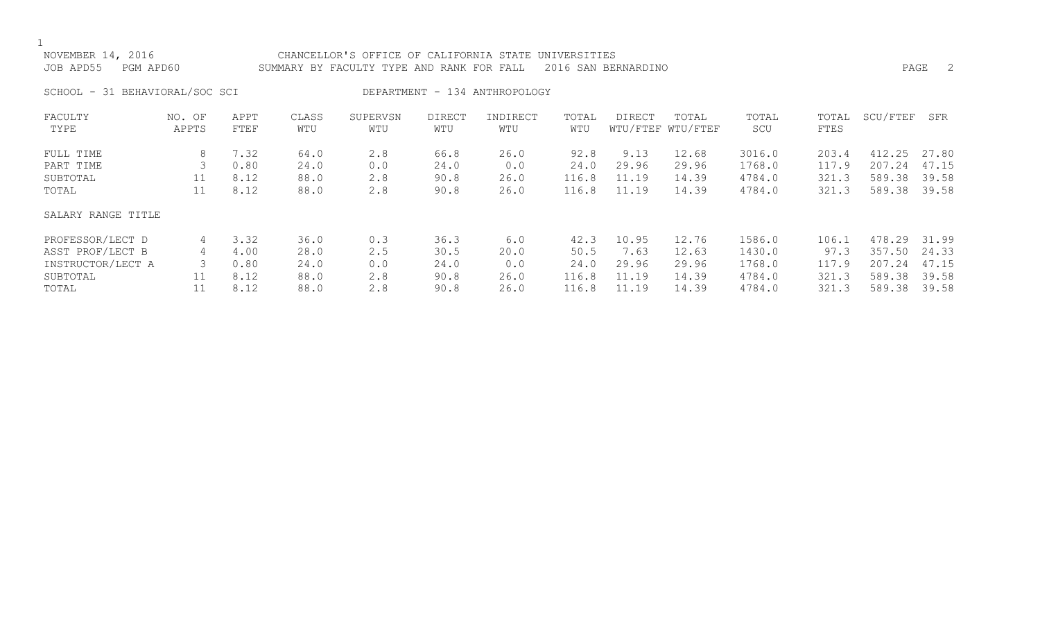| NOVEMBER<br>201 t         | CHANCELLOR'S OFFICE OF CALIFORNIA STATE UNIVERSITIES          |      |
|---------------------------|---------------------------------------------------------------|------|
| JOB APD55<br>APD60<br>PGM | SUMMARY BY FACULTY TYPE AND RANK FOR FALL 2016 SAN BERNARDINO | PAGE |

SCHOOL - 31 BEHAVIORAL/SOC SCI DEPARTMENT - 134 ANTHROPOLOGY

| FACULTY            | NO. OF | APPT | CLASS | SUPERVSN | <b>DIRECT</b> | INDIRECT | TOTAL | <b>DIRECT</b> | TOTAL             | TOTAL  | TOTAL | SCU/FTEF | SFR   |
|--------------------|--------|------|-------|----------|---------------|----------|-------|---------------|-------------------|--------|-------|----------|-------|
| TYPE               | APPTS  | FTEF | WTU   | WTU      | WTU           | WTU      | WTU   |               | WTU/FTEF WTU/FTEF | SCU    | FTES  |          |       |
| FULL TIME          | 8      | 7.32 | 64.0  | 2.8      | 66.8          | 26.0     | 92.8  | 9.13          | 12.68             | 3016.0 | 203.4 | 412.25   | 27.80 |
| PART TIME          | 3      | 0.80 | 24.0  | 0.0      | 24.0          | 0.0      | 24.0  | 29.96         | 29.96             | 1768.0 | 117.9 | 207.24   | 47.15 |
| SUBTOTAL           | 11     | 8.12 | 88.0  | 2.8      | 90.8          | 26.0     | 116.8 | 11.19         | 14.39             | 4784.0 | 321.3 | 589.38   | 39.58 |
| TOTAL              | 11     | 8.12 | 88.0  | 2.8      | 90.8          | 26.0     | 116.8 | 11.19         | 14.39             | 4784.0 | 321.3 | 589.38   | 39.58 |
| SALARY RANGE TITLE |        |      |       |          |               |          |       |               |                   |        |       |          |       |
| PROFESSOR/LECT D   | 4      | 3.32 | 36.0  | 0.3      | 36.3          | 6.0      | 42.3  | 10.95         | 12.76             | 1586.0 | 106.1 | 478.29   | 31.99 |
| ASST PROF/LECT B   | 4      | 4.00 | 28.0  | 2.5      | 30.5          | 20.0     | 50.5  | 7.63          | 12.63             | 1430.0 | 97.3  | 357.50   | 24.33 |
| INSTRUCTOR/LECT A  | 3      | 0.80 | 24.0  | 0.0      | 24.0          | 0.0      | 24.0  | 29.96         | 29.96             | 1768.0 | 117.9 | 207.24   | 47.15 |
| SUBTOTAL           | 11     | 8.12 | 88.0  | 2.8      | 90.8          | 26.0     | 116.8 | 11.19         | 14.39             | 4784.0 | 321.3 | 589.38   | 39.58 |
| TOTAL              |        | 8.12 | 88.0  | 2.8      | 90.8          | 26.0     | 116.8 | 11.19         | 14.39             | 4784.0 | 321.3 | 589.38   | 39.58 |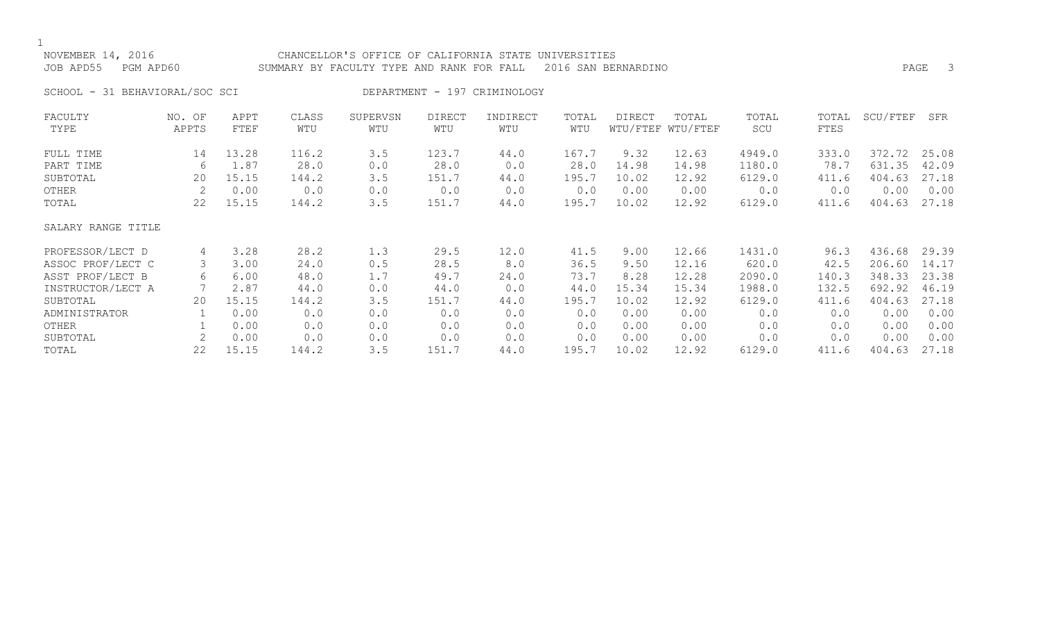### NOVEMBER 14, 2016 CHANCELLOR'S OFFICE OF CALIFORNIA STATE UNIVERSITIES JOB APD55 PGM APD60 SUMMARY BY FACULTY TYPE AND RANK FOR FALL 2016 SAN BERNARDINO

SCHOOL - 31 BEHAVIORAL/SOC SCI DEPARTMENT - 197 CRIMINOLOGY

| FACULTY            | NO. OF | APPT  | CLASS | SUPERVSN | <b>DIRECT</b> | INDIRECT | TOTAL | DIRECT | TOTAL             | TOTAL  | TOTAL | SCU/FTEF | SFR   |
|--------------------|--------|-------|-------|----------|---------------|----------|-------|--------|-------------------|--------|-------|----------|-------|
| TYPE               | APPTS  | FTEF  | WTU   | WTU      | WTU           | WTU      | WTU   |        | WTU/FTEF WTU/FTEF | SCU    | FTES  |          |       |
| FULL TIME          | 14     | 13.28 | 116.2 | 3.5      | 123.7         | 44.0     | 167.7 | 9.32   | 12.63             | 4949.0 | 333.0 | 372.72   | 25.08 |
| PART TIME          | 6      | 1.87  | 28.0  | 0.0      | 28.0          | 0.0      | 28.0  | 14.98  | 14.98             | 1180.0 | 78.7  | 631.35   | 42.09 |
| SUBTOTAL           | 20     | 15.15 | 144.2 | 3.5      | 151.7         | 44.0     | 195.7 | 10.02  | 12.92             | 6129.0 | 411.6 | 404.63   | 27.18 |
| OTHER              | 2      | 0.00  | 0.0   | 0.0      | 0.0           | 0.0      | 0.0   | 0.00   | 0.00              | 0.0    | 0.0   | 0.00     | 0.00  |
| TOTAL              | 22     | 15.15 | 144.2 | 3.5      | 151.7         | 44.0     | 195.7 | 10.02  | 12.92             | 6129.0 | 411.6 | 404.63   | 27.18 |
| SALARY RANGE TITLE |        |       |       |          |               |          |       |        |                   |        |       |          |       |
| PROFESSOR/LECT D   | 4      | 3.28  | 28.2  | 1.3      | 29.5          | 12.0     | 41.5  | 9.00   | 12.66             | 1431.0 | 96.3  | 436.68   | 29.39 |
| ASSOC PROF/LECT C  | 3      | 3.00  | 24.0  | 0.5      | 28.5          | 8.0      | 36.5  | 9.50   | 12.16             | 620.0  | 42.5  | 206.60   | 14.17 |
| ASST PROF/LECT B   | 6      | 6.00  | 48.0  | 1.7      | 49.7          | 24.0     | 73.7  | 8.28   | 12.28             | 2090.0 | 140.3 | 348.33   | 23.38 |
| INSTRUCTOR/LECT A  |        | 2.87  | 44.0  | 0.0      | 44.0          | 0.0      | 44.0  | 15.34  | 15.34             | 1988.0 | 132.5 | 692.92   | 46.19 |
| SUBTOTAL           | 20     | 15.15 | 144.2 | 3.5      | 151.7         | 44.0     | 195.7 | 10.02  | 12.92             | 6129.0 | 411.6 | 404.63   | 27.18 |
| ADMINISTRATOR      |        | 0.00  | 0.0   | 0.0      | 0.0           | 0.0      | 0.0   | 0.00   | 0.00              | 0.0    | 0.0   | 0.00     | 0.00  |
| OTHER              |        | 0.00  | 0.0   | 0.0      | 0.0           | 0.0      | 0.0   | 0.00   | 0.00              | 0.0    | 0.0   | 0.00     | 0.00  |
| SUBTOTAL           | 2      | 0.00  | 0.0   | 0.0      | 0.0           | 0.0      | 0.0   | 0.00   | 0.00              | 0.0    | 0.0   | 0.00     | 0.00  |
| TOTAL              | 22     | 15.15 | 144.2 | 3.5      | 151.7         | 44.0     | 195.7 | 10.02  | 12.92             | 6129.0 | 411.6 | 404.63   | 27.18 |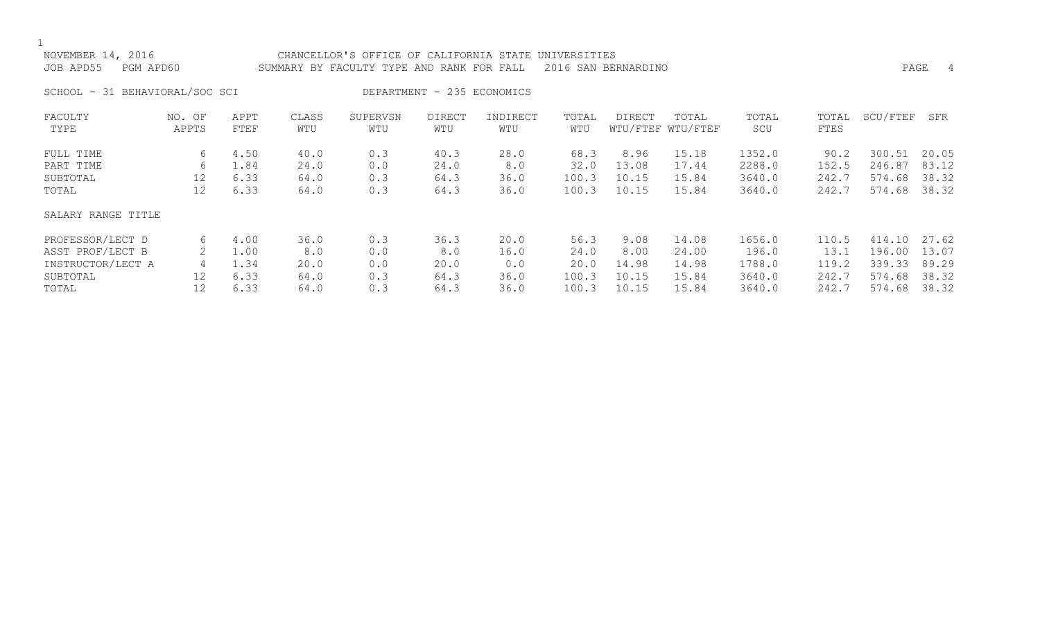| NOVEMBER 14, 2016<br>JOB APD55<br>PGM APD60 |                 |              |              | CHANCELLOR'S OFFICE OF CALIFORNIA STATE UNIVERSITIES<br>SUMMARY BY FACULTY TYPE AND RANK FOR FALL |                            |                 |              | 2016 SAN BERNARDINO |                            |              |               | PAGE     | 4     |
|---------------------------------------------|-----------------|--------------|--------------|---------------------------------------------------------------------------------------------------|----------------------------|-----------------|--------------|---------------------|----------------------------|--------------|---------------|----------|-------|
| SCHOOL - 31 BEHAVIORAL/SOC SCI              |                 |              |              |                                                                                                   | DEPARTMENT - 235 ECONOMICS |                 |              |                     |                            |              |               |          |       |
| FACULTY<br>TYPE                             | NO. OF<br>APPTS | APPT<br>FTEF | CLASS<br>WTU | SUPERVSN<br>WTU                                                                                   | <b>DIRECT</b><br>WTU       | INDIRECT<br>WTU | TOTAL<br>WTU | <b>DIRECT</b>       | TOTAL<br>WTU/FTEF WTU/FTEF | TOTAL<br>SCU | TOTAL<br>FTES | SCU/FTEF | SFR   |
| FULL TIME                                   | 6               | 4.50         | 40.0         | 0.3                                                                                               | 40.3                       | 28.0            | 68.3         | 8.96                | 15.18                      | 1352.0       | 90.2          | 300.51   | 20.05 |
| PART TIME                                   | 6               | 1.84         | 24.0         | 0.0                                                                                               | 24.0                       | 8.0             | 32.0         | 13.08               | 17.44                      | 2288.0       | 152.5         | 246.87   | 83.12 |
| SUBTOTAL                                    | 12              | 6.33         | 64.0         | 0.3                                                                                               | 64.3                       | 36.0            | 100.3        | 10.15               | 15.84                      | 3640.0       | 242.7         | 574.68   | 38.32 |
| TOTAL                                       | 12              | 6.33         | 64.0         | 0.3                                                                                               | 64.3                       | 36.0            | 100.3        | 10.15               | 15.84                      | 3640.0       | 242.7         | 574.68   | 38.32 |
| SALARY RANGE TITLE                          |                 |              |              |                                                                                                   |                            |                 |              |                     |                            |              |               |          |       |
| PROFESSOR/LECT D                            | 6               | 4.00         | 36.0         | 0.3                                                                                               | 36.3                       | 20.0            | 56.3         | 9.08                | 14.08                      | 1656.0       | 110.5         | 414.10   | 27.62 |
| ASST PROF/LECT B                            | 2               | 1.00         | 8.0          | 0.0                                                                                               | 8.0                        | 16.0            | 24.0         | 8.00                | 24.00                      | 196.0        | 13.1          | 196.00   | 13.07 |
| INSTRUCTOR/LECT A                           | 4               | 1.34         | 20.0         | 0.0                                                                                               | 20.0                       | 0.0             | 20.0         | 14.98               | 14.98                      | 1788.0       | 119.2         | 339.33   | 89.29 |

SUBTOTAL 12 6.33 64.0 0.3 64.3 36.0 100.3 10.15 15.84 3640.0 242.7 574.68 38.32 TOTAL 12 6.33 64.0 0.3 64.3 36.0 100.3 10.15 15.84 3640.0 242.7 574.68 38.32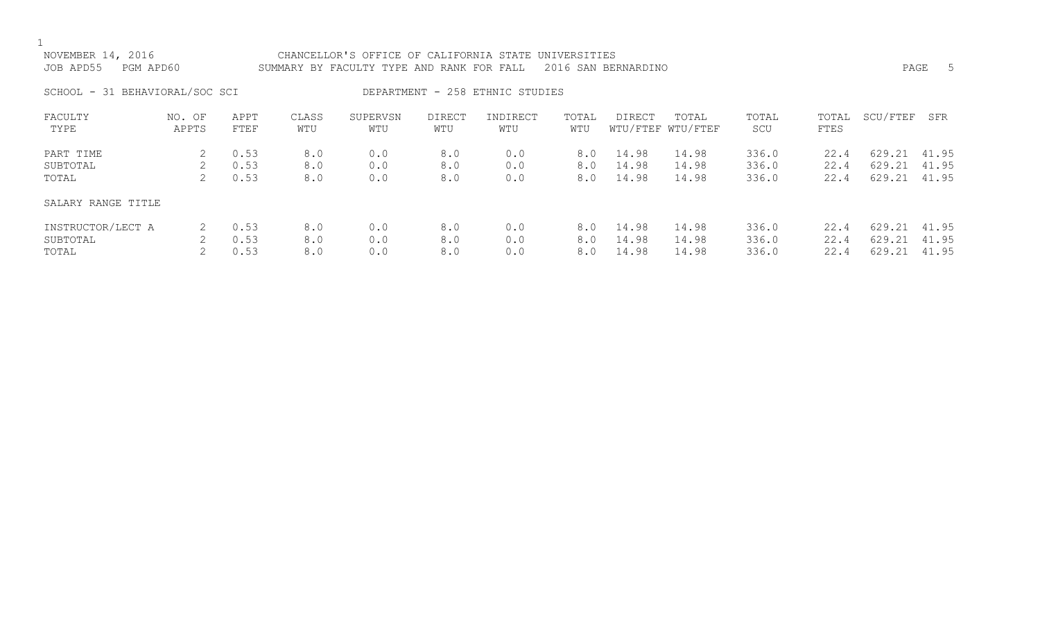| NOVEMBER 14, 2016<br>JOB APD55<br>PGM APD60 |                 |              |              | CHANCELLOR'S OFFICE OF CALIFORNIA STATE UNIVERSITIES<br>SUMMARY BY FACULTY TYPE AND RANK FOR FALL |                      |                                 |              | 2016 SAN BERNARDINO |                            |                |               |                  | -5<br>PAGE     |
|---------------------------------------------|-----------------|--------------|--------------|---------------------------------------------------------------------------------------------------|----------------------|---------------------------------|--------------|---------------------|----------------------------|----------------|---------------|------------------|----------------|
| SCHOOL - 31 BEHAVIORAL/SOC SCI              |                 |              |              |                                                                                                   |                      | DEPARTMENT - 258 ETHNIC STUDIES |              |                     |                            |                |               |                  |                |
| FACULTY<br>TYPE                             | NO. OF<br>APPTS | APPT<br>FTEF | CLASS<br>WTU | SUPERVSN<br>WTU                                                                                   | <b>DIRECT</b><br>WTU | INDIRECT<br>WTU                 | TOTAL<br>WTU | DIRECT              | TOTAL<br>WTU/FTEF WTU/FTEF | TOTAL<br>SCU   | TOTAL<br>FTES | SCU/FTEF         | SFR            |
| PART TIME                                   | 2               | 0.53         | 8.0          | 0.0                                                                                               | 8.0                  | 0.0                             | 8.0          | 14.98               | 14.98                      | 336.0          | 22.4          | 629.21           | 41.95          |
| SUBTOTAL<br>TOTAL                           | 2               | 0.53<br>0.53 | 8.0<br>8.0   | 0.0<br>0.0                                                                                        | 8.0<br>8.0           | 0.0<br>0.0                      | 8.0<br>8.0   | 14.98<br>14.98      | 14.98<br>14.98             | 336.0<br>336.0 | 22.4<br>22.4  | 629.21<br>629.21 | 41.95<br>41.95 |
| SALARY RANGE TITLE                          |                 |              |              |                                                                                                   |                      |                                 |              |                     |                            |                |               |                  |                |
| INSTRUCTOR/LECT A                           | 2               | 0.53         | 8.0          | 0.0                                                                                               | 8.0                  | 0.0                             | 8.0          | 14.98               | 14.98                      | 336.0          | 22.4          | 629.21           | 41.95          |
| SUBTOTAL                                    | 2               | 0.53         | 8.0          | 0.0                                                                                               | 8.0                  | 0.0                             | 8.0          | 14.98               | 14.98                      | 336.0          | 22.4          | 629.21           | 41.95          |
| TOTAL                                       |                 | 0.53         | 8.0          | 0.0                                                                                               | 8.0                  | 0.0                             | 8.0          | 14.98               | 14.98                      | 336.0          | 22.4          | 629.21           | 41.95          |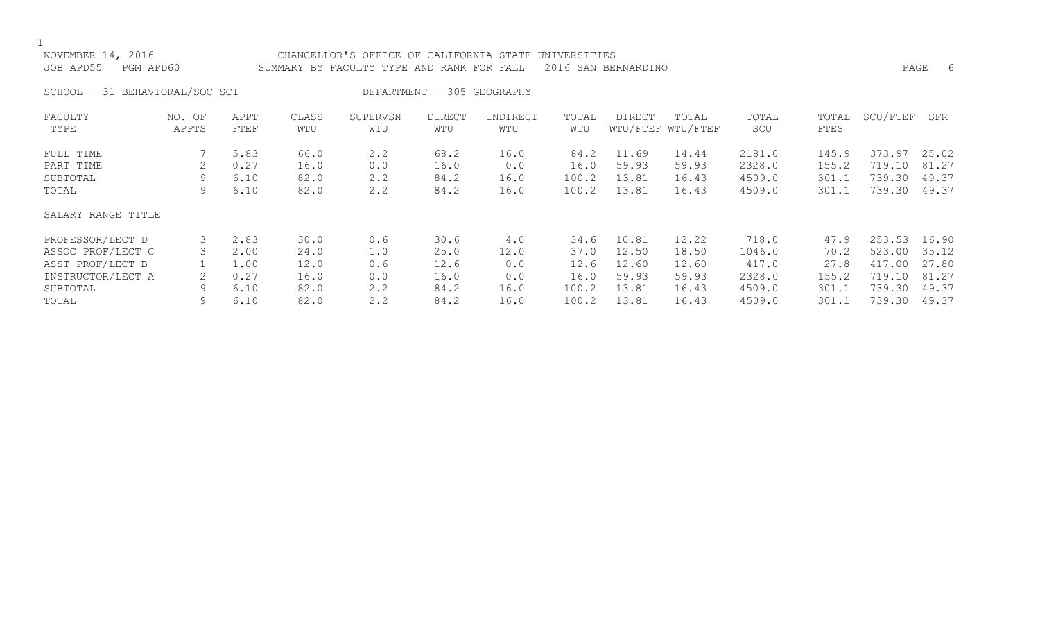| NOVEMBER 14, 2016<br>JOB APD55 PGM APD60 | CHANCELLOR'S OFFICE OF CALIFORNIA STATE UNIVERSITIES<br>SUMMARY BY FACULTY TYPE AND RANK FOR FALL 2016 SAN BERNARDINO | PAGE |  |
|------------------------------------------|-----------------------------------------------------------------------------------------------------------------------|------|--|
| SCHOOL - 31 BEHAVIORAL/SOC SCI           | DEPARTMENT - 305 GEOGRAPHY                                                                                            |      |  |

| FACULTY<br>TYPE    | NO. OF<br>APPTS | APPT<br>FTEF | CLASS<br>WTU | SUPERVSN<br>WTU | DIRECT<br>WTU | INDIRECT<br>WTU | TOTAL<br>WTU | DIRECT | TOTAL<br>WTU/FTEF WTU/FTEF | TOTAL<br>SCU | TOTAL<br>FTES | SCU/FTEF | SFR   |
|--------------------|-----------------|--------------|--------------|-----------------|---------------|-----------------|--------------|--------|----------------------------|--------------|---------------|----------|-------|
| FULL TIME          |                 | 5.83         | 66.0         | 2.2             | 68.2          | 16.0            | 84.2         | 11.69  | 14.44                      | 2181.0       | 145.9         | 373.97   | 25.02 |
| PART TIME          |                 | 0.27         | 16.0         | 0.0             | 16.0          | 0.0             | 16.0         | 59.93  | 59.93                      | 2328.0       | 155.2         | 719.10   | 81.27 |
| SUBTOTAL           | 9               | 6.10         | 82.0         | 2.2             | 84.2          | 16.0            | 100.2        | 13.81  | 16.43                      | 4509.0       | 301.1         | 739.30   | 49.37 |
| TOTAL              | 9               | 6.10         | 82.0         | 2.2             | 84.2          | 16.0            | 100.2        | 13.81  | 16.43                      | 4509.0       | 301.1         | 739.30   | 49.37 |
| SALARY RANGE TITLE |                 |              |              |                 |               |                 |              |        |                            |              |               |          |       |
| PROFESSOR/LECT D   |                 | 2.83         | 30.0         | 0.6             | 30.6          | 4.0             | 34.6         | 10.81  | 12.22                      | 718.0        | 47.9          | 253.53   | 16.90 |
| ASSOC PROF/LECT C  |                 | 2.00         | 24.0         | 1.0             | 25.0          | 12.0            | 37.0         | 12.50  | 18.50                      | 1046.0       | 70.2          | 523.00   | 35.12 |
| ASST PROF/LECT B   |                 | 1.00         | 12.0         | 0.6             | 12.6          | 0.0             | 12.6         | 12.60  | 12.60                      | 417.0        | 27.8          | 417.00   | 27.80 |
| INSTRUCTOR/LECT A  |                 | 0.27         | 16.0         | 0.0             | 16.0          | 0.0             | 16.0         | 59.93  | 59.93                      | 2328.0       | 155.2         | 719.10   | 81.27 |
| SUBTOTAL           | 9               | 6.10         | 82.0         | 2.2             | 84.2          | 16.0            | 100.2        | 13.81  | 16.43                      | 4509.0       | 301.1         | 739.30   | 49.37 |
| TOTAL              | 9               | 6.10         | 82.0         | 2.2             | 84.2          | 16.0            | 100.2        | 13.81  | 16.43                      | 4509.0       | 301.1         | 739.30   | 49.37 |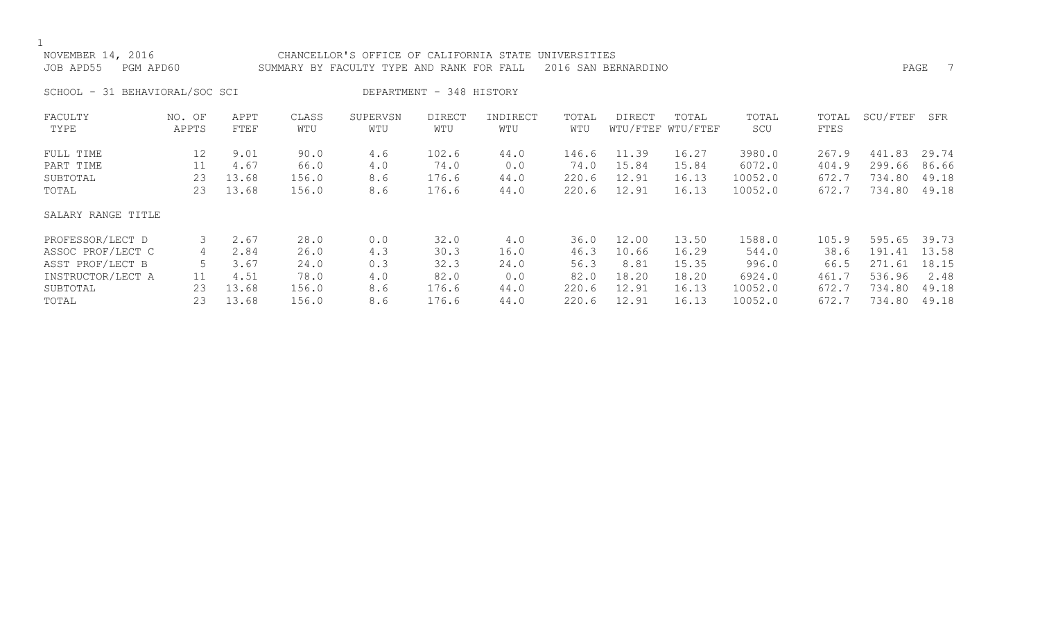| NOVEMBER 14, 2016<br>JOB APD55<br>PGM APD60 |                 | CHANCELLOR'S OFFICE OF CALIFORNIA STATE UNIVERSITIES<br>SUMMARY BY FACULTY TYPE AND RANK FOR FALL |              |                 |                          | 2016 SAN BERNARDINO |              |               |                            |              | - 7<br>PAGE   |          |       |
|---------------------------------------------|-----------------|---------------------------------------------------------------------------------------------------|--------------|-----------------|--------------------------|---------------------|--------------|---------------|----------------------------|--------------|---------------|----------|-------|
| SCHOOL - 31 BEHAVIORAL/SOC SCI              |                 |                                                                                                   |              |                 | DEPARTMENT - 348 HISTORY |                     |              |               |                            |              |               |          |       |
| FACULTY<br>TYPE                             | NO. OF<br>APPTS | APPT<br>FTEF                                                                                      | CLASS<br>WTU | SUPERVSN<br>WTU | <b>DIRECT</b><br>WTU     | INDIRECT<br>WTU     | TOTAL<br>WTU | <b>DIRECT</b> | TOTAL<br>WTU/FTEF WTU/FTEF | TOTAL<br>SCU | TOTAL<br>FTES | SCU/FTEF | SFR   |
| FULL TIME                                   | 12              | 9.01                                                                                              | 90.0         | 4.6             | 102.6                    | 44.0                | 146.6        | 11.39         | 16.27                      | 3980.0       | 267.9         | 441.83   | 29.74 |
| PART TIME                                   | 11              | 4.67                                                                                              | 66.0         | 4.0             | 74.0                     | 0.0                 | 74.0         | 15.84         | 15.84                      | 6072.0       | 404.9         | 299.66   | 86.66 |
| SUBTOTAL                                    | 23              | 13.68                                                                                             | 156.0        | 8.6             | 176.6                    | 44.0                | 220.6        | 12.91         | 16.13                      | 10052.0      | 672.7         | 734.80   | 49.18 |
| TOTAL                                       | 23              | 13.68                                                                                             | 156.0        | 8.6             | 176.6                    | 44.0                | 220.6        | 12.91         | 16.13                      | 10052.0      | 672.7         | 734.80   | 49.18 |
| SALARY RANGE TITLE                          |                 |                                                                                                   |              |                 |                          |                     |              |               |                            |              |               |          |       |
| PROFESSOR/LECT D                            | 3               | 2.67                                                                                              | 28.0         | 0.0             | 32.0                     | 4.0                 | 36.0         | 12.00         | 13.50                      | 1588.0       | 105.9         | 595.65   | 39.73 |
| ASSOC PROF/LECT C                           | 4               | 2.84                                                                                              | 26.0         | 4.3             | 30.3                     | 16.0                | 46.3         | 10.66         | 16.29                      | 544.0        | 38.6          | 191.41   | 13.58 |
| ASST PROF/LECT B                            | 5               | 3.67                                                                                              | 24.0         | 0.3             | 32.3                     | 24.0                | 56.3         | 8.81          | 15.35                      | 996.0        | 66.5          | 271.61   | 18.15 |
| INSTRUCTOR/LECT A                           | 11              | 4.51                                                                                              | 78.0         | 4.0             | 82.0                     | 0.0                 | 82.0         | 18.20         | 18.20                      | 6924.0       | 461.7         | 536.96   | 2.48  |
| SUBTOTAL                                    | 23              | 13.68                                                                                             | 156.0        | 8.6             | 176.6                    | 44.0                | 220.6        | 12.91         | 16.13                      | 10052.0      | 672.7         | 734.80   | 49.18 |
| TOTAL                                       | 23              | 13.68                                                                                             | 156.0        | 8.6             | 176.6                    | 44.0                | 220.6        | 12.91         | 16.13                      | 10052.0      | 672.7         | 734.80   | 49.18 |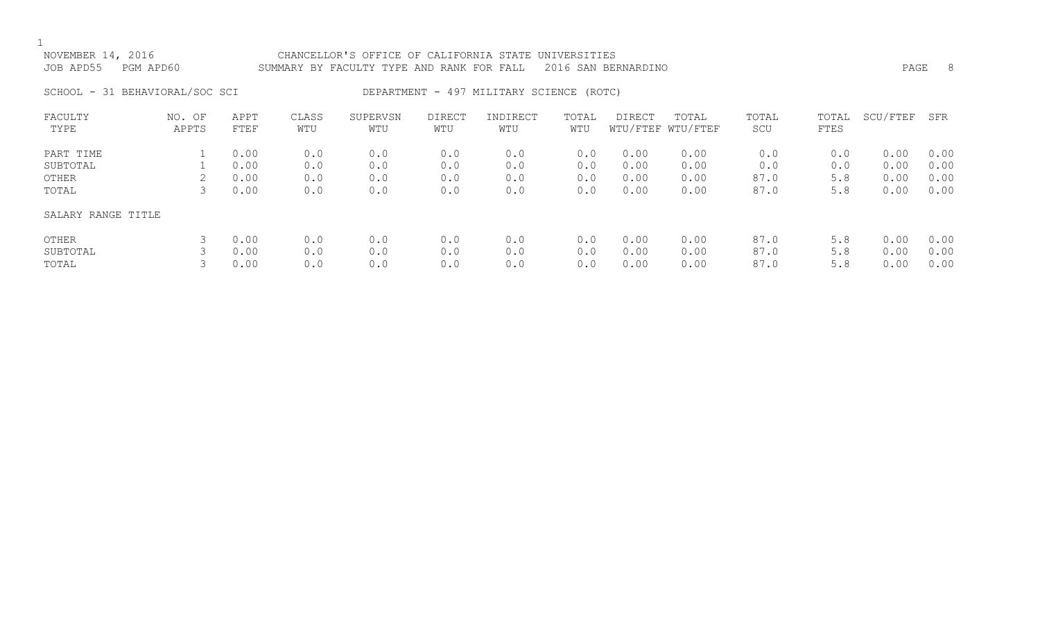## NOVEMBER 14, 2016 CHANCELLOR'S OFFICE OF CALIFORNIA STATE UNIVERSITIES JOB APD55 PGM APD60 SUMMARY BY FACULTY TYPE AND RANK FOR FALL 2016 SAN BERNARDINO

SCHOOL - 31 BEHAVIORAL/SOC SCI DEPARTMENT - 497 MILITARY SCIENCE (ROTC)

| FACULTY            | OF<br>NO. | APPT | CLASS | SUPERVSN | <b>DIRECT</b> | INDIRECT | TOTAL | <b>DIRECT</b> | TOTAL             | TOTAL | TOTAL | SCU/FTEF | SFR  |
|--------------------|-----------|------|-------|----------|---------------|----------|-------|---------------|-------------------|-------|-------|----------|------|
| TYPE               | APPTS     | FTEF | WTU   | WTU      | WTU           | WTU      | WTU   |               | WTU/FTEF WTU/FTEF | SCU   | FTES  |          |      |
| PART TIME          |           | 0.00 | 0.0   | 0.0      | 0.0           | 0.0      | 0.0   | 0.00          | 0.00              | 0.0   | 0.0   | 0.00     | 0.00 |
| SUBTOTAL           |           | 0.00 | 0.0   | 0.0      | 0.0           | 0.0      | 0.0   | 0.00          | 0.00              | 0.0   | 0.0   | 0.00     | 0.00 |
| OTHER              |           | 0.00 | 0.0   | 0.0      | 0.0           | 0.0      | 0.0   | 0.00          | 0.00              | 87.0  | 5.8   | 0.00     | 0.00 |
| TOTAL              |           | 0.00 | 0.0   | 0.0      | 0.0           | 0.0      | 0.0   | 0.00          | 0.00              | 87.0  | 5.8   | 0.00     | 0.00 |
| SALARY RANGE TITLE |           |      |       |          |               |          |       |               |                   |       |       |          |      |
| OTHER              |           | 0.00 | 0.0   | 0.0      | 0.0           | 0.0      | 0.0   | 0.00          | 0.00              | 87.0  | 5.8   | 0.00     | 0.00 |
| SUBTOTAL           |           | 0.00 | 0.0   | 0.0      | 0.0           | 0.0      | 0.0   | 0.00          | 0.00              | 87.0  | 5.8   | 0.00     | 0.00 |
| TOTAL              |           | 0.00 | 0.0   | 0.0      | 0.0           | 0.0      | 0.0   | 0.00          | 0.00              | 87.0  | 5.8   | 0.00     | 0.00 |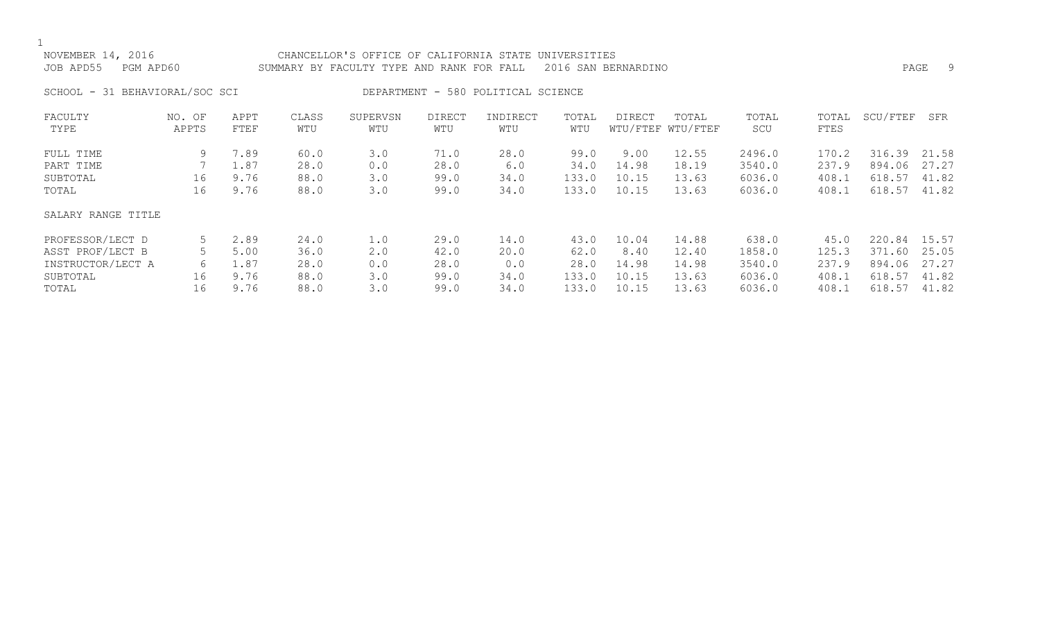| NOVEMBER 14, 2016<br>PGM APD60<br>JOB APD55 |                 |                              |                              | CHANCELLOR'S OFFICE OF CALIFORNIA STATE UNIVERSITIES<br>SUMMARY BY FACULTY TYPE AND RANK FOR FALL |                              |                                    |                                | 2016 SAN BERNARDINO             |                                  |                                      |                                  | PAGE                                       | -9                      |
|---------------------------------------------|-----------------|------------------------------|------------------------------|---------------------------------------------------------------------------------------------------|------------------------------|------------------------------------|--------------------------------|---------------------------------|----------------------------------|--------------------------------------|----------------------------------|--------------------------------------------|-------------------------|
| SCHOOL - 31 BEHAVIORAL/SOC SCI              |                 |                              |                              |                                                                                                   |                              | DEPARTMENT - 580 POLITICAL SCIENCE |                                |                                 |                                  |                                      |                                  |                                            |                         |
| FACULTY<br>TYPE                             | NO. OF<br>APPTS | APPT<br>FTEF                 | CLASS<br>WTU                 | SUPERVSN<br>WTU                                                                                   | DIRECT<br>WTU                | INDIRECT<br>WTU                    | TOTAL<br>WTU                   | DIRECT                          | TOTAL<br>WTU/FTEF WTU/FTEF       | TOTAL<br>SCU                         | TOTAL<br>FTES                    | SCU/FTEF                                   | SFR                     |
| FULL TIME<br>PART TIME<br>SUBTOTAL<br>TOTAL | 9<br>16<br>16   | 7.89<br>1.87<br>9.76<br>9.76 | 60.0<br>28.0<br>88.0<br>88.0 | 3.0<br>0.0<br>3.0<br>3.0                                                                          | 71.0<br>28.0<br>99.0<br>99.0 | 28.0<br>6.0<br>34.0<br>34.0        | 99.0<br>34.0<br>133.0<br>133.0 | 9.00<br>14.98<br>10.15<br>10.15 | 12.55<br>18.19<br>13.63<br>13.63 | 2496.0<br>3540.0<br>6036.0<br>6036.0 | 170.2<br>237.9<br>408.1<br>408.1 | 316.39 21.58<br>894.06<br>618.57<br>618.57 | 27.27<br>41.82<br>41.82 |
| SALARY RANGE TITLE                          |                 |                              |                              |                                                                                                   |                              |                                    |                                |                                 |                                  |                                      |                                  |                                            |                         |

| PROFESSOR/LECT D                      |     | 2.89         | 24.0         |            | 29.0         | ⊥4.0 | 43.0         | 10.04         | 14.88          | 638.0            | 45.0           | 220.84                       | 15.57 |
|---------------------------------------|-----|--------------|--------------|------------|--------------|------|--------------|---------------|----------------|------------------|----------------|------------------------------|-------|
| ASST PROF/LECT B<br>INSTRUCTOR/LECT A |     | 5.00<br>1.87 | 36.0<br>28.0 | 2.0<br>0.0 | 42.0<br>28.0 | 20.0 | 62.0<br>28.0 | 8.40<br>14.98 | 12.40<br>14.98 | 1858.0<br>3540.0 | 125.3<br>237.9 | 371.60 25.05<br>894.06 27.27 |       |
| SUBTOTAL                              | ⊥6. | 9.76         | 88.0         | 3.0        | 99.0         | 34.0 | 133.0        | 10.15         | 13.63          | 6036.0           | 408.1          | 618.57                       | 41.82 |
| TOTAL                                 | ⊥6. | 9.76         | 88.0         | 3.0        | 99.0         | 34.0 | 133.0        | 10.15         | 13.63          | 6036.0           | 408.1          | 618.57                       | 41.82 |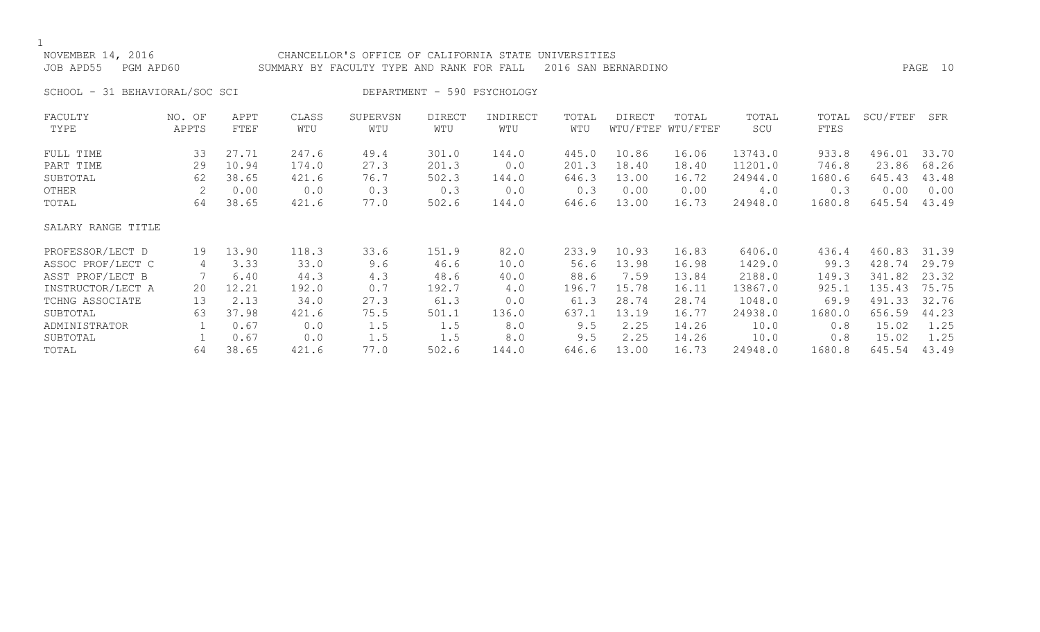| NOVEMBER 14, 2016<br>JOB APD55<br>PGM APD60 |                 |                         |                         | CHANCELLOR'S OFFICE OF CALIFORNIA STATE UNIVERSITIES<br>SUMMARY BY FACULTY TYPE AND RANK FOR FALL |                         |                             |                         | 2016 SAN BERNARDINO                                               |                            |                               |                          |                                 | PAGE 10        |
|---------------------------------------------|-----------------|-------------------------|-------------------------|---------------------------------------------------------------------------------------------------|-------------------------|-----------------------------|-------------------------|-------------------------------------------------------------------|----------------------------|-------------------------------|--------------------------|---------------------------------|----------------|
| SCHOOL - 31 BEHAVIORAL/SOC SCI              |                 |                         |                         |                                                                                                   |                         | DEPARTMENT - 590 PSYCHOLOGY |                         |                                                                   |                            |                               |                          |                                 |                |
| FACULTY<br>TYPE                             | NO. OF<br>APPTS | APPT<br>FTEF            | CLASS<br>WTU            | SUPERVSN<br>WTU                                                                                   | <b>DIRECT</b><br>WTU    | INDIRECT<br>WTU             | TOTAL<br>WTU            | <b>DIRECT</b>                                                     | TOTAL<br>WTU/FTEF WTU/FTEF | TOTAL<br>SCU                  | TOTAL<br>FTES            | SCU/FTEF                        | SFR            |
| FULL TIME<br>PART TIME<br>SUBTOTAL          | 33<br>29<br>62  | 27.71<br>10.94<br>38.65 | 247.6<br>174.0<br>421.6 | 49.4<br>27.3<br>76.7                                                                              | 301.0<br>201.3<br>502.3 | 144.0<br>0.0<br>144.0       | 445.0<br>201.3<br>646.3 | 10.86<br>18.40<br>13.00                                           | 16.06<br>18.40<br>16.72    | 13743.0<br>11201.0<br>24944.0 | 933.8<br>746.8<br>1680.6 | 496.01 33.70<br>23.86<br>645.43 | 68.26<br>43.48 |
| OTHER<br>TOTAL                              | 64              | 0.00<br>38.65           | 0.0<br>421.6            | 0.3<br>77.0                                                                                       | 0.3<br>502.6            | 0.0<br>144.0                | 0.3<br>646.6            | 0.00<br>13.00                                                     | 0.00<br>16.73              | 4.0<br>24948.0                | 0.3<br>1680.8            | 0.00<br>645.54                  | 0.00<br>43.49  |
| SALARY RANGE TITLE                          |                 |                         |                         |                                                                                                   |                         |                             |                         |                                                                   |                            |                               |                          |                                 |                |
| BBARBAGAD (IBAB B.                          |                 | 10110                   | 1100                    | $\cap$ $\cap$                                                                                     | $1$ $-1$ $\sim$         | $\cap$ $\cap$               |                         | $\begin{array}{ccc} \sim & \sim & \sim & \sim & \sim \end{array}$ | $\sim$ $\sim$ $\sim$       | $\sim$ $\sim$ $\sim$ $\sim$   |                          | 1221 1222                       | 2120           |

| PROFESSOR/LECT D  | 19. | 13.90 | 118.3 | 33.6 | ⊥51.9 | 82.0  | 233.9 | 10.93 | 16.83 | 6406.0  | 436.4  | 460.83 31.39 |       |
|-------------------|-----|-------|-------|------|-------|-------|-------|-------|-------|---------|--------|--------------|-------|
| ASSOC PROF/LECT C |     | 3.33  | 33.0  | 9.6  | 46.6  | 10.0  | 56.6  | 13.98 | 16.98 | 1429.0  | 99.3   | 428.74       | 29.79 |
| ASST PROF/LECT B  |     | 6.40  | 44.3  | 4.3  | 48.6  | 40.0  | 88.6  | 7.59  | 13.84 | 2188.0  | 149.3  | 341.82       | 23.32 |
| INSTRUCTOR/LECT A | 20. | 12.21 | l92.0 | 0.7  | 192.7 | 4.0   | 196.7 | 15.78 | 16.11 | 13867.0 | 925.1  | 135.43       | 75.75 |
| TCHNG ASSOCIATE   | 13  | 2.13  | 34.0  | 27.3 | 61.3  | 0.0   | 61.3  | 28.74 | 28.74 | 1048.0  | 69.9   | 491.33       | 32.76 |
| SUBTOTAL          | 63  | 37.98 | 421.6 | 75.5 | 501.1 | 136.0 | 637.  | .3.19 | 16.77 | 24938.0 | 1680.0 | 656.59       | 44.23 |
| ADMINISTRATOR     |     | 0.67  | 0.0   | t.5  | 1.5   | 8.0   | 9.5   | 2.25  | 14.26 | 10.0    | 0.8    | L5.02        | 1.25  |
| SUBTOTAL          |     | 0.67  | 0.0   | t.5  | 1.5   | 8.0   | 9.5   | 2.25  | 14.26 | 10.0    | 0.8    | 15.02        | 1.25  |
| TOTAL             | 64  | 38.65 | 421.6 | 77.0 | 502.6 | 144.0 | 646.6 | 3.00  | 16.73 | 24948.0 | 1680.8 | 645.54       | 43.49 |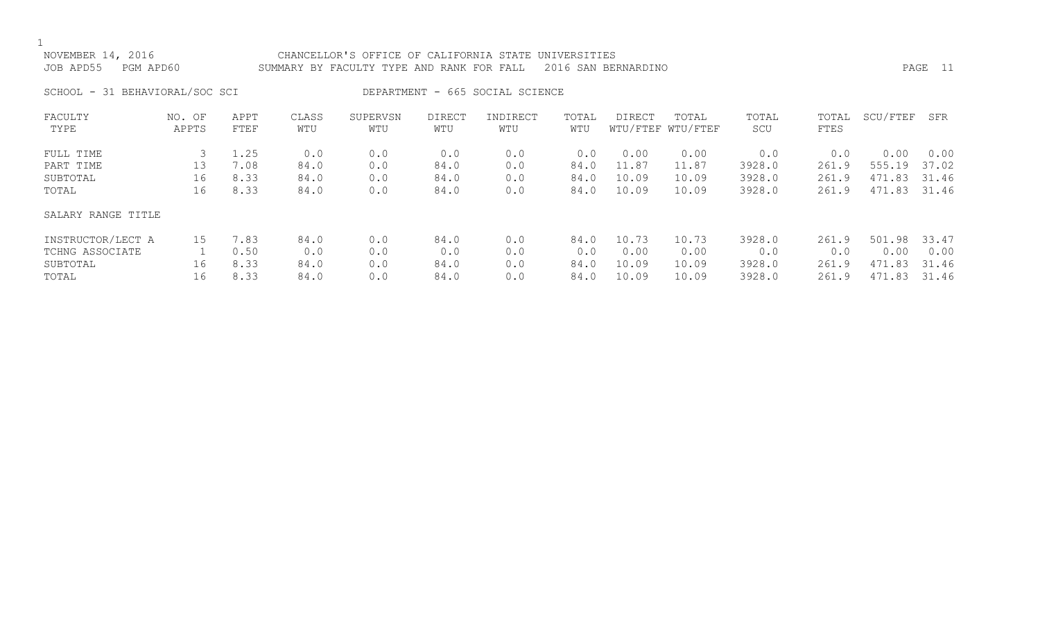## NOVEMBER 14, 2016 CHANCELLOR'S OFFICE OF CALIFORNIA STATE UNIVERSITIES JOB APD55 PGM APD60 SUMMARY BY FACULTY TYPE AND RANK FOR FALL 2016 SAN BERNARDINO PAGE 11

SCHOOL - 31 BEHAVIORAL/SOC SCI DEPARTMENT - 665 SOCIAL SCIENCE

| FACULTY            | NO. OF | APPT | CLASS | SUPERVSN | <b>DIRECT</b> | INDIRECT | TOTAL | DIRECT | TOTAL             | TOTAL  | TOTAL | SCU/FTEF | SFR   |
|--------------------|--------|------|-------|----------|---------------|----------|-------|--------|-------------------|--------|-------|----------|-------|
| TYPE               | APPTS  | FTEF | WTU   | WTU      | WTU           | WTU      | WTU   |        | WTU/FTEF WTU/FTEF | SCU    | FTES  |          |       |
| FULL TIME          |        | 1.25 | 0.0   | 0.0      | 0.0           | 0.0      | 0.0   | 0.00   | 0.00              | 0.0    | 0.0   | 0.00     | 0.00  |
| PART TIME          | 13     | 7.08 | 84.0  | 0.0      | 84.0          | 0.0      | 84.0  | 11.87  | 11.87             | 3928.0 | 261.9 | 555.19   | 37.02 |
| SUBTOTAL           | 16     | 8.33 | 84.0  | 0.0      | 84.0          | 0.0      | 84.0  | 10.09  | 10.09             | 3928.0 | 261.9 | 471.83   | 31.46 |
| TOTAL              | 16     | 8.33 | 84.0  | 0.0      | 84.0          | 0.0      | 84.0  | 10.09  | 10.09             | 3928.0 | 261.9 | 471.83   | 31.46 |
| SALARY RANGE TITLE |        |      |       |          |               |          |       |        |                   |        |       |          |       |
| INSTRUCTOR/LECT A  | 15     | 7.83 | 84.0  | 0.0      | 84.0          | 0.0      | 84.0  | 10.73  | 10.73             | 3928.0 | 261.9 | 501.98   | 33.47 |
| TCHNG ASSOCIATE    |        | 0.50 | 0.0   | 0.0      | 0.0           | 0.0      | 0.0   | 0.00   | 0.00              | 0.0    | 0.0   | 0.00     | 0.00  |
| SUBTOTAL           | 16     | 8.33 | 84.0  | 0.0      | 84.0          | 0.0      | 84.0  | 10.09  | 10.09             | 3928.0 | 261.9 | 471.83   | 31.46 |
| TOTAL              | 16     | 8.33 | 84.0  | 0.0      | 84.0          | 0.0      | 84.0  | 10.09  | 10.09             | 3928.0 | 261.9 | 471.83   | 31.46 |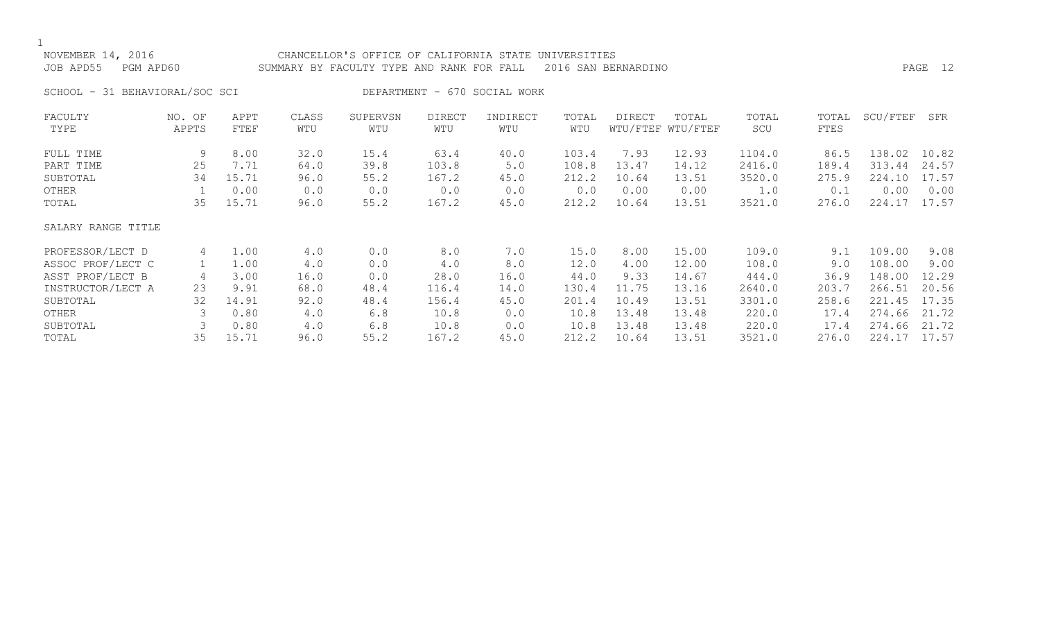## NOVEMBER 14, 2016 CHANCELLOR'S OFFICE OF CALIFORNIA STATE UNIVERSITIES

# JOB APD55 PGM APD60 SUMMARY BY FACULTY TYPE AND RANK FOR FALL 2016 SAN BERNARDINO PAGE 12

SCHOOL - 31 BEHAVIORAL/SOC SCI DEPARTMENT - 670 SOCIAL WORK

| FACULTY            | NO. OF | APPT  | CLASS | SUPERVSN | DIRECT | INDIRECT | TOTAL | DIRECT | TOTAL             | TOTAL  | TOTAL | SCU/FTEF | SFR   |
|--------------------|--------|-------|-------|----------|--------|----------|-------|--------|-------------------|--------|-------|----------|-------|
| TYPE               | APPTS  | FTEF  | WTU   | WTU      | WTU    | WTU      | WTU   |        | WTU/FTEF WTU/FTEF | SCU    | FTES  |          |       |
| FULL TIME          | 9      | 8.00  | 32.0  | 15.4     | 63.4   | 40.0     | 103.4 | 7.93   | 12.93             | 1104.0 | 86.5  | 138.02   | 10.82 |
| PART TIME          | 25     | 7.71  | 64.0  | 39.8     | 103.8  | 5.0      | 108.8 | 13.47  | 14.12             | 2416.0 | 189.4 | 313.44   | 24.57 |
| SUBTOTAL           | 34     | 15.71 | 96.0  | 55.2     | 167.2  | 45.0     | 212.2 | 10.64  | 13.51             | 3520.0 | 275.9 | 224.10   | 17.57 |
| OTHER              |        | 0.00  | 0.0   | 0.0      | 0.0    | 0.0      | 0.0   | 0.00   | 0.00              | 1.0    | 0.1   | 0.00     | 0.00  |
| TOTAL              | 35     | 15.71 | 96.0  | 55.2     | 167.2  | 45.0     | 212.2 | 10.64  | 13.51             | 3521.0 | 276.0 | 224.17   | 17.57 |
| SALARY RANGE TITLE |        |       |       |          |        |          |       |        |                   |        |       |          |       |
| PROFESSOR/LECT D   | 4      | 1.00  | 4.0   | 0.0      | 8.0    | 7.0      | 15.0  | 8.00   | 15.00             | 109.0  | 9.1   | 109.00   | 9.08  |
| ASSOC PROF/LECT C  |        | 1.00  | 4.0   | 0.0      | 4.0    | 8.0      | 12.0  | 4.00   | 12.00             | 108.0  | 9.0   | 108.00   | 9.00  |
| ASST PROF/LECT B   | 4      | 3.00  | 16.0  | 0.0      | 28.0   | 16.0     | 44.0  | 9.33   | 14.67             | 444.0  | 36.9  | 148.00   | 12.29 |
| INSTRUCTOR/LECT A  | 23     | 9.91  | 68.0  | 48.4     | 116.4  | 14.0     | 130.4 | 11.75  | 13.16             | 2640.0 | 203.7 | 266.51   | 20.56 |
| SUBTOTAL           | 32     | 14.91 | 92.0  | 48.4     | 156.4  | 45.0     | 201.4 | 10.49  | 13.51             | 3301.0 | 258.6 | 221.45   | 17.35 |
| OTHER              |        | 0.80  | 4.0   | 6.8      | 10.8   | 0.0      | 10.8  | 13.48  | 13.48             | 220.0  | 17.4  | 274.66   | 21.72 |
| SUBTOTAL           |        | 0.80  | 4.0   | 6.8      | 10.8   | 0.0      | 10.8  | 13.48  | 13.48             | 220.0  | 17.4  | 274.66   | 21.72 |
| TOTAL              | 35     | 15.71 | 96.0  | 55.2     | 167.2  | 45.0     | 212.2 | 10.64  | 13.51             | 3521.0 | 276.0 | 224.17   | 17.57 |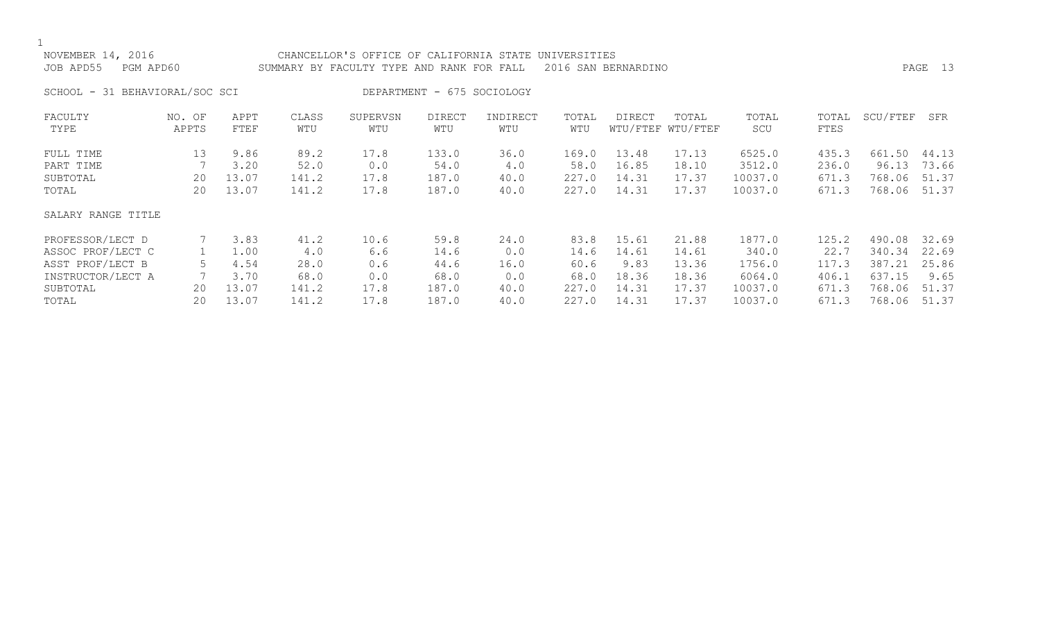| NOVEMBER 14, 2016<br>PGM APD60<br>JOB APD55 |                 |              |              | CHANCELLOR'S OFFICE OF CALIFORNIA STATE<br>SUMMARY BY FACULTY TYPE AND RANK FOR FALL |                            |                 | UNIVERSITIES | 2016 SAN BERNARDINO |                            |              |               |          | PAGE 13 |
|---------------------------------------------|-----------------|--------------|--------------|--------------------------------------------------------------------------------------|----------------------------|-----------------|--------------|---------------------|----------------------------|--------------|---------------|----------|---------|
| SCHOOL - 31 BEHAVIORAL/SOC SCI              |                 |              |              |                                                                                      | DEPARTMENT - 675 SOCIOLOGY |                 |              |                     |                            |              |               |          |         |
| FACULTY<br>TYPE                             | NO. OF<br>APPTS | APPT<br>FTEF | CLASS<br>WTU | SUPERVSN<br>WTU                                                                      | <b>DIRECT</b><br>WTU       | INDIRECT<br>WTU | TOTAL<br>WTU | DIRECT              | TOTAL<br>WTU/FTEF WTU/FTEF | TOTAL<br>SCU | TOTAL<br>FTES | SCU/FTEF | SFR     |
| FULL TIME                                   | 13              | 9.86         | 89.2         | 17.8                                                                                 | 133.0                      | 36.0            | 169.0        | 13.48               | 17.13                      | 6525.0       | 435.3         | 661.50   | 44.13   |
| PART TIME                                   |                 | 3.20         | 52.0         | 0.0                                                                                  | 54.0                       | 4.0             | 58.0         | 16.85               | 18.10                      | 3512.0       | 236.0         | 96.13    | 73.66   |
| SUBTOTAL                                    | 20              | 13.07        | 141.2        | 17.8                                                                                 | 187.0                      | 40.0            | 227.0        | 14.31               | 17.37                      | 10037.0      | 671.3         | 768.06   | 51.37   |
| TOTAL                                       | 20              | 13.07        | 141.2        | 17.8                                                                                 | 187.0                      | 40.0            | 227.0        | 14.31               | 17.37                      | 10037.0      | 671.3         | 768.06   | 51.37   |
| SALARY RANGE TITLE                          |                 |              |              |                                                                                      |                            |                 |              |                     |                            |              |               |          |         |
| PROFESSOR/LECT D                            |                 | 3.83         | 41.2         | 10.6                                                                                 | 59.8                       | 24.0            | 83.8         | 15.61               | 21.88                      | 1877.0       | 125.2         | 490.08   | 32.69   |
| ASSOC PROF/LECT C                           |                 | 1.00         | 4.0          | 6.6                                                                                  | 14.6                       | 0.0             | 14.6         | 14.61               | 14.61                      | 340.0        | 22.7          | 340.34   | 22.69   |
| ASST PROF/LECT B                            | 5.              | 4.54         | 28.0         | 0.6                                                                                  | 44.6                       | 16.0            | 60.6         | 9.83                | 13.36                      | 1756.0       | 117.3         | 387.21   | 25.86   |
| INSTRUCTOR/LECT A                           |                 | 3.70         | 68.0         | 0.0                                                                                  | 68.0                       | 0.0             | 68.0         | 18.36               | 18.36                      | 6064.0       | 406.1         | 637.15   | 9.65    |
| SUBTOTAL                                    | 20              | 13.07        | 141.2        | 17.8                                                                                 | 187.0                      | 40.0            | 227.0        | 14.31               | 17.37                      | 10037.0      | 671.3         | 768.06   | 51.37   |
| TOTAL                                       | 20              | 13.07        | 141.2        | 17.8                                                                                 | 187.0                      | 40.0            | 227.0        | 14.31               | 17.37                      | 10037.0      | 671.3         | 768.06   | 51.37   |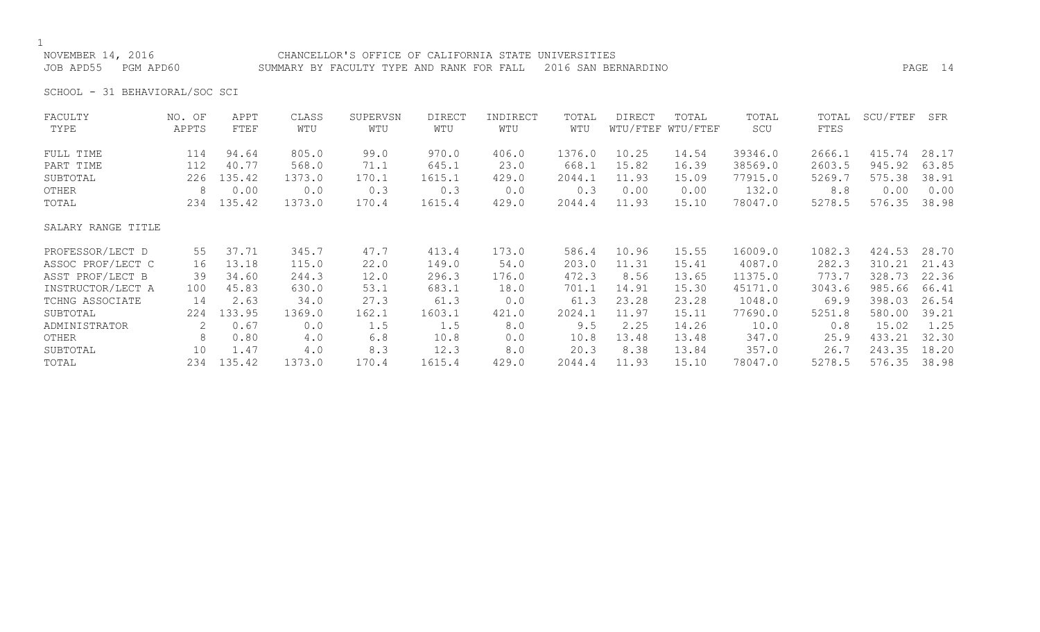NOVEMBER 14, 2016 CHANCELLOR'S OFFICE OF CALIFORNIA STATE UNIVERSITIES JOB APD55 PGM APD60 SUMMARY BY FACULTY TYPE AND RANK FOR FALL 2016 SAN BERNARDINO PAGE 14

SCHOOL - 31 BEHAVIORAL/SOC SCI

| FACULTY            | NO. OF | APPT   | CLASS  | SUPERVSN | <b>DIRECT</b> | INDIRECT | TOTAL  | DIRECT | TOTAL             | TOTAL   | TOTAL  | SCU/FTEF | SFR   |
|--------------------|--------|--------|--------|----------|---------------|----------|--------|--------|-------------------|---------|--------|----------|-------|
| TYPE               | APPTS  | FTEF   | WTU    | WTU      | WTU           | WTU      | WTU    |        | WTU/FTEF WTU/FTEF | SCU     | FTES   |          |       |
| FULL TIME          | 114    | 94.64  | 805.0  | 99.0     | 970.0         | 406.0    | 1376.0 | 10.25  | 14.54             | 39346.0 | 2666.1 | 415.74   | 28.17 |
| PART TIME          | 112    | 40.77  | 568.0  | 71.1     | 645.1         | 23.0     | 668.1  | 15.82  | 16.39             | 38569.0 | 2603.5 | 945.92   | 63.85 |
| SUBTOTAL           | 226    | 135.42 | 1373.0 | 170.1    | 1615.1        | 429.0    | 2044.1 | 11.93  | 15.09             | 77915.0 | 5269.7 | 575.38   | 38.91 |
| OTHER              | 8      | 0.00   | 0.0    | 0.3      | 0.3           | 0.0      | 0.3    | 0.00   | 0.00              | 132.0   | 8.8    | 0.00     | 0.00  |
| TOTAL              | 234    | 135.42 | 1373.0 | 170.4    | 1615.4        | 429.0    | 2044.4 | 11.93  | 15.10             | 78047.0 | 5278.5 | 576.35   | 38.98 |
| SALARY RANGE TITLE |        |        |        |          |               |          |        |        |                   |         |        |          |       |
| PROFESSOR/LECT D   | 55     | 37.71  | 345.7  | 47.7     | 413.4         | 173.0    | 586.4  | 10.96  | 15.55             | 16009.0 | 1082.3 | 424.53   | 28.70 |
| ASSOC PROF/LECT C  | 16     | 13.18  | 115.0  | 22.0     | 149.0         | 54.0     | 203.0  | 11.31  | 15.41             | 4087.0  | 282.3  | 310.21   | 21.43 |
| ASST PROF/LECT B   | 39     | 34.60  | 244.3  | 12.0     | 296.3         | 176.0    | 472.3  | 8.56   | 13.65             | 11375.0 | 773.7  | 328.73   | 22.36 |
| INSTRUCTOR/LECT A  | 100    | 45.83  | 630.0  | 53.1     | 683.1         | 18.0     | 701.1  | 14.91  | 15.30             | 45171.0 | 3043.6 | 985.66   | 66.41 |
| TCHNG ASSOCIATE    | 14     | 2.63   | 34.0   | 27.3     | 61.3          | 0.0      | 61.3   | 23.28  | 23.28             | 1048.0  | 69.9   | 398.03   | 26.54 |
| SUBTOTAL           | 224    | 133.95 | 1369.0 | 162.1    | 1603.1        | 421.0    | 2024.1 | 11.97  | 15.11             | 77690.0 | 5251.8 | 580.00   | 39.21 |
| ADMINISTRATOR      | 2      | 0.67   | 0.0    | 1.5      | 1.5           | 8.0      | 9.5    | 2.25   | 14.26             | 10.0    | 0.8    | 15.02    | 1.25  |
| OTHER              | 8      | 0.80   | 4.0    | 6.8      | 10.8          | 0.0      | 10.8   | 13.48  | 13.48             | 347.0   | 25.9   | 433.21   | 32.30 |
| SUBTOTAL           | 10     | 1.47   | 4.0    | 8.3      | 12.3          | 8.0      | 20.3   | 8.38   | 13.84             | 357.0   | 26.7   | 243.35   | 18.20 |
| TOTAL              | 234    | 135.42 | 1373.0 | 170.4    | 1615.4        | 429.0    | 2044.4 | 11.93  | 15.10             | 78047.0 | 5278.5 | 576.35   | 38.98 |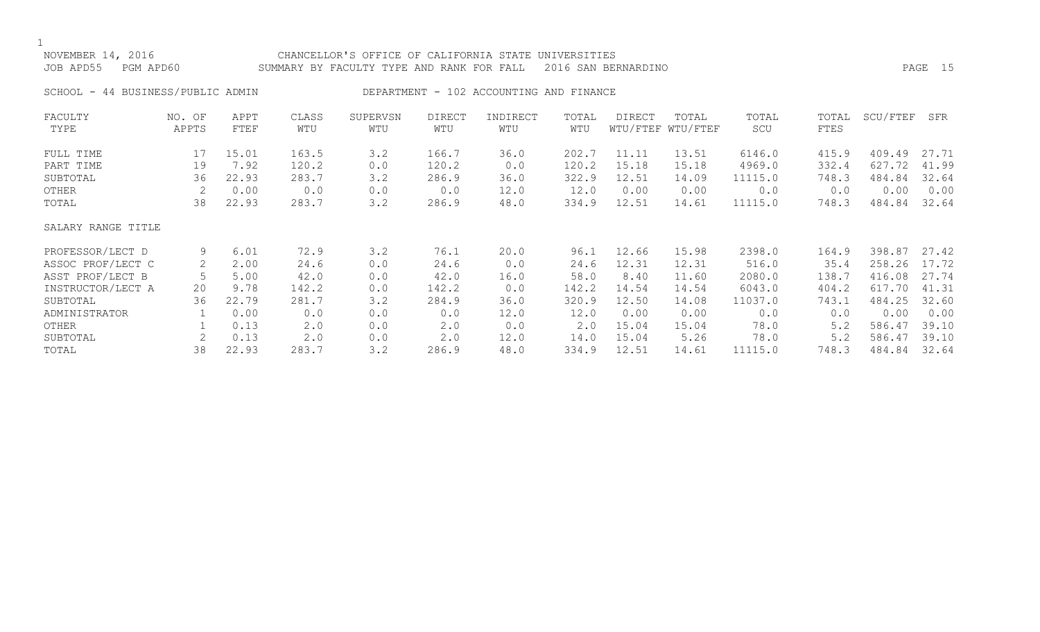| NOVEMBER 14, 2016<br>JOB APD55<br>PGM APD60 |                 |              |              | CHANCELLOR'S OFFICE OF CALIFORNIA STATE UNIVERSITIES<br>SUMMARY BY FACULTY TYPE AND RANK FOR FALL |                      |                                         |              | 2016 SAN BERNARDINO |                            |              |               |          | 15<br>PAGE |
|---------------------------------------------|-----------------|--------------|--------------|---------------------------------------------------------------------------------------------------|----------------------|-----------------------------------------|--------------|---------------------|----------------------------|--------------|---------------|----------|------------|
| SCHOOL - 44 BUSINESS/PUBLIC ADMIN           |                 |              |              |                                                                                                   |                      | DEPARTMENT - 102 ACCOUNTING AND FINANCE |              |                     |                            |              |               |          |            |
| FACULTY<br>TYPE                             | NO. OF<br>APPTS | APPT<br>FTEF | CLASS<br>WTU | SUPERVSN<br>WTU                                                                                   | <b>DIRECT</b><br>WTU | INDIRECT<br>WTU                         | TOTAL<br>WTU | <b>DIRECT</b>       | TOTAL<br>WTU/FTEF WTU/FTEF | TOTAL<br>SCU | TOTAL<br>FTES | SCU/FTEF | SFR        |
| FULL TIME                                   | 17              | 15.01        | 163.5        | 3.2                                                                                               | 166.7                | 36.0                                    | 202.7        | 11.11               | 13.51                      | 6146.0       | 415.9         | 409.49   | 27.71      |
| PART TIME                                   | 19              | 7.92         | 120.2        | 0.0                                                                                               | 120.2                | 0.0                                     | 120.2        | 15.18               | 15.18                      | 4969.0       | 332.4         | 627.72   | 41.99      |
| SUBTOTAL                                    | 36              | 22.93        | 283.7        | 3.2                                                                                               | 286.9                | 36.0                                    | 322.9        | 12.51               | 14.09                      | 11115.0      | 748.3         | 484.84   | 32.64      |
| OTHER                                       |                 | 0.00         | 0.0          | 0.0                                                                                               | 0.0                  | 12.0                                    | 12.0         | 0.00                | 0.00                       | 0.0          | 0.0           | 0.00     | 0.00       |
| TOTAL                                       | 38              | 22.93        | 283.7        | 3.2                                                                                               | 286.9                | 48.0                                    | 334.9        | 12.51               | 14.61                      | 11115.0      | 748.3         | 484.84   | 32.64      |
| SALARY RANGE TITLE                          |                 |              |              |                                                                                                   |                      |                                         |              |                     |                            |              |               |          |            |
| PROFESSOR/LECT D                            | 9               | 6.01         | 72.9         | 3.2                                                                                               | 76.1                 | 20.0                                    | 96.1         | 12.66               | 15.98                      | 2398.0       | 164.9         | 398.87   | 27.42      |
| ASSOC PROF/LECT C                           | 2               | 2.00         | 24.6         | 0.0                                                                                               | 24.6                 | 0.0                                     | 24.6         | 12.31               | 12.31                      | 516.0        | 35.4          | 258.26   | 17.72      |
| ASST PROF/LECT B                            |                 | 5.00         | 42.0         | 0.0                                                                                               | 42.0                 | 16.0                                    | 58.0         | 8.40                | 11.60                      | 2080.0       | 138.7         | 416.08   | 27.74      |
| INSTRUCTOR/LECT A                           | 20              | 9.78         | 142.2        | 0.0                                                                                               | 142.2                | 0.0                                     | 142.2        | 14.54               | 14.54                      | 6043.0       | 404.2         | 617.70   | 41.31      |
| SUBTOTAL                                    | 36              | 22.79        | 281.7        | 3.2                                                                                               | 284.9                | 36.0                                    | 320.9        | 12.50               | 14.08                      | 11037.0      | 743.1         | 484.25   | 32.60      |
| ADMINISTRATOR                               |                 | 0.00         | 0.0          | 0.0                                                                                               | 0.0                  | 12.0                                    | 12.0         | 0.00                | 0.00                       | 0.0          | 0.0           | 0.00     | 0.00       |
| OTHER                                       |                 | 0.13         | 2.0          | 0.0                                                                                               | 2.0                  | 0.0                                     | $2 \cdot 0$  | 15.04               | 15.04                      | 78.0         | 5.2           | 586.47   | 39.10      |

SUBTOTAL 2 0.13 2.0 0.0 2.0 12.0 14.0 15.04 5.26 78.0 5.2 586.47 39.10

748.3 484.84 32.64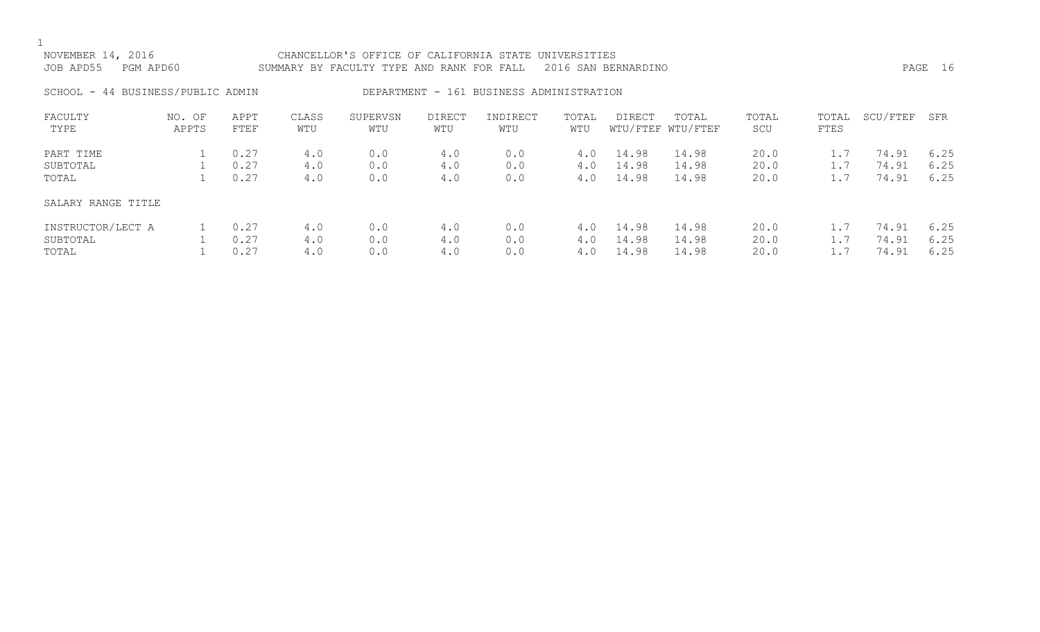| NOVEMBER 14, 2016<br>JOB APD55<br>PGM APD60 |                 |              |              | CHANCELLOR'S OFFICE OF CALIFORNIA STATE<br>SUMMARY BY FACULTY TYPE AND RANK FOR FALL |                      |                                          | UNIVERSITIES | 2016 SAN BERNARDINO |                            |              |               |          | PAGE 16 |
|---------------------------------------------|-----------------|--------------|--------------|--------------------------------------------------------------------------------------|----------------------|------------------------------------------|--------------|---------------------|----------------------------|--------------|---------------|----------|---------|
| SCHOOL - 44 BUSINESS/PUBLIC ADMIN           |                 |              |              |                                                                                      |                      | DEPARTMENT - 161 BUSINESS ADMINISTRATION |              |                     |                            |              |               |          |         |
| FACULTY<br>TYPE                             | NO. OF<br>APPTS | APPT<br>FTEF | CLASS<br>WTU | SUPERVSN<br>WTU                                                                      | <b>DIRECT</b><br>WTU | INDIRECT<br>WTU                          | TOTAL<br>WTU | <b>DIRECT</b>       | TOTAL<br>WTU/FTEF WTU/FTEF | TOTAL<br>SCU | TOTAL<br>FTES | SCU/FTEF | SFR     |
| PART TIME                                   |                 | 0.27         | 4.0          | 0.0                                                                                  | 4.0                  | 0.0                                      | 4.0          | 14.98               | 14.98                      | 20.0         | 1.7           | 74.91    | 6.25    |
| SUBTOTAL                                    |                 | 0.27         | 4.0          | 0.0                                                                                  | 4.0                  | 0.0                                      | 4.0          | 14.98               | 14.98                      | 20.0         | 1.7           | 74.91    | 6.25    |
| TOTAL                                       |                 | 0.27         | 4.0          | 0.0                                                                                  | 4.0                  | 0.0                                      | 4.0          | 14.98               | 14.98                      | 20.0         | 1.7           | 74.91    | 6.25    |
| SALARY RANGE TITLE                          |                 |              |              |                                                                                      |                      |                                          |              |                     |                            |              |               |          |         |
| INSTRUCTOR/LECT A                           |                 | 0.27         | 4.0          | 0.0                                                                                  | 4.0                  | 0.0                                      | 4.0          | 14.98               | 14.98                      | 20.0         | 1.7           | 74.91    | 6.25    |
| SUBTOTAL                                    |                 | 0.27         | 4.0          | 0.0                                                                                  | 4.0                  | 0.0                                      | 4.0          | 14.98               | 14.98                      | 20.0         | 1.7           | 74.91    | 6.25    |
| TOTAL                                       |                 | 0.27         | 4.0          | 0.0                                                                                  | 4.0                  | 0.0                                      | 4.0          | 14.98               | 14.98                      | 20.0         |               | 74.91    | 6.25    |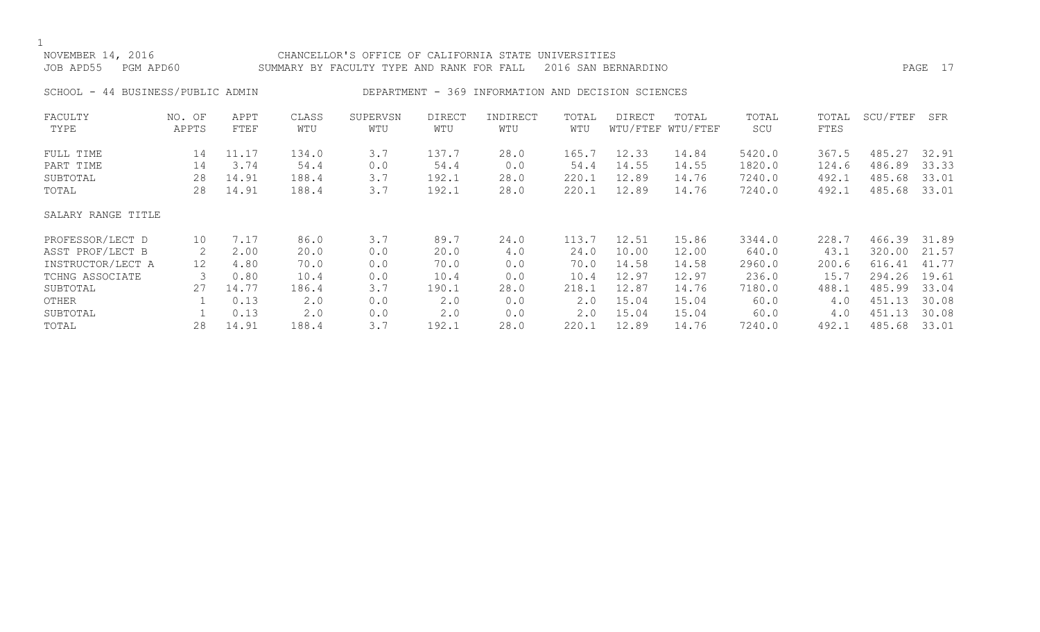| NOVEMBER 14, 2016<br>JOB APD55<br>PGM APD60 |                 |              |              | CHANCELLOR'S OFFICE OF CALIFORNIA STATE<br>SUMMARY BY FACULTY TYPE AND RANK FOR FALL |                      |                                                    | UNIVERSITIES | 2016 SAN BERNARDINO |                            |              |               |          | PAGE 17 |
|---------------------------------------------|-----------------|--------------|--------------|--------------------------------------------------------------------------------------|----------------------|----------------------------------------------------|--------------|---------------------|----------------------------|--------------|---------------|----------|---------|
| SCHOOL - 44 BUSINESS/PUBLIC ADMIN           |                 |              |              |                                                                                      |                      | DEPARTMENT - 369 INFORMATION AND DECISION SCIENCES |              |                     |                            |              |               |          |         |
| FACULTY<br>TYPE                             | NO. OF<br>APPTS | APPT<br>FTEF | CLASS<br>WTU | SUPERVSN<br>WTU                                                                      | <b>DIRECT</b><br>WTU | INDIRECT<br>WTU                                    | TOTAL<br>WTU | DIRECT              | TOTAL<br>WTU/FTEF WTU/FTEF | TOTAL<br>SCU | TOTAL<br>FTES | SCU/FTEF | SFR     |
| FULL TIME                                   | 14              | 11.17        | 134.0        | 3.7                                                                                  | 137.7                | 28.0                                               | 165.7        | 12.33               | 14.84                      | 5420.0       | 367.5         | 485.27   | 32.91   |
| PART TIME                                   | 14              | 3.74         | 54.4         | 0.0                                                                                  | 54.4                 | 0.0                                                | 54.4         | 14.55               | 14.55                      | 1820.0       | 124.6         | 486.89   | 33.33   |
| SUBTOTAL                                    | 28              | 14.91        | 188.4        | 3.7                                                                                  | 192.1                | 28.0                                               | 220.1        | 12.89               | 14.76                      | 7240.0       | 492.1         | 485.68   | 33.01   |
| TOTAL                                       | 28              | 14.91        | 188.4        | 3.7                                                                                  | 192.1                | 28.0                                               | 220.1        | 12.89               | 14.76                      | 7240.0       | 492.1         | 485.68   | 33.01   |
| SALARY RANGE TITLE                          |                 |              |              |                                                                                      |                      |                                                    |              |                     |                            |              |               |          |         |
| PROFESSOR/LECT D                            | 10              | 7.17         | 86.0         | 3.7                                                                                  | 89.7                 | 24.0                                               | 113.7        | 12.51               | 15.86                      | 3344.0       | 228.7         | 466.39   | 31.89   |
| ASST PROF/LECT B                            |                 | 2.00         | 20.0         | 0.0                                                                                  | 20.0                 | 4.0                                                | 24.0         | 10.00               | 12.00                      | 640.0        | 43.1          | 320.00   | 21.57   |

INSTRUCTOR/LECT A 12 4.80 70.0 0.0 70.0 0.0 70.0 14.58 14.58 2960.0 200.6 616.41 41.77<br>TCHNG ASSOCIATE 3 0.80 10.4 0.0 10.4 0.0 10.4 12.97 12.97 236.0 15.7 294.26 19.61

SUBTOTAL 27 14.77 186.4 3.7 190.1 28.0 218.1 12.87 14.76 7180.0 488.1 485.99 33.04 OTHER 1 0.13 2.0 0.0 2.0 0.0 2.0 15.04 15.04 60.0 4.0 451.13 30.08 SUBTOTAL 1 0.13 2.0 0.0 2.0 0.0 2.0 15.04 15.04 60.0 4.0 451.13 30.08 TOTAL 28 14.91 188.4 3.7 192.1 28.0 220.1 12.89 14.76 7240.0 492.1 485.68 33.01

TCHNG ASSOCIATE 3 0.80 10.4 0.0 10.4 0.0 10.4 12.97 12.97 236.0 15.7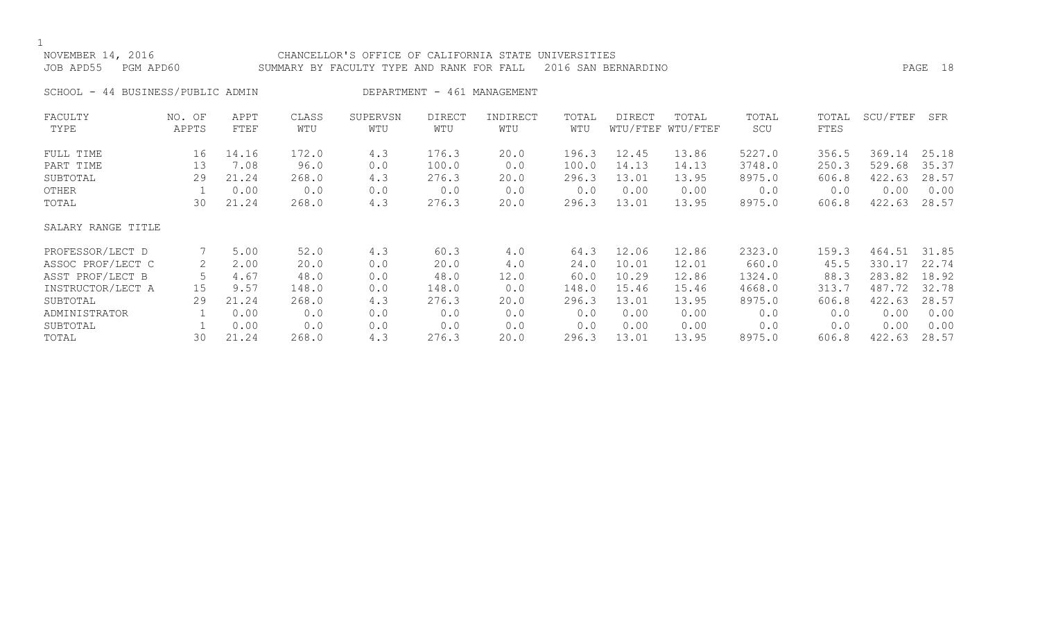$1$   $_{\rm NO'}$ 

| NOVEMBER 14, 2016<br>JOB APD55    PGM APD60 | CHANCELLOR'S OFFICE OF CALIFORNIA STATE UNIVERSITIES<br>SUMMARY BY FACULTY TYPE AND RANK FOR FALL 2016 SAN BERNARDINO | PAGE 18 |  |
|---------------------------------------------|-----------------------------------------------------------------------------------------------------------------------|---------|--|
| SCHOOL - 44 BUSINESS/PUBLIC ADMIN           | DEPARTMENT - 461 MANAGEMENT                                                                                           |         |  |

| FACULTY<br>TYPE    | NO. OF<br>APPTS | APPT<br>FTEF | CLASS<br>WTU | SUPERVSN<br>WTU | DIRECT<br>WTU | INDIRECT<br>WTU | TOTAL<br>WTU | <b>DIRECT</b><br>WTU/FTEF | TOTAL<br>WTU/FTEF | TOTAL<br>SCU | TOTAL<br>FTES | SCU/FTEF | SFR   |
|--------------------|-----------------|--------------|--------------|-----------------|---------------|-----------------|--------------|---------------------------|-------------------|--------------|---------------|----------|-------|
| FULL TIME          | 16              | 14.16        | 172.0        | 4.3             | 176.3         | 20.0            | 196.3        | 12.45                     | 13.86             | 5227.0       | 356.5         | 369.14   | 25.18 |
| PART TIME          | 13              | 7.08         | 96.0         | 0.0             | 100.0         | 0.0             | 100.0        | 14.13                     | 14.13             | 3748.0       | 250.3         | 529.68   | 35.37 |
| SUBTOTAL           | 29              | 21.24        | 268.0        | 4.3             | 276.3         | 20.0            | 296.3        | 13.01                     | 13.95             | 8975.0       | 606.8         | 422.63   | 28.57 |
| OTHER              |                 | 0.00         | 0.0          | 0.0             | 0.0           | 0.0             | 0.0          | 0.00                      | 0.00              | 0.0          | 0.0           | 0.00     | 0.00  |
| TOTAL              | 30              | 21.24        | 268.0        | 4.3             | 276.3         | 20.0            | 296.3        | 13.01                     | 13.95             | 8975.0       | 606.8         | 422.63   | 28.57 |
| SALARY RANGE TITLE |                 |              |              |                 |               |                 |              |                           |                   |              |               |          |       |
| PROFESSOR/LECT D   |                 | 5.00         | 52.0         | 4.3             | 60.3          | 4.0             | 64.3         | 12.06                     | 12.86             | 2323.0       | 159.3         | 464.51   | 31.85 |
| ASSOC PROF/LECT C  | 2               | 2.00         | 20.0         | 0.0             | 20.0          | 4.0             | 24.0         | 10.01                     | 12.01             | 660.0        | 45.5          | 330.17   | 22.74 |
| ASST PROF/LECT B   |                 | 4.67         | 48.0         | 0.0             | 48.0          | 12.0            | 60.0         | 10.29                     | 12.86             | 1324.0       | 88.3          | 283.82   | 18.92 |
| INSTRUCTOR/LECT A  | 15              | 9.57         | 148.0        | 0.0             | 148.0         | 0.0             | 148.0        | 15.46                     | 15.46             | 4668.0       | 313.7         | 487.72   | 32.78 |
| SUBTOTAL           | 29              | 21.24        | 268.0        | 4.3             | 276.3         | 20.0            | 296.3        | 13.01                     | 13.95             | 8975.0       | 606.8         | 422.63   | 28.57 |
| ADMINISTRATOR      |                 | 0.00         | 0.0          | 0.0             | 0.0           | 0.0             | 0.0          | 0.00                      | 0.00              | 0.0          | 0.0           | 0.00     | 0.00  |
| SUBTOTAL           |                 | 0.00         | 0.0          | 0.0             | 0.0           | 0.0             | 0.0          | 0.00                      | 0.00              | 0.0          | 0.0           | 0.00     | 0.00  |
| TOTAL              | 30              | 21.24        | 268.0        | 4.3             | 276.3         | 20.0            | 296.3        | 13.01                     | 13.95             | 8975.0       | 606.8         | 422.63   | 28.57 |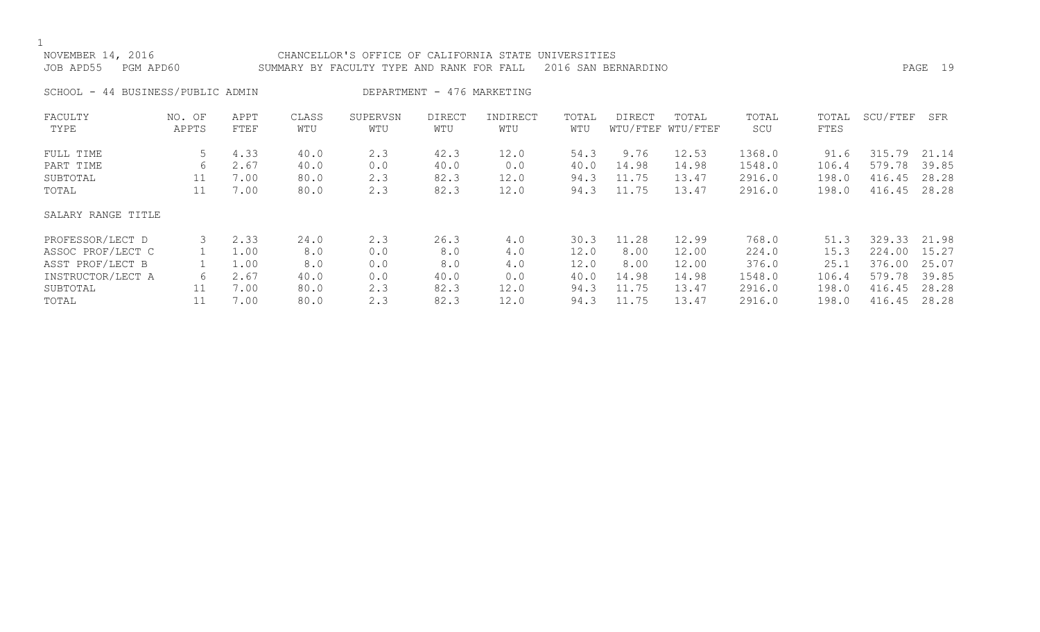| NOVEMBER 14, 2016<br>JOB APD55<br>PGM APD60 |                 |              |              | CHANCELLOR'S OFFICE OF CALIFORNIA STATE<br>SUMMARY BY FACULTY TYPE AND RANK FOR FALL |                            |                 | UNIVERSITIES | 2016 SAN BERNARDINO |                            |              |               |          | PAGE 19 |
|---------------------------------------------|-----------------|--------------|--------------|--------------------------------------------------------------------------------------|----------------------------|-----------------|--------------|---------------------|----------------------------|--------------|---------------|----------|---------|
| SCHOOL - 44 BUSINESS/PUBLIC ADMIN           |                 |              |              |                                                                                      | DEPARTMENT - 476 MARKETING |                 |              |                     |                            |              |               |          |         |
| FACULTY<br>TYPE                             | NO. OF<br>APPTS | APPT<br>FTEF | CLASS<br>WTU | SUPERVSN<br>WTU                                                                      | <b>DIRECT</b><br>WTU       | INDIRECT<br>WTU | TOTAL<br>WTU | DIRECT              | TOTAL<br>WTU/FTEF WTU/FTEF | TOTAL<br>SCU | TOTAL<br>FTES | SCU/FTEF | SFR     |
| FULL TIME                                   | 5               | 4.33         | 40.0         | 2.3                                                                                  | 42.3                       | 12.0            | 54.3         | 9.76                | 12.53                      | 1368.0       | 91.6          | 315.79   | 21.14   |
| PART TIME                                   | 6               | 2.67         | 40.0         | 0.0                                                                                  | 40.0                       | 0.0             | 40.0         | 14.98               | 14.98                      | 1548.0       | 106.4         | 579.78   | 39.85   |
| SUBTOTAL                                    | 11              | 7.00         | 80.0         | 2.3                                                                                  | 82.3                       | 12.0            | 94.3         | 11.75               | 13.47                      | 2916.0       | 198.0         | 416.45   | 28.28   |
| TOTAL                                       | 11              | 7.00         | 80.0         | 2.3                                                                                  | 82.3                       | 12.0            | 94.3         | 11.75               | 13.47                      | 2916.0       | 198.0         | 416.45   | 28.28   |
| SALARY RANGE TITLE                          |                 |              |              |                                                                                      |                            |                 |              |                     |                            |              |               |          |         |
| PROFESSOR/LECT D                            | 3               | 2.33         | 24.0         | 2.3                                                                                  | 26.3                       | 4.0             | 30.3         | 11.28               | 12.99                      | 768.0        | 51.3          | 329.33   | 21.98   |
| ASSOC PROF/LECT C                           |                 | 1.00         | 8.0          | 0.0                                                                                  | 8.0                        | 4.0             | 12.0         | 8.00                | 12.00                      | 224.0        | 15.3          | 224.00   | 15.27   |
| ASST PROF/LECT B                            |                 | 1.00         | 8.0          | 0.0                                                                                  | 8.0                        | 4.0             | 12.0         | 8.00                | 12.00                      | 376.0        | 25.1          | 376.00   | 25.07   |
| INSTRUCTOR/LECT A                           | 6               | 2.67         | 40.0         | 0.0                                                                                  | 40.0                       | 0.0             | 40.0         | 14.98               | 14.98                      | 1548.0       | 106.4         | 579.78   | 39.85   |
| SUBTOTAL                                    | 11              | 7.00         | 80.0         | 2.3                                                                                  | 82.3                       | 12.0            | 94.3         | 11.75               | 13.47                      | 2916.0       | 198.0         | 416.45   | 28.28   |
| TOTAL                                       | 11              | 7.00         | 80.0         | 2.3                                                                                  | 82.3                       | 12.0            | 94.3         | 11.75               | 13.47                      | 2916.0       | 198.0         | 416.45   | 28.28   |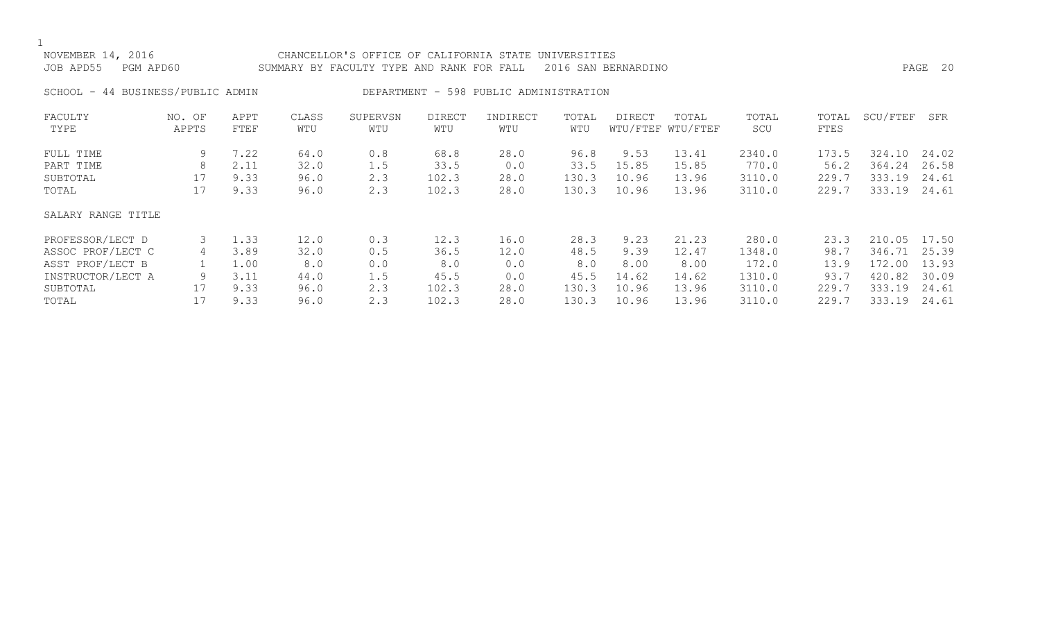| NOVEMBER 14, 2016<br>JOB APD55 | PGM APD60                         |              |              | CHANCELLOR'S OFFICE OF CALIFORNIA STATE UNIVERSITIES<br>SUMMARY BY FACULTY TYPE AND RANK FOR FALL 2016 SAN BERNARDINO |               |                                        |              |        |                            |              |               |          | PAGE 20 |
|--------------------------------|-----------------------------------|--------------|--------------|-----------------------------------------------------------------------------------------------------------------------|---------------|----------------------------------------|--------------|--------|----------------------------|--------------|---------------|----------|---------|
|                                | SCHOOL - 44 BUSINESS/PUBLIC ADMIN |              |              |                                                                                                                       |               | DEPARTMENT - 598 PUBLIC ADMINISTRATION |              |        |                            |              |               |          |         |
| FACULTY<br>TYPE                | NO. OF<br>APPTS                   | APPT<br>FTEF | CLASS<br>WTU | SUPERVSN<br>WTU                                                                                                       | DIRECT<br>WTU | INDIRECT<br>WTU                        | TOTAL<br>WTU | DIRECT | TOTAL<br>WTU/FTEF WTU/FTEF | TOTAL<br>SCU | TOTAL<br>FTES | SCU/FTEF | SFR     |

| FULL TIME          | 9  | 7.22 | 64.0 | 0.8 | 68.8  | 28.0 | 96.8  | 9.53  | 13.41 | 2340.0 | 173.5 | 324.<br>.10 | 24.02 |
|--------------------|----|------|------|-----|-------|------|-------|-------|-------|--------|-------|-------------|-------|
| PART TIME          | 8  | 2.11 | 32.0 | 1.5 | 33.5  | 0.0  | 33.5  | 15.85 | 15.85 | 770.0  | 56.2  | 364.24      | 26.58 |
| SUBTOTAL           | 17 | 9.33 | 96.0 | 2.3 | 102.3 | 28.0 | 130.3 | 10.96 | 13.96 | 3110.0 | 229.7 | 333.19      | 24.61 |
| TOTAL              | 17 | 9.33 | 96.0 | 2.3 | 102.3 | 28.0 | 130.3 | 10.96 | 13.96 | 3110.0 | 229.7 | 333.19      | 24.61 |
| SALARY RANGE TITLE |    |      |      |     |       |      |       |       |       |        |       |             |       |
| PROFESSOR/LECT D   |    | 1.33 | 12.0 | 0.3 | 12.3  | 16.0 | 28.3  | 9.23  | 21.23 | 280.0  | 23.3  | 210.05      | 17.50 |
| ASSOC PROF/LECT C  | 4  | 3.89 | 32.0 | 0.5 | 36.5  | 12.0 | 48.5  | 9.39  | 12.47 | 1348.0 | 98.7  | 346.71      | 25.39 |
| ASST PROF/LECT B   |    | 1.00 | 8.0  | 0.0 | 8.0   | 0.0  | 8.0   | 8.00  | 8.00  | 172.0  | 13.9  | 172.00      | 13.93 |
| INSTRUCTOR/LECT A  | 9  | 3.11 | 44.0 | 1.5 | 45.5  | 0.0  | 45.5  | 14.62 | 14.62 | 1310.0 | 93.7  | 420.82      | 30.09 |
| SUBTOTAL           | 17 | 9.33 | 96.0 | 2.3 | 102.3 | 28.0 | 130.3 | 10.96 | 13.96 | 3110.0 | 229.7 | 333.19      | 24.61 |
| TOTAL              |    | 9.33 | 96.0 | 2.3 | 102.3 | 28.0 | 130.3 | 10.96 | 13.96 | 3110.0 | 229.7 | 333.19      | 24.61 |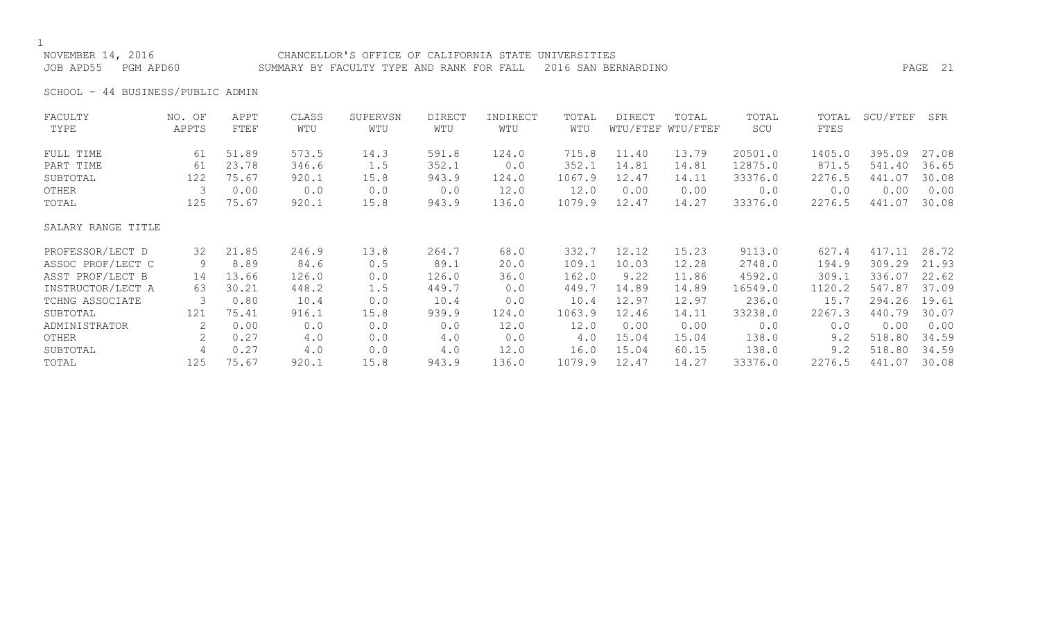NOVEMBER 14, 2016 CHANCELLOR'S OFFICE OF CALIFORNIA STATE UNIVERSITIES JOB APD55 PGM APD60 SUMMARY BY FACULTY TYPE AND RANK FOR FALL 2016 SAN BERNARDINO PAGE 21

SCHOOL - 44 BUSINESS/PUBLIC ADMIN

| FACULTY            | NO. OF | APPT  | CLASS | SUPERVSN | <b>DIRECT</b> | INDIRECT | TOTAL  | <b>DIRECT</b> | TOTAL             | TOTAL   | TOTAL  | SCU/FTEF | SFR   |
|--------------------|--------|-------|-------|----------|---------------|----------|--------|---------------|-------------------|---------|--------|----------|-------|
| TYPE               | APPTS  | FTEF  | WTU   | WTU      | WTU           | WTU      | WTU    |               | WTU/FTEF WTU/FTEF | SCU     | FTES   |          |       |
| FULL TIME          | 61     | 51.89 | 573.5 | 14.3     | 591.8         | 124.0    | 715.8  | 11.40         | 13.79             | 20501.0 | 1405.0 | 395.09   | 27.08 |
| PART TIME          | 61     | 23.78 | 346.6 | 1.5      | 352.1         | 0.0      | 352.1  | 14.81         | 14.81             | 12875.0 | 871.5  | 541.40   | 36.65 |
| SUBTOTAL           | 122    | 75.67 | 920.1 | 15.8     | 943.9         | 124.0    | 1067.9 | 12.47         | 14.11             | 33376.0 | 2276.5 | 441.07   | 30.08 |
| OTHER              | 3      | 0.00  | 0.0   | 0.0      | 0.0           | 12.0     | 12.0   | 0.00          | 0.00              | 0.0     | 0.0    | 0.00     | 0.00  |
| TOTAL              | 125    | 75.67 | 920.1 | 15.8     | 943.9         | 136.0    | 1079.9 | 12.47         | 14.27             | 33376.0 | 2276.5 | 441.07   | 30.08 |
| SALARY RANGE TITLE |        |       |       |          |               |          |        |               |                   |         |        |          |       |
| PROFESSOR/LECT D   | 32     | 21.85 | 246.9 | 13.8     | 264.7         | 68.0     | 332.7  | 12.12         | 15.23             | 9113.0  | 627.4  | 417.11   | 28.72 |
| ASSOC PROF/LECT C  | 9      | 8.89  | 84.6  | 0.5      | 89.1          | 20.0     | 109.1  | 10.03         | 12.28             | 2748.0  | 194.9  | 309.29   | 21.93 |
| ASST PROF/LECT B   | 14     | 13.66 | 126.0 | 0.0      | 126.0         | 36.0     | 162.0  | 9.22          | 11.86             | 4592.0  | 309.1  | 336.07   | 22.62 |
| INSTRUCTOR/LECT A  | 63     | 30.21 | 448.2 | 1.5      | 449.7         | 0.0      | 449.7  | 14.89         | 14.89             | 16549.0 | 1120.2 | 547.87   | 37.09 |
| TCHNG ASSOCIATE    | 3      | 0.80  | 10.4  | 0.0      | 10.4          | 0.0      | 10.4   | 12.97         | 12.97             | 236.0   | 15.7   | 294.26   | 19.61 |
| SUBTOTAL           | 121    | 75.41 | 916.1 | 15.8     | 939.9         | 124.0    | 1063.9 | 12.46         | 14.11             | 33238.0 | 2267.3 | 440.79   | 30.07 |
| ADMINISTRATOR      | 2      | 0.00  | 0.0   | 0.0      | 0.0           | 12.0     | 12.0   | 0.00          | 0.00              | 0.0     | 0.0    | 0.00     | 0.00  |
| OTHER              |        | 0.27  | 4.0   | 0.0      | 4.0           | 0.0      | 4.0    | 15.04         | 15.04             | 138.0   | 9.2    | 518.80   | 34.59 |
| SUBTOTAL           | 4      | 0.27  | 4.0   | 0.0      | 4.0           | 12.0     | 16.0   | 15.04         | 60.15             | 138.0   | 9.2    | 518.80   | 34.59 |
| TOTAL              | 125    | 75.67 | 920.1 | 15.8     | 943.9         | 136.0    | 1079.9 | 12.47         | 14.27             | 33376.0 | 2276.5 | 441.07   | 30.08 |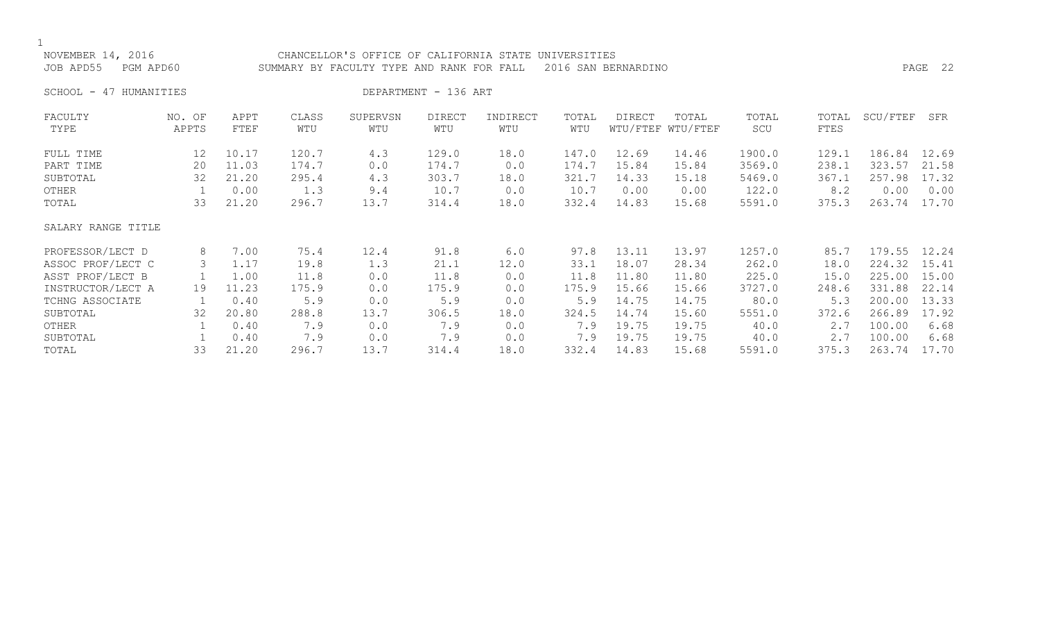| NOVEMBER 14, 2016<br>JOB APD55 | PGM APD60       |              |              | CHANCELLOR'S OFFICE OF CALIFORNIA STATE UNIVERSITIES<br>SUMMARY BY FACULTY TYPE AND RANK FOR FALL |                      |                 |              | 2016 SAN BERNARDINO |                            |              |               |          | PAGE 22 |
|--------------------------------|-----------------|--------------|--------------|---------------------------------------------------------------------------------------------------|----------------------|-----------------|--------------|---------------------|----------------------------|--------------|---------------|----------|---------|
| SCHOOL - 47 HUMANITIES         |                 |              |              |                                                                                                   | DEPARTMENT - 136 ART |                 |              |                     |                            |              |               |          |         |
| FACULTY<br>TYPE                | NO. OF<br>APPTS | APPT<br>FTEF | CLASS<br>WTU | SUPERVSN<br>WTU                                                                                   | DIRECT<br>WTU        | INDIRECT<br>WTU | TOTAL<br>WTU | DIRECT              | TOTAL<br>WTU/FTEF WTU/FTEF | TOTAL<br>SCU | TOTAL<br>FTES | SCU/FTEF | SFR     |
| FULL TIME                      | 12 <sup>°</sup> | 10.17        | 120.7        | 4.3                                                                                               | 129.0                | 18.0            | 147.0        | 12.69               | 14.46                      | 1900.0       | 129.1         | 186.84   | 12.69   |
| PART TIME                      | 20              | 11.03        | 174.7        | 0.0                                                                                               | 174.7                | 0.0             | 174.7        | 15.84               | 15.84                      | 3569.0       | 238.1         | 323.57   | 21.58   |
| SUBTOTAL                       | 32              | 21.20        | 295.4        | 4.3                                                                                               | 303.7                | 18.0            | 321.7        | 14.33               | 15.18                      | 5469.0       | 367.1         | 257.98   | 17.32   |
| OTHER                          |                 | 0.00         | 1.3          | 9.4                                                                                               | 10.7                 | 0.0             | 10.7         | 0.00                | 0.00                       | 122.0        | 8.2           | 0.00     | 0.00    |
| TOTAL                          | 33              | 21.20        | 296.7        | 13.7                                                                                              | 314.4                | 18.0            | 332.4        | 14.83               | 15.68                      | 5591.0       | 375.3         | 263.74   | 17.70   |
| SALARY RANGE TITLE             |                 |              |              |                                                                                                   |                      |                 |              |                     |                            |              |               |          |         |
| PROFESSOR/LECT D               | 8               | 7.00         | 75.4         | 12.4                                                                                              | 91.8                 | 6.0             | 97.8         | 13.11               | 13.97                      | 1257.0       | 85.7          | 179.55   | 12.24   |

ASSOC PROF/LECT C 3 1.17 19.8 1.3 21.1 12.0 33.1 18.07 28.34 262.0 18.0 224.32 15.41<br>ASST PROF/LECT B 1 1.00 11.8 0.0 11.8 0.0 11.8 11.80 11.80 225.0 15.0 225.00 15.00

INSTRUCTOR/LECT A 19 11.23 175.9 0.0 175.9 0.0 175.9 15.66 15.66 3727.0 248.6 331.88 22.14 TCHNG ASSOCIATE 1 0.40 5.9 0.0 5.9 0.0 5.9 14.75 14.75 80.0 5.3 200.00 13.33 SUBTOTAL 32 20.80 288.8 13.7 306.5 18.0 324.5 14.74 15.60 5551.0 372.6 266.89 17.92 OTHER 1 0.40 7.9 0.0 7.9 0.0 7.9 19.75 19.75 40.0 2.7 100.00 6.68 SUBTOTAL 1 0.40 7.9 0.0 7.9 0.0 7.9 19.75 19.75 40.0 2.7 100.00 6.68 TOTAL 33 21.20 296.7 13.7 314.4 18.0 332.4 14.83 15.68 5591.0 375.3 263.74 17.70

ASST PROF/LECT B 1 1.00 11.8 0.0 11.8 0.0 11.8 11.80 11.80 225.0 15.0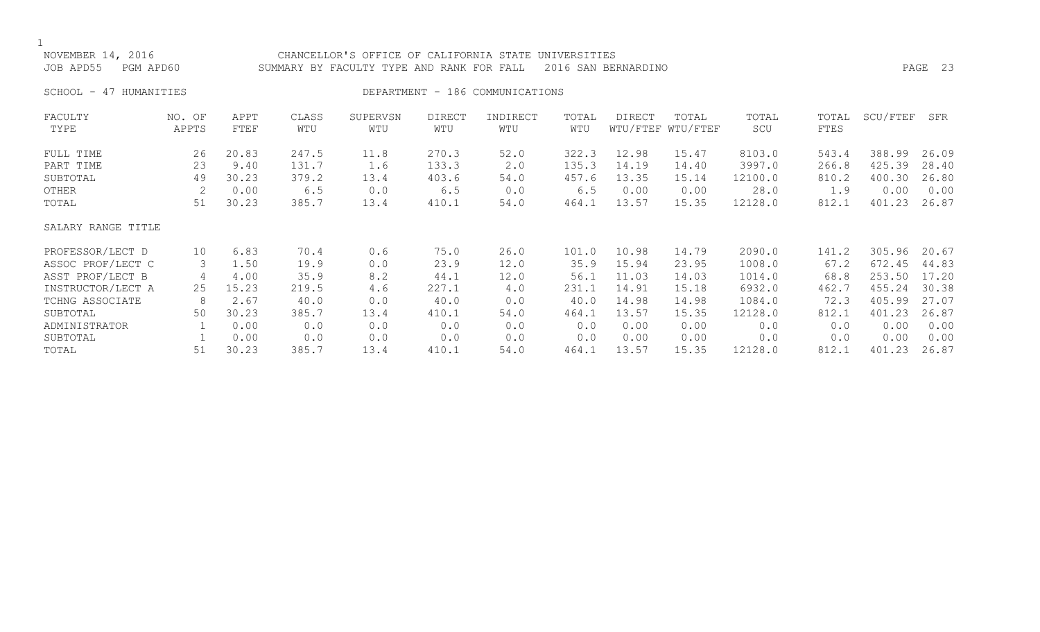| NOVEMBER 14, 2016<br>JOB APD55<br>PGM APD60 |                 |              |              | CHANCELLOR'S OFFICE OF CALIFORNIA STATE UNIVERSITIES<br>SUMMARY BY FACULTY TYPE AND RANK FOR FALL |                      |                                 |              | 2016 SAN BERNARDINO |                            |              |               |          | PAGE 23 |
|---------------------------------------------|-----------------|--------------|--------------|---------------------------------------------------------------------------------------------------|----------------------|---------------------------------|--------------|---------------------|----------------------------|--------------|---------------|----------|---------|
| SCHOOL - 47 HUMANITIES                      |                 |              |              |                                                                                                   |                      | DEPARTMENT - 186 COMMUNICATIONS |              |                     |                            |              |               |          |         |
| FACULTY<br>TYPE                             | NO. OF<br>APPTS | APPT<br>FTEF | CLASS<br>WTU | SUPERVSN<br>WTU                                                                                   | <b>DIRECT</b><br>WTU | INDIRECT<br>WTU                 | TOTAL<br>WTU | DIRECT              | TOTAL<br>WTU/FTEF WTU/FTEF | TOTAL<br>SCU | TOTAL<br>FTES | SCU/FTEF | SFR     |
| FULL TIME                                   | 26              | 20.83        | 247.5        | 11.8                                                                                              | 270.3                | 52.0                            | 322.3        | 12.98               | 15.47                      | 8103.0       | 543.4         | 388.99   | 26.09   |
| PART TIME                                   | 23              | 9.40         | 131.7        | 1.6                                                                                               | 133.3                | 2.0                             | 135.3        | 14.19               | 14.40                      | 3997.0       | 266.8         | 425.39   | 28.40   |
| SUBTOTAL                                    | 49              | 30.23        | 379.2        | 13.4                                                                                              | 403.6                | 54.0                            | 457.6        | 13.35               | 15.14                      | 12100.0      | 810.2         | 400.30   | 26.80   |
| OTHER                                       |                 | 0.00         | 6.5          | 0.0                                                                                               | 6.5                  | 0.0                             | 6.5          | 0.00                | 0.00                       | 28.0         | 1.9           | 0.00     | 0.00    |
| TOTAL                                       | 51              | 30.23        | 385.7        | 13.4                                                                                              | 410.1                | 54.0                            | 464.1        | 13.57               | 15.35                      | 12128.0      | 812.1         | 401.23   | 26.87   |
| SALARY RANGE TITLE                          |                 |              |              |                                                                                                   |                      |                                 |              |                     |                            |              |               |          |         |
| PROFESSOR/LECT D                            | 10              | 6.83         | 70.4         | 0.6                                                                                               | 75.0                 | 26.0                            | 101.0        | 10.98               | 14.79                      | 2090.0       | 141.2         | 305.96   | 20.67   |
| ASSOC PROF/LECT C                           | 3               | 1.50         | 19.9         | 0.0                                                                                               | 23.9                 | 12.0                            | 35.9         | 15.94               | 23.95                      | 1008.0       | 67.2          | 672.45   | 44.83   |
| ASST PROF/LECT B                            | 4               | 4.00         | 35.9         | 8.2                                                                                               | 44.1                 | 12.0                            | 56.1         | 11.03               | 14.03                      | 1014.0       | 68.8          | 253.50   | 17.20   |
| INSTRUCTOR/LECT A                           | 25              | 15.23        | 219.5        | 4.6                                                                                               | 227.1                | 4.0                             | 231.1        | 14.91               | 15.18                      | 6932.0       | 462.7         | 455.24   | 30.38   |
| TCHNG ASSOCIATE                             | 8               | 2.67         | 40.0         | 0.0                                                                                               | 40.0                 | 0.0                             | 40.0         | 14.98               | 14.98                      | 1084.0       | 72.3          | 405.99   | 27.07   |
| SUBTOTAL                                    | 50              | 30.23        | 385.7        | 13.4                                                                                              | 410.1                | 54.0                            | 464.1        | 13.57               | 15.35                      | 12128.0      | 812.1         | 401.23   | 26.87   |
| ADMINISTRATOR                               |                 | 0.00         | 0.0          | 0.0                                                                                               | 0.0                  | 0.0                             | 0.0          | 0.00                | 0.00                       | 0.0          | 0.0           | 0.00     | 0.00    |

SUBTOTAL 1 0.00 0.0 0.0 0.0 0.0 0.0 0.00 0.00 0.0 0.0 0.00 0.00 TOTAL 51 30.23 385.7 13.4 410.1 54.0 464.1 13.57 15.35 12128.0 812.1 401.23 26.87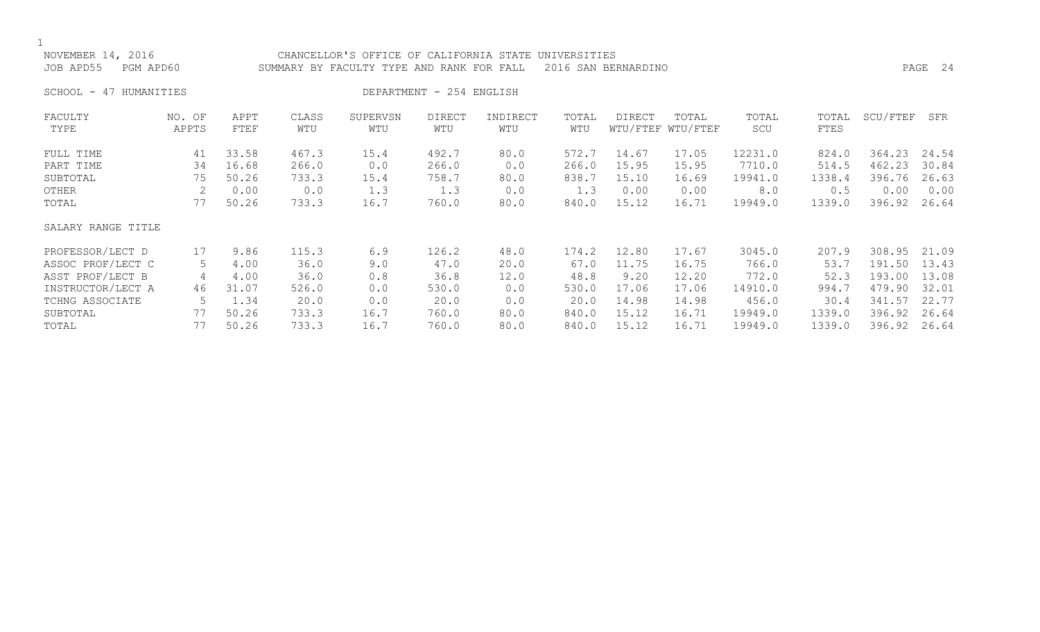| NOVEMBER 14, 2016<br>JOB APD55<br>PGM APD60 |        |       |       | CHANCELLOR'S OFFICE OF CALIFORNIA STATE<br>SUMMARY BY FACULTY TYPE AND RANK FOR FALL |                          |          | UNIVERSITIES | 2016 SAN BERNARDINO |                   |         |        |          | PAGE 24 |
|---------------------------------------------|--------|-------|-------|--------------------------------------------------------------------------------------|--------------------------|----------|--------------|---------------------|-------------------|---------|--------|----------|---------|
| SCHOOL -<br>47 HUMANITIES                   |        |       |       |                                                                                      | DEPARTMENT - 254 ENGLISH |          |              |                     |                   |         |        |          |         |
| FACULTY                                     | NO. OF | APPT  | CLASS | SUPERVSN                                                                             | <b>DIRECT</b>            | INDIRECT | TOTAL        | <b>DIRECT</b>       | TOTAL             | TOTAL   | TOTAL  | SCU/FTEF | SFR     |
| TYPE                                        | APPTS  | FTEF  | WTU   | WTU                                                                                  | WTU                      | WTU      | WTU          |                     | WTU/FTEF WTU/FTEF | SCU     | FTES   |          |         |
| FULL TIME                                   | 41     | 33.58 | 467.3 | 15.4                                                                                 | 492.7                    | 80.0     | 572.7        | 14.67               | 17.05             | 12231.0 | 824.0  | 364.23   | 24.54   |
| PART TIME                                   | 34     | 16.68 | 266.0 | 0.0                                                                                  | 266.0                    | 0.0      | 266.0        | 15.95               | 15.95             | 7710.0  | 514.5  | 462.23   | 30.84   |
| SUBTOTAL                                    | 75     | 50.26 | 733.3 | 15.4                                                                                 | 758.7                    | 80.0     | 838.7        | 15.10               | 16.69             | 19941.0 | 1338.4 | 396.76   | 26.63   |
| OTHER                                       | 2      | 0.00  | 0.0   | 1.3                                                                                  | 1.3                      | 0.0      | 1.3          | 0.00                | 0.00              | 8.0     | 0.5    | 0.00     | 0.00    |
| TOTAL                                       | 77     | 50.26 | 733.3 | 16.7                                                                                 | 760.0                    | 80.0     | 840.0        | 15.12               | 16.71             | 19949.0 | 1339.0 | 396.92   | 26.64   |
| SALARY RANGE TITLE                          |        |       |       |                                                                                      |                          |          |              |                     |                   |         |        |          |         |
| PROFESSOR/LECT D                            | 17     | 9.86  | 115.3 | 6.9                                                                                  | 126.2                    | 48.0     | 174.2        | 12.80               | 17.67             | 3045.0  | 207.9  | 308.95   | 21.09   |
| ASSOC PROF/LECT C                           | 5      | 4.00  | 36.0  | 9.0                                                                                  | 47.0                     | 20.0     | 67.0         | 11.75               | 16.75             | 766.0   | 53.7   | 191.50   | 13.43   |
| ASST PROF/LECT B                            | 4      | 4.00  | 36.0  | 0.8                                                                                  | 36.8                     | 12.0     | 48.8         | 9.20                | 12.20             | 772.0   | 52.3   | 193.00   | 13.08   |
| INSTRUCTOR/LECT A                           | 46     | 31.07 | 526.0 | 0.0                                                                                  | 530.0                    | 0.0      | 530.0        | 17.06               | 17.06             | 14910.0 | 994.7  | 479.90   | 32.01   |
| TCHNG ASSOCIATE                             | 5      | 1.34  | 20.0  | 0.0                                                                                  | 20.0                     | 0.0      | 20.0         | 14.98               | 14.98             | 456.0   | 30.4   | 341.57   | 22.77   |
| SUBTOTAL                                    | 77     | 50.26 | 733.3 | 16.7                                                                                 | 760.0                    | 80.0     | 840.0        | 15.12               | 16.71             | 19949.0 | 1339.0 | 396.92   | 26.64   |

TOTAL 77 50.26 733.3 16.7 760.0 80.0 840.0 15.12 16.71 19949.0 1339.0 396.92 26.64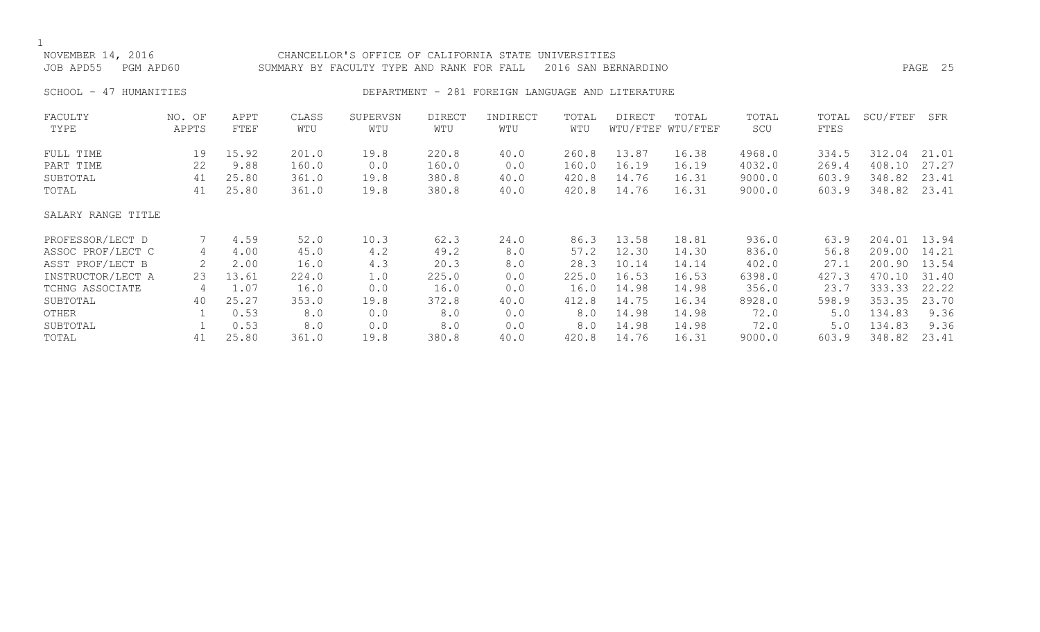## NOVEMBER 14, 2016 CHANCELLOR'S OFFICE OF CALIFORNIA STATE UNIVERSITIES JOB APD55 PGM APD60 SUMMARY BY FACULTY TYPE AND RANK FOR FALL 2016 SAN BERNARDINO PAGE 25 SCHOOL - 47 HUMANITIES **DEPARTMENT - 281 FOREIGN LANGUAGE AND LITERATURE** FACULTY NO. OF APPT CLASS SUPERVSN DIRECT INDIRECT TOTAL DIRECT TOTAL TOTAL TOTAL SCU/FTEF SFR TYPE APPTS FTEF WTU WTU WTU WTU WTU WTU/FTEF WTU/FTEF SCU FTES FULL TIME 19 15.92 201.0 19.8 220.8 40.0 260.8 13.87 16.38 4968.0 334.5 312.04 21.01 PART TIME 22 9.88 160.0 0.0 160.0 0.0 160.0 16.19 16.19 4032.0 269.4 408.10 27.27 SUBTOTAL 41 25.80 361.0 19.8 380.8 40.0 420.8 14.76 16.31 9000.0 603.9 348.82 23.41 TOTAL 41 25.80 361.0 19.8 380.8 40.0 420.8 14.76 16.31 9000.0 603.9 348.82 23.41 SALARY RANGE TITLE PROFESSOR/LECT D 7 4.59 52.0 10.3 62.3 24.0 86.3 13.58 18.81 936.0 63.9 204.01 13.94 ASSOC PROF/LECT C 4 4.00 45.0 4.2 49.2 8.0 57.2 12.30 14.30 836.0 56.8 209.00 14.21 ASST PROF/LECT B 2 2.00 16.0 4.3 20.3 8.0 28.3 10.14 14.14 402.0 27.1 200.90 13.54 INSTRUCTOR/LECT A 23 13.61 224.0 1.0 225.0 0.0 225.0 16.53 16.53 6398.0 427.3 470.10 31.40 TCHNG ASSOCIATE 4 1.07 16.0 0.0 16.0 0.0 16.0 14.98 14.98 356.0 23.7 333.33 22.22 SUBTOTAL 40 25.27 353.0 19.8 372.8 40.0 412.8 14.75 16.34 8928.0 598.9 353.35 23.70 OTHER 1 0.53 8.0 0.0 8.0 0.0 8.0 14.98 14.98 72.0 5.0 134.83 9.36 SUBTOTAL 1 0.53 8.0 0.0 8.0 0.0 8.0 14.98 14.98 72.0 5.0 134.83 9.36

TOTAL 41 25.80 361.0 19.8 380.8 40.0 420.8 14.76 16.31 9000.0 603.9 348.82 23.41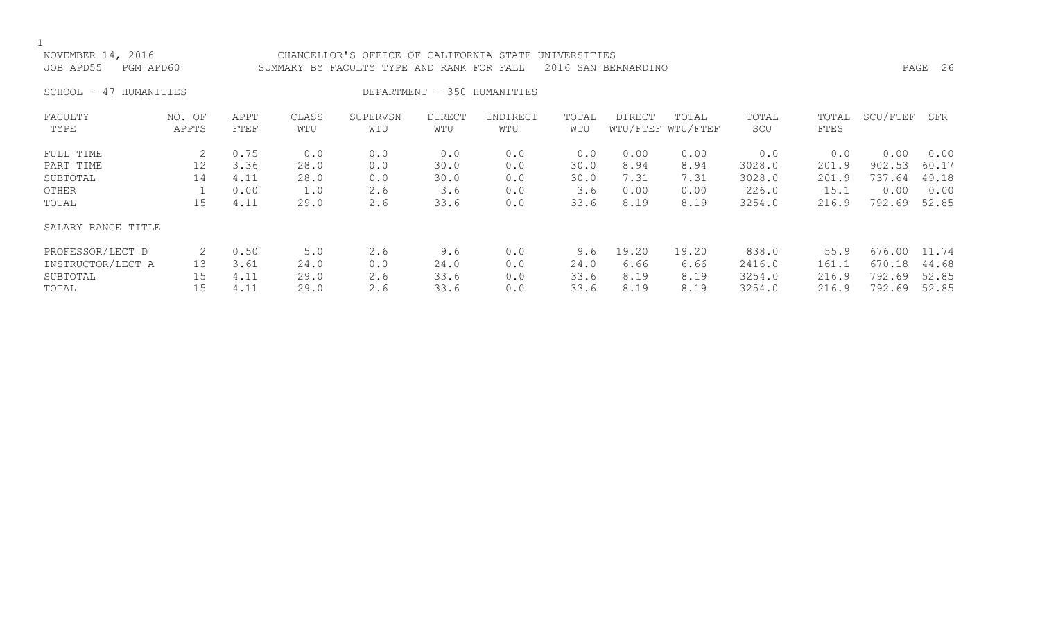### NOVEMBER 14, 2016 CHANCELLOR'S OFFICE OF CALIFORNIA STATE UNIVERSITIES JOB APD55 PGM APD60 SUMMARY BY FACULTY TYPE AND RANK FOR FALL 2016 SAN BERNARDINO PAGE 26

SCHOOL - 47 HUMANITIES DEPARTMENT - 350 HUMANITIES

| FACULTY<br>TYPE    | NO. OF<br>APPTS | APPT<br>FTEF | CLASS<br>WTU | SUPERVSN<br>WTU | <b>DIRECT</b><br>WTU | INDIRECT<br>WTU | TOTAL<br>WTU | <b>DIRECT</b> | TOTAL<br>WTU/FTEF WTU/FTEF | TOTAL<br>SCU | TOTAL<br>FTES | SCU/FTEF | SFR   |
|--------------------|-----------------|--------------|--------------|-----------------|----------------------|-----------------|--------------|---------------|----------------------------|--------------|---------------|----------|-------|
| FULL TIME          |                 | 0.75         | 0.0          | 0.0             | 0.0                  | 0.0             | 0.0          | 0.00          | 0.00                       | 0.0          | 0.0           | 0.00     | 0.00  |
| PART TIME          | 12              | 3.36         | 28.0         | 0.0             | 30.0                 | 0.0             | 30.0         | 8.94          | 8.94                       | 3028.0       | 201.9         | 902.53   | 60.17 |
| SUBTOTAL           | 14              | 4.11         | 28.0         | 0.0             | 30.0                 | 0.0             | 30.0         | 7.31          | 7.31                       | 3028.0       | 201.9         | 737.64   | 49.18 |
| OTHER              |                 | 0.00         | 1.0          | 2.6             | 3.6                  | 0.0             | 3.6          | 0.00          | 0.00                       | 226.0        | 15.1          | 0.00     | 0.00  |
| TOTAL              | 15              | 4.11         | 29.0         | 2.6             | 33.6                 | 0.0             | 33.6         | 8.19          | 8.19                       | 3254.0       | 216.9         | 792.69   | 52.85 |
| SALARY RANGE TITLE |                 |              |              |                 |                      |                 |              |               |                            |              |               |          |       |
| PROFESSOR/LECT D   |                 | 0.50         | 5.0          | 2.6             | 9.6                  | 0.0             | 9.6          | 19.20         | 19.20                      | 838.0        | 55.9          | 676.00   | 11.74 |
| INSTRUCTOR/LECT A  | 13              | 3.61         | 24.0         | 0.0             | 24.0                 | 0.0             | 24.0         | 6.66          | 6.66                       | 2416.0       | 161.1         | 670.18   | 44.68 |
| SUBTOTAL           | 15              | 4.11         | 29.0         | 2.6             | 33.6                 | 0.0             | 33.6         | 8.19          | 8.19                       | 3254.0       | 216.9         | 792.69   | 52.85 |
| TOTAL              | 15              | 4.11         | 29.0         | 2.6             | 33.6                 | 0.0             | 33.6         | 8.19          | 8.19                       | 3254.0       | 216.9         | 792.69   | 52.85 |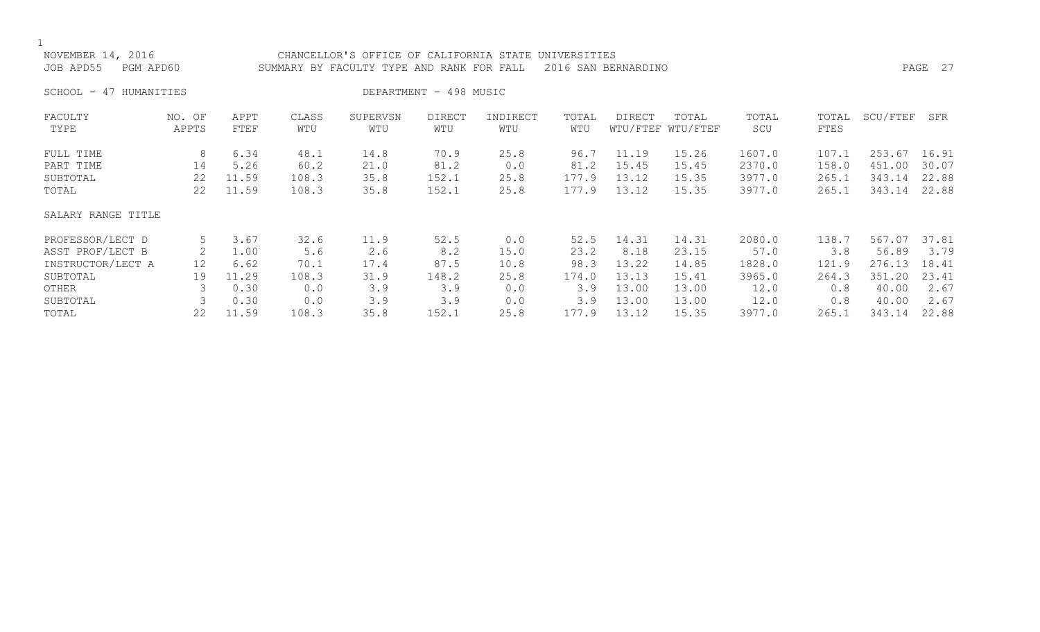| NOVEMBER 14, 2016<br>JOB APD55<br>PGM APD60 |                 |              |              | CHANCELLOR'S OFFICE OF CALIFORNIA STATE UNIVERSITIES<br>SUMMARY BY FACULTY TYPE AND RANK FOR FALL |                        |                 |              | 2016 SAN BERNARDINO |                            |              |               |          | PAGE 27 |
|---------------------------------------------|-----------------|--------------|--------------|---------------------------------------------------------------------------------------------------|------------------------|-----------------|--------------|---------------------|----------------------------|--------------|---------------|----------|---------|
| 47 HUMANITIES<br>SCHOOL -                   |                 |              |              |                                                                                                   | DEPARTMENT - 498 MUSIC |                 |              |                     |                            |              |               |          |         |
| FACULTY<br>TYPE                             | NO. OF<br>APPTS | APPT<br>FTEF | CLASS<br>WTU | SUPERVSN<br>WTU                                                                                   | <b>DIRECT</b><br>WTU   | INDIRECT<br>WTU | TOTAL<br>WTU | <b>DIRECT</b>       | TOTAL<br>WTU/FTEF WTU/FTEF | TOTAL<br>SCU | TOTAL<br>FTES | SCU/FTEF | SFR     |
| FULL TIME                                   | 8               | 6.34         | 48.1         | 14.8                                                                                              | 70.9                   | 25.8            | 96.7         | 11.19               | 15.26                      | 1607.0       | 107.1         | 253.67   | 16.91   |
| PART TIME                                   | 14              | 5.26         | 60.2         | 21.0                                                                                              | 81.2                   | 0.0             | 81.2         | 15.45               | 15.45                      | 2370.0       | 158.0         | 451.00   | 30.07   |
| SUBTOTAL                                    | 22              | 11.59        | 108.3        | 35.8                                                                                              | 152.1                  | 25.8            | 177.9        | 13.12               | 15.35                      | 3977.0       | 265.1         | 343.14   | 22.88   |
| TOTAL                                       | 22              | 11.59        | 108.3        | 35.8                                                                                              | 152.1                  | 25.8            | 177.9        | 13.12               | 15.35                      | 3977.0       | 265.1         | 343.14   | 22.88   |
| SALARY RANGE TITLE                          |                 |              |              |                                                                                                   |                        |                 |              |                     |                            |              |               |          |         |
| PROFESSOR/LECT D                            | 5               | 3.67         | 32.6         | 11.9                                                                                              | 52.5                   | 0.0             | 52.5         | 14.31               | 14.31                      | 2080.0       | 138.7         | 567.07   | 37.81   |
| ASST PROF/LECT B                            | 2               | 1.00         | 5.6          | 2.6                                                                                               | 8.2                    | 15.0            | 23.2         | 8.18                | 23.15                      | 57.0         | 3.8           | 56.89    | 3.79    |
| INSTRUCTOR/LECT A                           | 12              | 6.62         | 70.1         | 17.4                                                                                              | 87.5                   | 10.8            | 98.3         | 13.22               | 14.85                      | 1828.0       | 121.9         | 276.13   | 18.41   |
| SUBTOTAL                                    | 19              | 11.29        | 108.3        | 31.9                                                                                              | 148.2                  | 25.8            | 174.0        | 13.13               | 15.41                      | 3965.0       | 264.3         | 351.20   | 23.41   |
| OTHER                                       |                 | 0.30         | 0.0          | 3.9                                                                                               | 3.9                    | 0.0             | 3.9          | 13.00               | 13.00                      | 12.0         | 0.8           | 40.00    | 2.67    |
| SUBTOTAL                                    | 3               | 0.30         | 0.0          | 3.9                                                                                               | 3.9                    | 0.0             | 3.9          | 13.00               | 13.00                      | 12.0         | 0.8           | 40.00    | 2.67    |
| TOTAL                                       | 22              | 11.59        | 108.3        | 35.8                                                                                              | 152.1                  | 25.8            | 177.9        | 13.12               | 15.35                      | 3977.0       | 265.1         | 343.14   | 22.88   |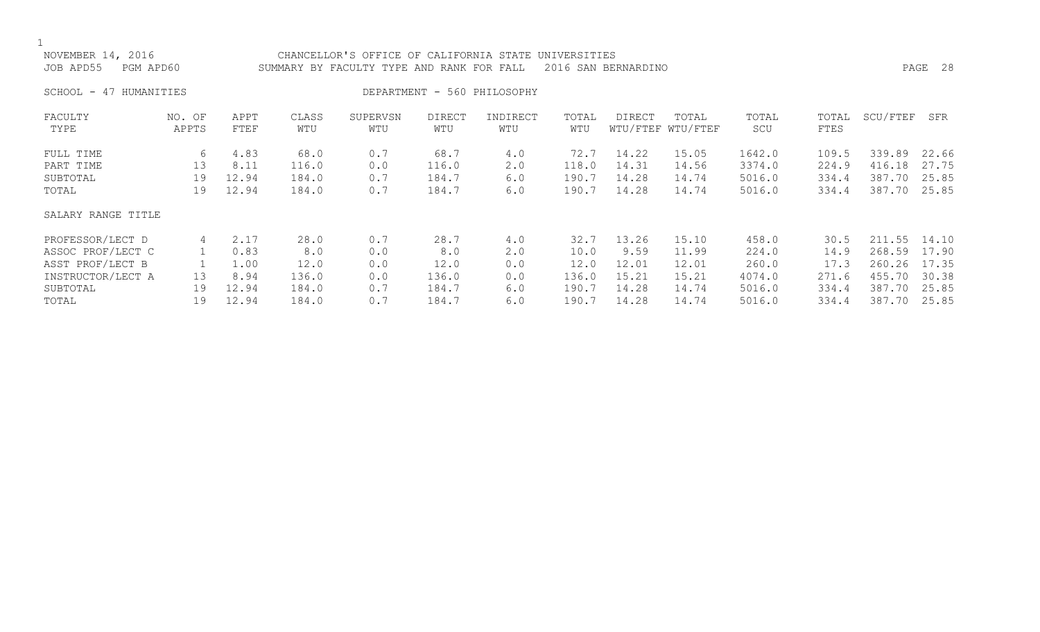| NOVEMBER 14, 2016<br>JOB APD55<br>PGM APD60 |                 |              |              | CHANCELLOR'S OFFICE OF CALIFORNIA STATE<br>SUMMARY BY FACULTY TYPE AND RANK FOR FALL |                      |                             | UNIVERSITIES | 2016 SAN BERNARDINO |                            |              |               |          | PAGE 28 |
|---------------------------------------------|-----------------|--------------|--------------|--------------------------------------------------------------------------------------|----------------------|-----------------------------|--------------|---------------------|----------------------------|--------------|---------------|----------|---------|
| SCHOOL - 47 HUMANITIES                      |                 |              |              |                                                                                      |                      | DEPARTMENT - 560 PHILOSOPHY |              |                     |                            |              |               |          |         |
| FACULTY<br>TYPE                             | NO. OF<br>APPTS | APPT<br>FTEF | CLASS<br>WTU | SUPERVSN<br>WTU                                                                      | <b>DIRECT</b><br>WTU | INDIRECT<br>WTU             | TOTAL<br>WTU | <b>DIRECT</b>       | TOTAL<br>WTU/FTEF WTU/FTEF | TOTAL<br>SCU | TOTAL<br>FTES | SCU/FTEF | SFR     |
| FULL TIME                                   | 6               | 4.83         | 68.0         | 0.7                                                                                  | 68.7                 | 4.0                         | 72.7         | 14.22               | 15.05                      | 1642.0       | 109.5         | 339.89   | 22.66   |
| PART TIME                                   | 13              | 8.11         | 116.0        | 0.0                                                                                  | 116.0                | 2.0                         | 118.0        | 14.31               | 14.56                      | 3374.0       | 224.9         | 416.18   | 27.75   |
| SUBTOTAL                                    | 19              | 12.94        | 184.0        | 0.7                                                                                  | 184.7                | 6.0                         | 190.7        | 14.28               | 14.74                      | 5016.0       | 334.4         | 387.70   | 25.85   |
| TOTAL                                       | 19              | 12.94        | 184.0        | 0.7                                                                                  | 184.7                | 6.0                         | 190.7        | 14.28               | 14.74                      | 5016.0       | 334.4         | 387.70   | 25.85   |
| SALARY RANGE TITLE                          |                 |              |              |                                                                                      |                      |                             |              |                     |                            |              |               |          |         |
| PROFESSOR/LECT D                            | 4               | 2.17         | 28.0         | 0.7                                                                                  | 28.7                 | 4.0                         | 32.7         | 13.26               | 15.10                      | 458.0        | 30.5          | 211.55   | 14.10   |
| ASSOC PROF/LECT C                           |                 | 0.83         | 8.0          | 0.0                                                                                  | 8.0                  | 2.0                         | 10.0         | 9.59                | 11.99                      | 224.0        | 14.9          | 268.59   | 17.90   |
| ASST PROF/LECT B                            |                 | 1.00         | 12.0         | 0.0                                                                                  | 12.0                 | 0.0                         | 12.0         | 12.01               | 12.01                      | 260.0        | 17.3          | 260.26   | 17.35   |
| INSTRUCTOR/LECT A                           | 13              | 8.94         | 136.0        | 0.0                                                                                  | 136.0                | 0.0                         | 136.0        | 15.21               | 15.21                      | 4074.0       | 271.6         | 455.70   | 30.38   |
| SUBTOTAL                                    | 19              | 12.94        | 184.0        | 0.7                                                                                  | 184.7                | 6.0                         | 190.7        | 14.28               | 14.74                      | 5016.0       | 334.4         | 387.70   | 25.85   |

TOTAL 19 12.94 184.0 0.7 184.7 6.0 190.7 14.28 14.74 5016.0 334.4 387.70 25.85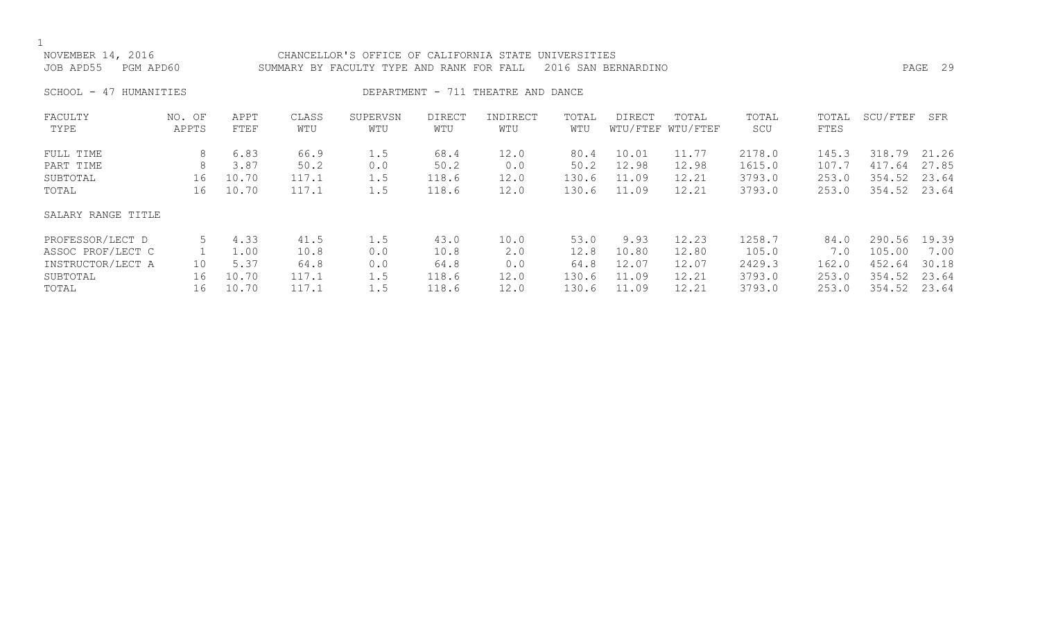| NOVEMBER 14, 2016<br>JOB APD55<br>PGM APD60 |                 |              |              | CHANCELLOR'S OFFICE OF CALIFORNIA STATE<br>SUMMARY BY FACULTY TYPE AND RANK FOR FALL |                      |                                    | UNIVERSITIES | 2016 SAN BERNARDINO |                            |              |               |          | PAGE 29 |
|---------------------------------------------|-----------------|--------------|--------------|--------------------------------------------------------------------------------------|----------------------|------------------------------------|--------------|---------------------|----------------------------|--------------|---------------|----------|---------|
| SCHOOL -<br>HUMANITIES<br>47                |                 |              |              |                                                                                      |                      | DEPARTMENT - 711 THEATRE AND DANCE |              |                     |                            |              |               |          |         |
| FACULTY<br>TYPE                             | NO. OF<br>APPTS | APPT<br>FTEF | CLASS<br>WTU | SUPERVSN<br>WTU                                                                      | <b>DIRECT</b><br>WTU | INDIRECT<br>WTU                    | TOTAL<br>WTU | DIRECT              | TOTAL<br>WTU/FTEF WTU/FTEF | TOTAL<br>SCU | TOTAL<br>FTES | SCU/FTEF | SFR     |
| FULL TIME                                   | 8               | 6.83         | 66.9         | 1.5                                                                                  | 68.4                 | 12.0                               | 80.4         | 10.01               | 11.77                      | 2178.0       | 145.3         | 318.79   | 21.26   |
| PART TIME                                   | 8               | 3.87         | 50.2         | 0.0                                                                                  | 50.2                 | 0.0                                | 50.2         | 12.98               | 12.98                      | 1615.0       | 107.7         | 417.64   | 27.85   |
| SUBTOTAL                                    | 16              | 10.70        | 117.1        | 1.5                                                                                  | 118.6                | 12.0                               | 130.6        | 11.09               | 12.21                      | 3793.0       | 253.0         | 354.52   | 23.64   |
| TOTAL                                       | 16              | 10.70        | 117.1        | 1.5                                                                                  | 118.6                | 12.0                               | 130.6        | 11.09               | 12.21                      | 3793.0       | 253.0         | 354.52   | 23.64   |
| SALARY RANGE TITLE                          |                 |              |              |                                                                                      |                      |                                    |              |                     |                            |              |               |          |         |
| PROFESSOR/LECT D                            | 5               | 4.33         | 41.5         | 1.5                                                                                  | 43.0                 | 10.0                               | 53.0         | 9.93                | 12.23                      | 1258.7       | 84.0          | 290.56   | 19.39   |
| ASSOC PROF/LECT C                           |                 | 1.00         | 10.8         | 0.0                                                                                  | 10.8                 | 2.0                                | 12.8         | 10.80               | 12.80                      | 105.0        | 7.0           | 105.00   | 7.00    |
| INSTRUCTOR/LECT A                           | 10              | 5.37         | 64.8         | 0.0                                                                                  | 64.8                 | 0.0                                | 64.8         | 12.07               | 12.07                      | 2429.3       | 162.0         | 452.64   | 30.18   |
| SUBTOTAL                                    | 16              | 10.70        | 117.1        | 1.5                                                                                  | 118.6                | 12.0                               | 130.6        | 11.09               | 12.21                      | 3793.0       | 253.0         | 354.52   | 23.64   |
| TOTAL                                       | 16              | 10.70        | 117.1        | 1.5                                                                                  | 118.6                | 12.0                               | 130.6        | 11.09               | 12.21                      | 3793.0       | 253.0         | 354.52   | 23.64   |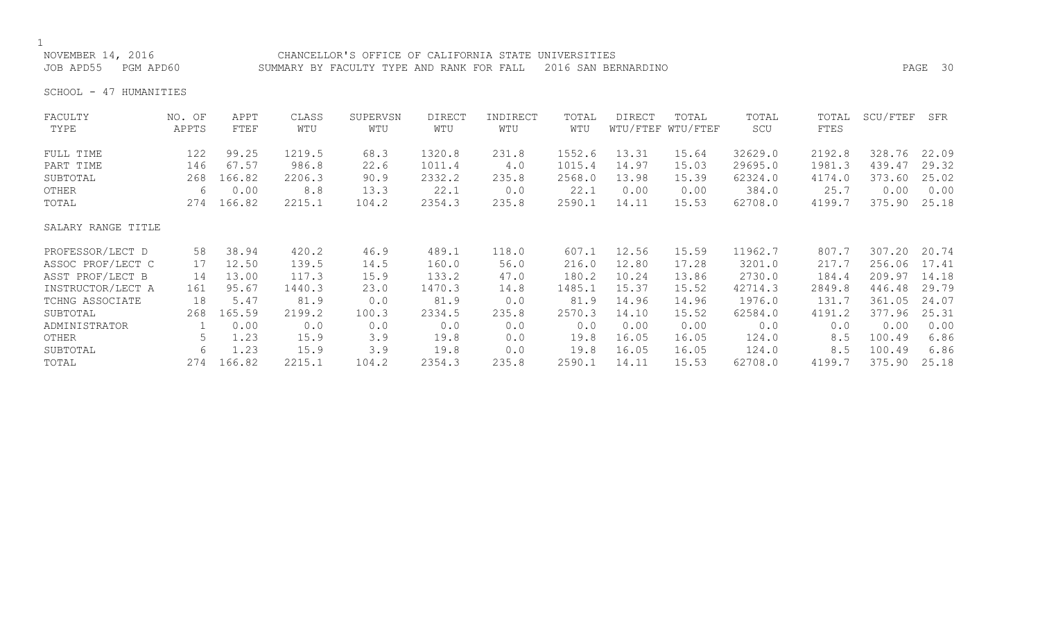## NOVEMBER 14, 2016 CHANCELLOR'S OFFICE OF CALIFORNIA STATE UNIVERSITIES

JOB APD55 PGM APD60 SUMMARY BY FACULTY TYPE AND RANK FOR FALL 2016 SAN BERNARDINO PAGE 30

SCHOOL - 47 HUMANITIES

| FACULTY            | NO. OF | APPT       | CLASS  | SUPERVSN | <b>DIRECT</b> | INDIRECT | TOTAL  | DIRECT | TOTAL             | TOTAL   | TOTAL  | SCU/FTEF | SFR   |
|--------------------|--------|------------|--------|----------|---------------|----------|--------|--------|-------------------|---------|--------|----------|-------|
| TYPE               | APPTS  | FTEF       | WTU    | WTU      | WTU           | WTU      | WTU    |        | WTU/FTEF WTU/FTEF | SCU     | FTES   |          |       |
| FULL TIME          | 122    | 99.25      | 1219.5 | 68.3     | 1320.8        | 231.8    | 1552.6 | 13.31  | 15.64             | 32629.0 | 2192.8 | 328.76   | 22.09 |
| PART TIME          | 146    | 67.57      | 986.8  | 22.6     | 1011.4        | 4.0      | 1015.4 | 14.97  | 15.03             | 29695.0 | 1981.3 | 439.47   | 29.32 |
| SUBTOTAL           | 268    | 166.82     | 2206.3 | 90.9     | 2332.2        | 235.8    | 2568.0 | 13.98  | 15.39             | 62324.0 | 4174.0 | 373.60   | 25.02 |
| OTHER              | 6      | 0.00       | 8.8    | 13.3     | 22.1          | 0.0      | 22.1   | 0.00   | 0.00              | 384.0   | 25.7   | 0.00     | 0.00  |
| TOTAL              | 274    | 166.82     | 2215.1 | 104.2    | 2354.3        | 235.8    | 2590.1 | 14.11  | 15.53             | 62708.0 | 4199.7 | 375.90   | 25.18 |
| SALARY RANGE TITLE |        |            |        |          |               |          |        |        |                   |         |        |          |       |
| PROFESSOR/LECT D   | 58     | 38.94      | 420.2  | 46.9     | 489.1         | 118.0    | 607.1  | 12.56  | 15.59             | 11962.7 | 807.7  | 307.20   | 20.74 |
| ASSOC PROF/LECT C  | 17     | 12.50      | 139.5  | 14.5     | 160.0         | 56.0     | 216.0  | 12.80  | 17.28             | 3201.0  | 217.7  | 256.06   | 17.41 |
| ASST PROF/LECT B   | 14     | 13.00      | 117.3  | 15.9     | 133.2         | 47.0     | 180.2  | 10.24  | 13.86             | 2730.0  | 184.4  | 209.97   | 14.18 |
| INSTRUCTOR/LECT A  | 161    | 95.67      | 1440.3 | 23.0     | 1470.3        | 14.8     | 1485.1 | 15.37  | 15.52             | 42714.3 | 2849.8 | 446.48   | 29.79 |
| TCHNG ASSOCIATE    | 18     | 5.47       | 81.9   | 0.0      | 81.9          | 0.0      | 81.9   | 14.96  | 14.96             | 1976.0  | 131.7  | 361.05   | 24.07 |
| SUBTOTAL           | 268    | 165.59     | 2199.2 | 100.3    | 2334.5        | 235.8    | 2570.3 | 14.10  | 15.52             | 62584.0 | 4191.2 | 377.96   | 25.31 |
| ADMINISTRATOR      |        | 0.00       | 0.0    | 0.0      | 0.0           | 0.0      | 0.0    | 0.00   | 0.00              | 0.0     | 0.0    | 0.00     | 0.00  |
| OTHER              | 5.     | 1.23       | 15.9   | 3.9      | 19.8          | 0.0      | 19.8   | 16.05  | 16.05             | 124.0   | 8.5    | 100.49   | 6.86  |
| SUBTOTAL           | 6      | 1.23       | 15.9   | 3.9      | 19.8          | 0.0      | 19.8   | 16.05  | 16.05             | 124.0   | 8.5    | 100.49   | 6.86  |
| TOTAL              |        | 274 166.82 | 2215.1 | 104.2    | 2354.3        | 235.8    | 2590.1 | 14.11  | 15.53             | 62708.0 | 4199.7 | 375.90   | 25.18 |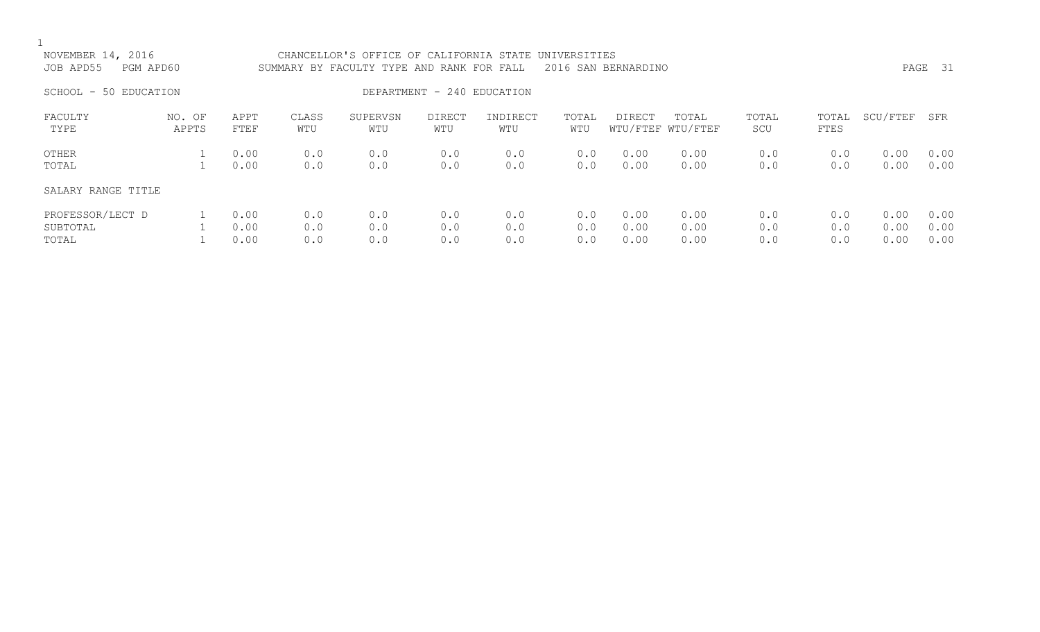| NOVEMBER 14, 2016<br>JOB APD55<br>SCHOOL - 50 EDUCATION | PGM APD60       |                      |                   | CHANCELLOR'S OFFICE OF CALIFORNIA STATE UNIVERSITIES<br>SUMMARY BY FACULTY TYPE AND RANK FOR FALL | DEPARTMENT - 240 EDUCATION |                   |                   | 2016 SAN BERNARDINO  |                            |                   |                   |                      | PAGE 31              |
|---------------------------------------------------------|-----------------|----------------------|-------------------|---------------------------------------------------------------------------------------------------|----------------------------|-------------------|-------------------|----------------------|----------------------------|-------------------|-------------------|----------------------|----------------------|
| FACULTY<br>TYPE                                         | NO. OF<br>APPTS | APPT<br>FTEF         | CLASS<br>WTU      | SUPERVSN<br>WTU                                                                                   | DIRECT<br>WTU              | INDIRECT<br>WTU   | TOTAL<br>WTU      | DIRECT               | TOTAL<br>WTU/FTEF WTU/FTEF | TOTAL<br>SCU      | TOTAL<br>FTES     | SCU/FTEF             | SFR                  |
| OTHER<br>TOTAL                                          |                 | 0.00<br>0.00         | 0.0<br>0.0        | 0.0<br>0.0                                                                                        | 0.0<br>0.0                 | 0.0<br>0.0        | 0.0<br>0.0        | 0.00<br>0.00         | 0.00<br>0.00               | 0.0<br>0.0        | 0.0<br>0.0        | 0.00<br>0.00         | 0.00<br>0.00         |
| SALARY RANGE TITLE                                      |                 |                      |                   |                                                                                                   |                            |                   |                   |                      |                            |                   |                   |                      |                      |
| PROFESSOR/LECT D<br>SUBTOTAL<br>TOTAL                   |                 | 0.00<br>0.00<br>0.00 | 0.0<br>0.0<br>0.0 | 0.0<br>0.0<br>0.0                                                                                 | 0.0<br>0.0<br>0.0          | 0.0<br>0.0<br>0.0 | 0.0<br>0.0<br>0.0 | 0.00<br>0.00<br>0.00 | 0.00<br>0.00<br>0.00       | 0.0<br>0.0<br>0.0 | 0.0<br>0.0<br>0.0 | 0.00<br>0.00<br>0.00 | 0.00<br>0.00<br>0.00 |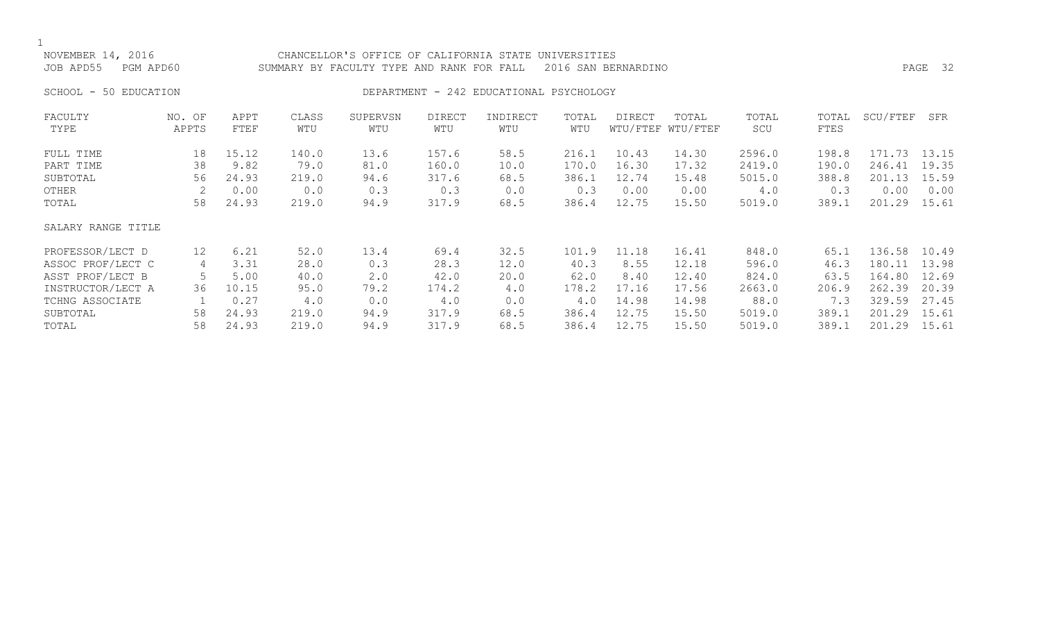| NOVEMBER 14, 2016<br>JOB APD55                       | PGM APD60            |                                         | CHANCELLOR'S OFFICE OF CALIFORNIA STATE UNIVERSITIES<br>SUMMARY BY FACULTY TYPE AND RANK FOR FALL |                                     |                                         |                                         | PAGE 32                                 |                                          |                                          |                                             |                                         |                                                    |                                 |
|------------------------------------------------------|----------------------|-----------------------------------------|---------------------------------------------------------------------------------------------------|-------------------------------------|-----------------------------------------|-----------------------------------------|-----------------------------------------|------------------------------------------|------------------------------------------|---------------------------------------------|-----------------------------------------|----------------------------------------------------|---------------------------------|
| SCHOOL - 50 EDUCATION                                |                      |                                         |                                                                                                   |                                     |                                         | DEPARTMENT - 242 EDUCATIONAL PSYCHOLOGY |                                         |                                          |                                          |                                             |                                         |                                                    |                                 |
| FACULTY<br>TYPE                                      | NO. OF<br>APPTS      | APPT<br>FTEF                            | CLASS<br>WTU                                                                                      | SUPERVSN<br>WTU                     | DIRECT<br>WTU                           | INDIRECT<br>WTU                         | TOTAL<br>WTU                            | DIRECT                                   | TOTAL<br>WTU/FTEF WTU/FTEF               | TOTAL<br>SCU                                | TOTAL<br>FTES                           | SCU/FTEF                                           | SFR                             |
| FULL TIME<br>PART TIME<br>SUBTOTAL<br>OTHER<br>TOTAL | 18<br>38<br>56<br>58 | 15.12<br>9.82<br>24.93<br>0.00<br>24.93 | 140.0<br>79.0<br>219.0<br>0.0<br>219.0                                                            | 13.6<br>81.0<br>94.6<br>0.3<br>94.9 | 157.6<br>160.0<br>317.6<br>0.3<br>317.9 | 58.5<br>10.0<br>68.5<br>0.0<br>68.5     | 216.1<br>170.0<br>386.1<br>0.3<br>386.4 | 10.43<br>16.30<br>12.74<br>0.00<br>12.75 | 14.30<br>17.32<br>15.48<br>0.00<br>15.50 | 2596.0<br>2419.0<br>5015.0<br>4.0<br>5019.0 | 198.8<br>190.0<br>388.8<br>0.3<br>389.1 | 171.73 13.15<br>246.41<br>201.13<br>0.00<br>201.29 | 19.35<br>15.59<br>0.00<br>15.61 |
| SALARY RANGE TITLE                                   |                      |                                         |                                                                                                   |                                     |                                         |                                         |                                         |                                          |                                          |                                             |                                         |                                                    |                                 |

| PROFESSOR/LECT D  |     | 6.21  | 52.0  | 13.4 | 69.4  | 32.5 | 101.9 | 11.18 | 16.41 | 848.0  | 65.1  | 136.58 | 10.49 |
|-------------------|-----|-------|-------|------|-------|------|-------|-------|-------|--------|-------|--------|-------|
| ASSOC PROF/LECT C |     | 3.31  | 28.0  |      | 28.3  | 12.0 | 40.3  | 8.55  | 12.18 | 596.0  | 46.3  | 180.11 | 13.98 |
| ASST PROF/LECT B  |     | 5.00  | 40.0  | 2.0  | 42.0  | 20.0 | 62.0  | 8.40  | 12.40 | 824.0  | 63.5  | 164.80 | 12.69 |
| INSTRUCTOR/LECT A | 36. | 10.15 | 95.0  | 79.2 | 174.2 | 4.0  | 178.2 | 17.16 | 17.56 | 2663.0 | 206.9 | 262.39 | 20.39 |
| TCHNG ASSOCIATE   |     | 0.27  | 4.0   | 0.0  | 4.0   | 0.0  | 4.0   | 14.98 | 14.98 | 88.0   | 7.3   | 329.59 | 27.45 |
| SUBTOTAL          | 58. | 24.93 | 219.0 | 94.9 | 317.9 | 68.5 | 386.4 | 12.75 | 15.50 | 5019.0 | 389.1 | 201.29 | 15.61 |
| TOTAL             | 58  | 24.93 | 219.0 | 94.9 | 317.9 | 68.5 | 386.4 | 12.75 | 15.50 | 5019.0 | 389.1 | 201.29 | 15.61 |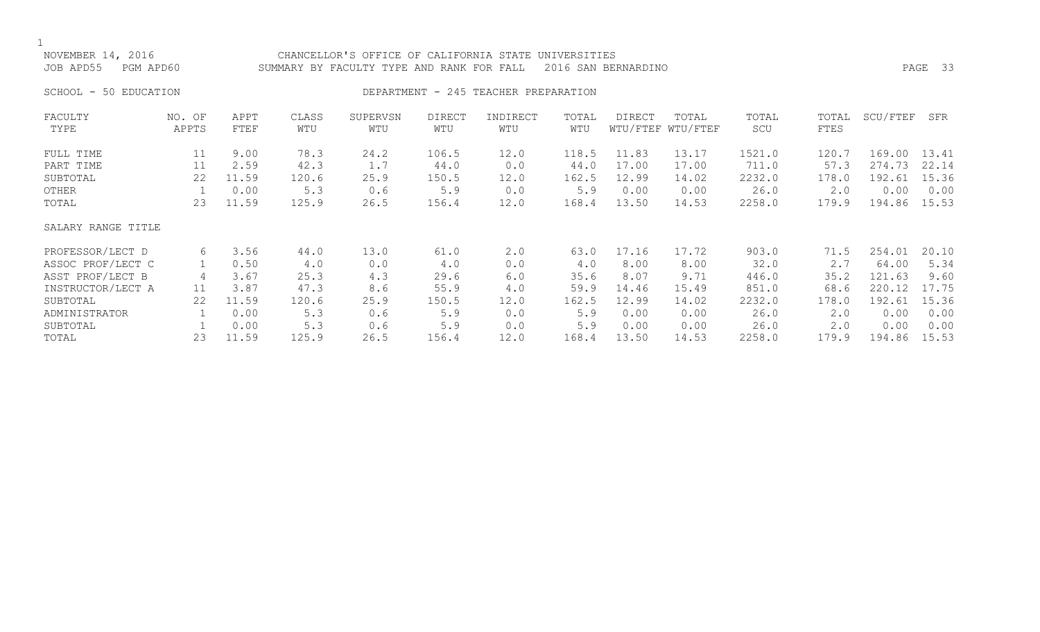NOVEMBER 14, 2016 CHANCELLOR'S OFFICE OF CALIFORNIA STATE UNIVERSITIES JOB APD55 PGM APD60 SUMMARY BY FACULTY TYPE AND RANK FOR FALL 2016 SAN BERNARDINO PAGE 33

### SCHOOL - 50 EDUCATION **DEPARTMENT - 245 TEACHER PREPARATION**

| FACULTY            | NO. OF | APPT  | CLASS | SUPERVSN | <b>DIRECT</b> | INDIRECT | TOTAL | DIRECT | TOTAL             | TOTAL  | TOTAL | SCU/FTEF | SFR   |
|--------------------|--------|-------|-------|----------|---------------|----------|-------|--------|-------------------|--------|-------|----------|-------|
| TYPE               | APPTS  | FTEF  | WTU   | WTU      | WTU           | WTU      | WTU   |        | WTU/FTEF WTU/FTEF | SCU    | FTES  |          |       |
| FULL TIME          | 11     | 9.00  | 78.3  | 24.2     | 106.5         | 12.0     | 118.5 | 11.83  | 13.17             | 1521.0 | 120.7 | 169.00   | 13.41 |
| PART TIME          | 11     | 2.59  | 42.3  | 1.7      | 44.0          | 0.0      | 44.0  | 17.00  | 17.00             | 711.0  | 57.3  | 274.73   | 22.14 |
| SUBTOTAL           | 22     | 11.59 | 120.6 | 25.9     | 150.5         | 12.0     | 162.5 | 12.99  | 14.02             | 2232.0 | 178.0 | 192.61   | 15.36 |
| OTHER              |        | 0.00  | 5.3   | 0.6      | 5.9           | 0.0      | 5.9   | 0.00   | 0.00              | 26.0   | 2.0   | 0.00     | 0.00  |
| TOTAL              | 23     | 11.59 | 125.9 | 26.5     | 156.4         | 12.0     | 168.4 | 13.50  | 14.53             | 2258.0 | 179.9 | 194.86   | 15.53 |
| SALARY RANGE TITLE |        |       |       |          |               |          |       |        |                   |        |       |          |       |
| PROFESSOR/LECT D   | 6      | 3.56  | 44.0  | 13.0     | 61.0          | 2.0      | 63.0  | 17.16  | 17.72             | 903.0  | 71.5  | 254.01   | 20.10 |
| ASSOC PROF/LECT C  |        | 0.50  | 4.0   | 0.0      | 4.0           | 0.0      | 4.0   | 8.00   | 8.00              | 32.0   | 2.7   | 64.00    | 5.34  |
| ASST PROF/LECT B   | 4      | 3.67  | 25.3  | 4.3      | 29.6          | 6.0      | 35.6  | 8.07   | 9.71              | 446.0  | 35.2  | 121.63   | 9.60  |
| INSTRUCTOR/LECT A  | 11     | 3.87  | 47.3  | 8.6      | 55.9          | 4.0      | 59.9  | 14.46  | 15.49             | 851.0  | 68.6  | 220.12   | 17.75 |
| SUBTOTAL           | 22     | 11.59 | 120.6 | 25.9     | 150.5         | 12.0     | 162.5 | 12.99  | 14.02             | 2232.0 | 178.0 | 192.61   | 15.36 |
| ADMINISTRATOR      |        | 0.00  | 5.3   | 0.6      | 5.9           | 0.0      | 5.9   | 0.00   | 0.00              | 26.0   | 2.0   | 0.00     | 0.00  |
| SUBTOTAL           |        | 0.00  | 5.3   | 0.6      | 5.9           | 0.0      | 5.9   | 0.00   | 0.00              | 26.0   | 2.0   | 0.00     | 0.00  |
| TOTAL              | 23     | 11.59 | 125.9 | 26.5     | 156.4         | 12.0     | 168.4 | 13.50  | 14.53             | 2258.0 | 179.9 | 194.86   | 15.53 |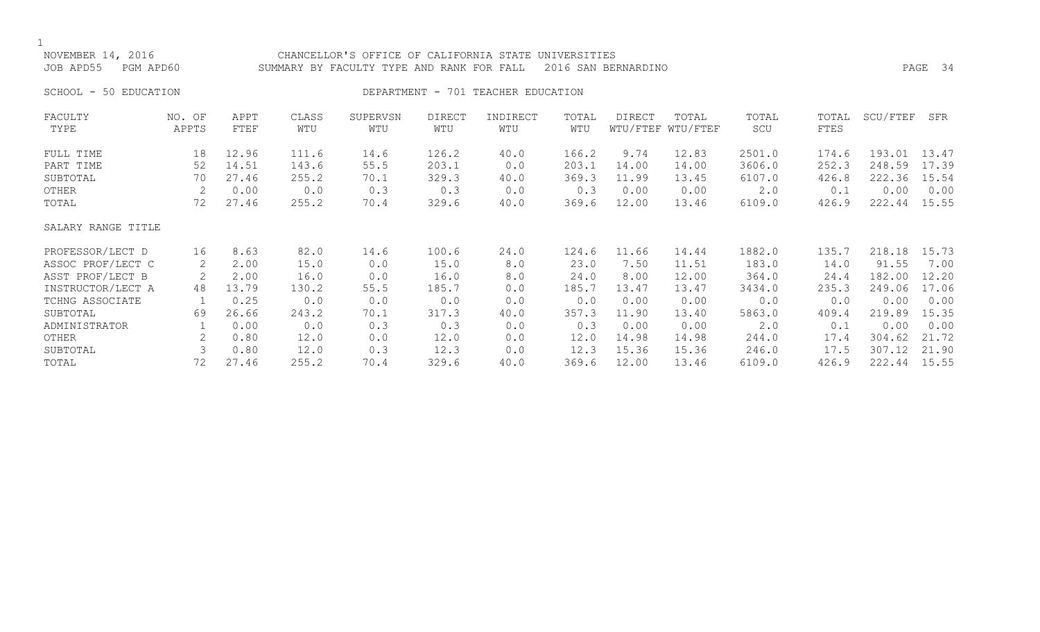| NOVEMBER 14, 2016<br>JOB APD55<br>PGM APD60 |                 |              | CHANCELLOR'S OFFICE OF CALIFORNIA STATE UNIVERSITIES<br>SUMMARY BY FACULTY TYPE AND RANK FOR FALL |                 | PAGE 34              |                                    |              |        |                            |              |               |          |       |
|---------------------------------------------|-----------------|--------------|---------------------------------------------------------------------------------------------------|-----------------|----------------------|------------------------------------|--------------|--------|----------------------------|--------------|---------------|----------|-------|
| 50 EDUCATION<br>SCHOOL -                    |                 |              |                                                                                                   |                 |                      | DEPARTMENT - 701 TEACHER EDUCATION |              |        |                            |              |               |          |       |
| FACULTY<br>TYPE                             | NO. OF<br>APPTS | APPT<br>FTEF | CLASS<br>WTU                                                                                      | SUPERVSN<br>WTU | <b>DIRECT</b><br>WTU | INDIRECT<br>WTU                    | TOTAL<br>WTU | DIRECT | TOTAL<br>WTU/FTEF WTU/FTEF | TOTAL<br>SCU | TOTAL<br>FTES | SCU/FTEF | SFR   |
| FULL TIME                                   | 18              | 12.96        | 111.6                                                                                             | 14.6            | 126.2                | 40.0                               | 166.2        | 9.74   | 12.83                      | 2501.0       | 174.6         | 193.01   | 13.47 |
| PART TIME                                   | 52              | 14.51        | 143.6                                                                                             | 55.5            | 203.1                | 0.0                                | 203.1        | 14.00  | 14.00                      | 3606.0       | 252.3         | 248.59   | 17.39 |
| SUBTOTAL                                    | 70              | 27.46        | 255.2                                                                                             | 70.1            | 329.3                | 40.0                               | 369.3        | 11.99  | 13.45                      | 6107.0       | 426.8         | 222.36   | 15.54 |
| OTHER                                       | 2               | 0.00         | 0.0                                                                                               | 0.3             | 0.3                  | 0.0                                | 0.3          | 0.00   | 0.00                       | 2.0          | 0.1           | 0.00     | 0.00  |
| TOTAL                                       | 72              | 27.46        | 255.2                                                                                             | 70.4            | 329.6                | 40.0                               | 369.6        | 12.00  | 13.46                      | 6109.0       | 426.9         | 222.44   | 15.55 |
| SALARY RANGE TITLE                          |                 |              |                                                                                                   |                 |                      |                                    |              |        |                            |              |               |          |       |
| PROFESSOR/LECT D                            | 16              | 8.63         | 82.0                                                                                              | 14.6            | 100.6                | 24.0                               | 124.6        | 11.66  | 14.44                      | 1882.0       | 135.7         | 218.18   | 15.73 |
| ASSOC PROF/LECT C                           | 2               | 2.00         | 15.0                                                                                              | 0.0             | 15.0                 | 8.0                                | 23.0         | 7.50   | 11.51                      | 183.0        | 14.0          | 91.55    | 7.00  |
| ASST PROF/LECT B                            |                 | 2.00         | 16.0                                                                                              | 0.0             | 16.0                 | 8.0                                | 24.0         | 8.00   | 12.00                      | 364.0        | 24.4          | 182.00   | 12.20 |
| INSTRUCTOR/LECT A                           | 48              | 13.79        | 130.2                                                                                             | 55.5            | 185.7                | 0.0                                | 185.7        | 13.47  | 13.47                      | 3434.0       | 235.3         | 249.06   | 17.06 |
| TCHNG ASSOCIATE                             |                 | 0.25         | 0.0                                                                                               | 0.0             | 0.0                  | 0.0                                | 0.0          | 0.00   | 0.00                       | 0.0          | 0.0           | 0.00     | 0.00  |
| SUBTOTAL                                    | 69              | 26.66        | 243.2                                                                                             | 70.1            | 317.3                | 40.0                               | 357.3        | 11.90  | 13.40                      | 5863.0       | 409.4         | 219.89   | 15.35 |
| ADMINISTRATOR                               |                 | 0.00         | 0.0                                                                                               | 0.3             | 0.3                  | 0.0                                | 0.3          | 0.00   | 0.00                       | 2.0          | 0.1           | 0.00     | 0.00  |
| OTHER                                       | 2               | 0.80         | 12.0                                                                                              | 0.0             | 12.0                 | 0.0                                | 12.0         | 14.98  | 14.98                      | 244.0        | 17.4          | 304.62   | 21.72 |
| SUBTOTAL                                    |                 | 0.80         | 12.0                                                                                              | 0.3             | 12.3                 | 0.0                                | 12.3         | 15.36  | 15.36                      | 246.0        | 17.5          | 307.12   | 21.90 |
| TOTAL                                       | 72              | 27.46        | 255.2                                                                                             | 70.4            | 329.6                | 40.0                               | 369.6        | 12.00  | 13.46                      | 6109.0       | 426.9         | 222.44   | 15.55 |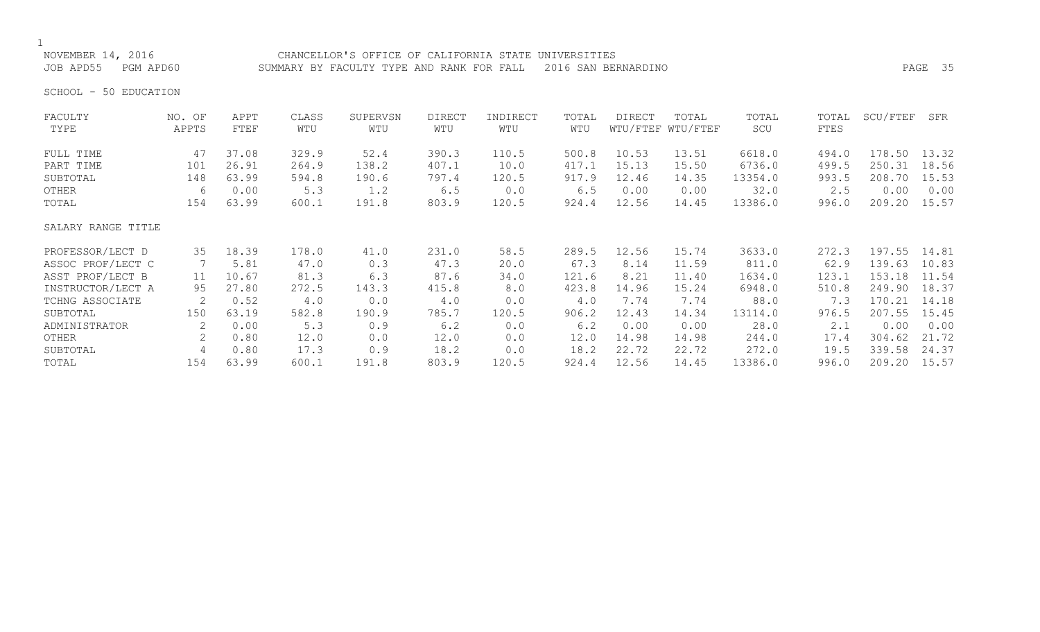NOVEMBER 14, 2016 CHANCELLOR'S OFFICE OF CALIFORNIA STATE UNIVERSITIES JOB APD55 PGM APD60 SUMMARY BY FACULTY TYPE AND RANK FOR FALL 2016 SAN BERNARDINO PAGE 35

SCHOOL - 50 EDUCATION

| FACULTY            | NO. OF | APPT  | CLASS | SUPERVSN | <b>DIRECT</b> | INDIRECT | TOTAL | DIRECT | TOTAL             | TOTAL   | TOTAL | SCU/FTEF | SFR   |
|--------------------|--------|-------|-------|----------|---------------|----------|-------|--------|-------------------|---------|-------|----------|-------|
| TYPE               | APPTS  | FTEF  | WTU   | WTU      | WTU           | WTU      | WTU   |        | WTU/FTEF WTU/FTEF | SCU     | FTES  |          |       |
| FULL TIME          | 47     | 37.08 | 329.9 | 52.4     | 390.3         | 110.5    | 500.8 | 10.53  | 13.51             | 6618.0  | 494.0 | 178.50   | 13.32 |
| PART TIME          | 101    | 26.91 | 264.9 | 138.2    | 407.1         | 10.0     | 417.1 | 15.13  | 15.50             | 6736.0  | 499.5 | 250.31   | 18.56 |
| SUBTOTAL           | 148    | 63.99 | 594.8 | 190.6    | 797.4         | 120.5    | 917.9 | 12.46  | 14.35             | 13354.0 | 993.5 | 208.70   | 15.53 |
| OTHER              | 6      | 0.00  | 5.3   | 1.2      | 6.5           | 0.0      | $6.5$ | 0.00   | 0.00              | 32.0    | 2.5   | 0.00     | 0.00  |
| TOTAL              | 154    | 63.99 | 600.1 | 191.8    | 803.9         | 120.5    | 924.4 | 12.56  | 14.45             | 13386.0 | 996.0 | 209.20   | 15.57 |
| SALARY RANGE TITLE |        |       |       |          |               |          |       |        |                   |         |       |          |       |
| PROFESSOR/LECT D   | 35     | 18.39 | 178.0 | 41.0     | 231.0         | 58.5     | 289.5 | 12.56  | 15.74             | 3633.0  | 272.3 | 197.55   | 14.81 |
| ASSOC PROF/LECT C  |        | 5.81  | 47.0  | 0.3      | 47.3          | 20.0     | 67.3  | 8.14   | 11.59             | 811.0   | 62.9  | 139.63   | 10.83 |
| ASST PROF/LECT B   | 11     | 10.67 | 81.3  | 6.3      | 87.6          | 34.0     | 121.6 | 8.21   | 11.40             | 1634.0  | 123.1 | 153.18   | 11.54 |
| INSTRUCTOR/LECT A  | 95     | 27.80 | 272.5 | 143.3    | 415.8         | 8.0      | 423.8 | 14.96  | 15.24             | 6948.0  | 510.8 | 249.90   | 18.37 |
| TCHNG ASSOCIATE    | 2      | 0.52  | 4.0   | 0.0      | 4.0           | 0.0      | 4.0   | 7.74   | 7.74              | 88.0    | 7.3   | 170.21   | 14.18 |
| SUBTOTAL           | 150    | 63.19 | 582.8 | 190.9    | 785.7         | 120.5    | 906.2 | 12.43  | 14.34             | 13114.0 | 976.5 | 207.55   | 15.45 |
| ADMINISTRATOR      | 2      | 0.00  | 5.3   | 0.9      | 6.2           | 0.0      | 6.2   | 0.00   | 0.00              | 28.0    | 2.1   | 0.00     | 0.00  |
| OTHER              | 2      | 0.80  | 12.0  | 0.0      | 12.0          | 0.0      | 12.0  | 14.98  | 14.98             | 244.0   | 17.4  | 304.62   | 21.72 |
| SUBTOTAL           | 4      | 0.80  | 17.3  | 0.9      | 18.2          | 0.0      | 18.2  | 22.72  | 22.72             | 272.0   | 19.5  | 339.58   | 24.37 |
| TOTAL              | 154    | 63.99 | 600.1 | 191.8    | 803.9         | 120.5    | 924.4 | 12.56  | 14.45             | 13386.0 | 996.0 | 209.20   | 15.57 |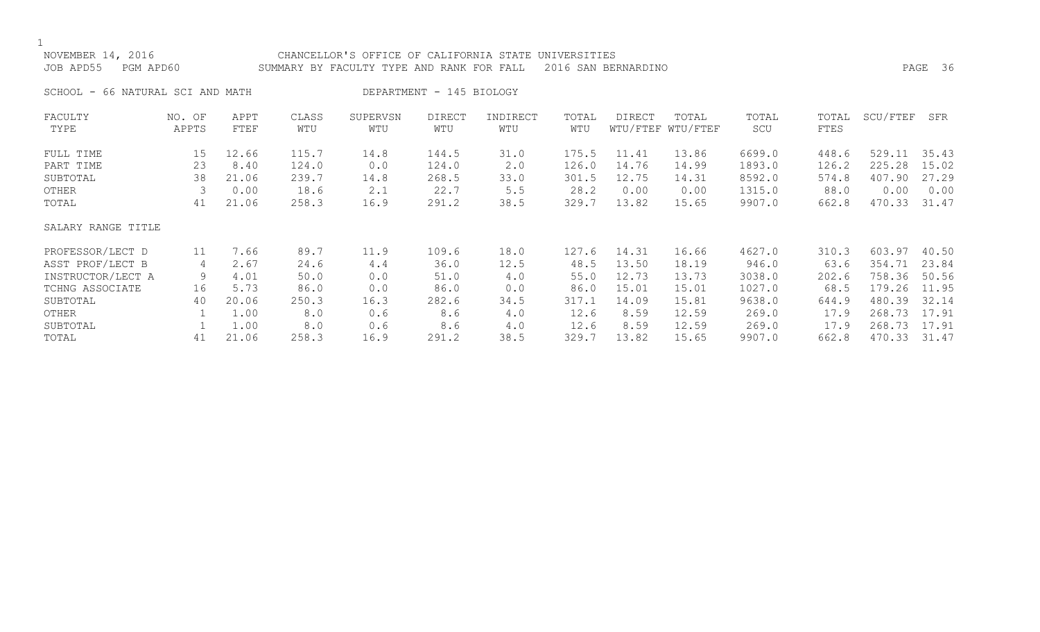1<br>NOVE

| NOVEMBER 14, 2016   | CHANCELLOR'S OFFICE OF CALIFORNIA STATE UNIVERSITIES          |         |  |
|---------------------|---------------------------------------------------------------|---------|--|
| JOB APD55 PGM APD60 | SUMMARY BY FACULTY TYPE AND RANK FOR FALL 2016 SAN BERNARDINO | PAGE 36 |  |

SCHOOL - 66 NATURAL SCI AND MATH DEPARTMENT - 145 BIOLOGY

| FACULTY            | NO. OF | APPT  | CLASS | SUPERVSN | <b>DIRECT</b> | INDIRECT | TOTAL | <b>DIRECT</b> | TOTAL             | TOTAL  | TOTAL | SCU/FTEF | SFR   |
|--------------------|--------|-------|-------|----------|---------------|----------|-------|---------------|-------------------|--------|-------|----------|-------|
| TYPE               | APPTS  | FTEF  | WTU   | WTU      | WTU           | WTU      | WTU   |               | WTU/FTEF WTU/FTEF | SCU    | FTES  |          |       |
| FULL TIME          | 15     | 12.66 | 115.7 | 14.8     | 144.5         | 31.0     | 175.5 | 11.41         | 13.86             | 6699.0 | 448.6 | 529.11   | 35.43 |
| PART TIME          | 23     | 8.40  | 124.0 | 0.0      | 124.0         | 2.0      | 126.0 | 14.76         | 14.99             | 1893.0 | 126.2 | 225.28   | 15.02 |
| SUBTOTAL           | 38     | 21.06 | 239.7 | 14.8     | 268.5         | 33.0     | 301.5 | 12.75         | 14.31             | 8592.0 | 574.8 | 407.90   | 27.29 |
| OTHER              |        | 0.00  | 18.6  | 2.1      | 22.7          | 5.5      | 28.2  | 0.00          | 0.00              | 1315.0 | 88.0  | 0.00     | 0.00  |
| TOTAL              | 41     | 21.06 | 258.3 | 16.9     | 291.2         | 38.5     | 329.7 | 13.82         | 15.65             | 9907.0 | 662.8 | 470.33   | 31.47 |
| SALARY RANGE TITLE |        |       |       |          |               |          |       |               |                   |        |       |          |       |
| PROFESSOR/LECT D   | 11     | 7.66  | 89.7  | 11.9     | 109.6         | 18.0     | 127.6 | 14.31         | 16.66             | 4627.0 | 310.3 | 603.97   | 40.50 |
| ASST PROF/LECT B   | 4      | 2.67  | 24.6  | 4.4      | 36.0          | 12.5     | 48.5  | 13.50         | 18.19             | 946.0  | 63.6  | 354.71   | 23.84 |
| INSTRUCTOR/LECT A  | 9      | 4.01  | 50.0  | 0.0      | 51.0          | 4.0      | 55.0  | 12.73         | 13.73             | 3038.0 | 202.6 | 758.36   | 50.56 |
| TCHNG ASSOCIATE    | 16     | 5.73  | 86.0  | 0.0      | 86.0          | 0.0      | 86.0  | 15.01         | 15.01             | 1027.0 | 68.5  | 179.26   | 11.95 |
| SUBTOTAL           | 40     | 20.06 | 250.3 | 16.3     | 282.6         | 34.5     | 317.1 | 14.09         | 15.81             | 9638.0 | 644.9 | 480.39   | 32.14 |
| OTHER              |        | 1.00  | 8.0   | 0.6      | 8.6           | 4.0      | 12.6  | 8.59          | 12.59             | 269.0  | 17.9  | 268.73   | 17.91 |
| SUBTOTAL           |        | 1.00  | 8.0   | 0.6      | 8.6           | 4.0      | 12.6  | 8.59          | 12.59             | 269.0  | 17.9  | 268.73   | 17.91 |
| TOTAL              | 41     | 21.06 | 258.3 | 16.9     | 291.2         | 38.5     | 329.7 | 13.82         | 15.65             | 9907.0 | 662.8 | 470.33   | 31.47 |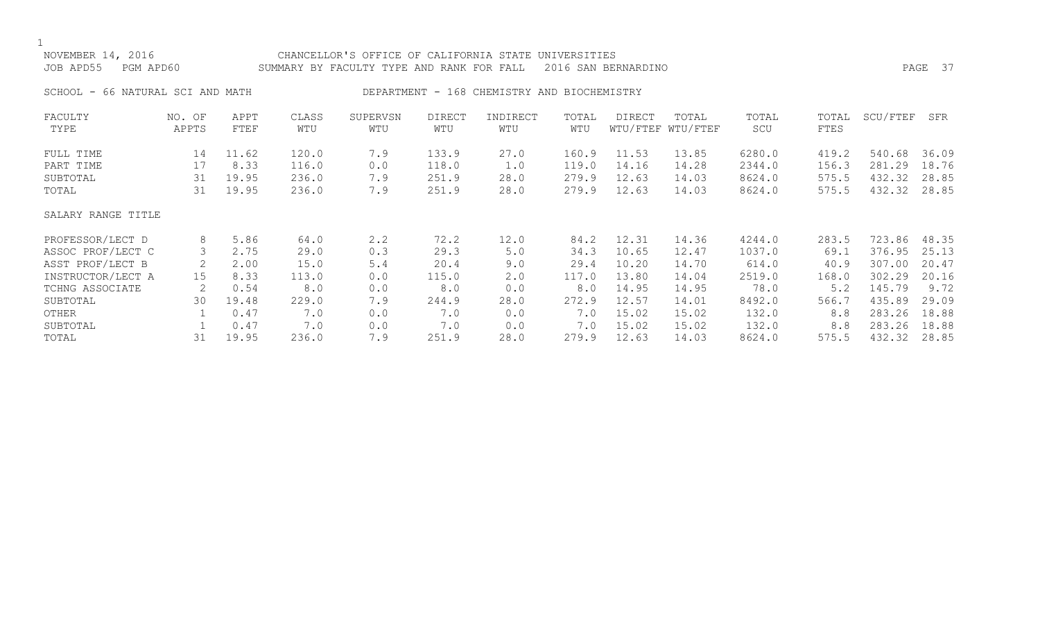|--|

## NOVEMBER 14, 2016 CHANCELLOR'S OFFICE OF CALIFORNIA STATE UNIVERSITIES JOB APD55 PGM APD60 SUMMARY BY FACULTY TYPE AND RANK FOR FALL 2016 SAN BERNARDINO PAGE 37 SCHOOL - 66 NATURAL SCI AND MATH DEPARTMENT - 168 CHEMISTRY AND BIOCHEMISTRY FACULTY NO. OF APPT CLASS SUPERVSN DIRECT INDIRECT TOTAL DIRECT TOTAL TOTAL TOTAL SCU/FTEF SFR TYPE APPTS FTEF WTU WTU WTU WTU WTU WTU/FTEF WTU/FTEF SCU FTES FULL TIME 14 11.62 120.0 7.9 133.9 27.0 160.9 11.53 13.85 6280.0 419.2 540.68 36.09 PART TIME 17 8.33 116.0 0.0 118.0 1.0 119.0 14.16 14.28 2344.0 156.3 281.29 18.76 SUBTOTAL 31 19.95 236.0 7.9 251.9 28.0 279.9 12.63 14.03 8624.0 575.5 432.32 28.85 TOTAL 31 19.95 236.0 7.9 251.9 28.0 279.9 12.63 14.03 8624.0 575.5 432.32 28.85 SALARY RANGE TITLE PROFESSOR/LECT D 8 5.86 64.0 2.2 72.2 12.0 84.2 12.31 14.36 4244.0 283.5 723.86 48.35 ASSOC PROF/LECT C 3 2.75 29.0 0.3 29.3 5.0 34.3 10.65 12.47 1037.0 69.1 376.95 25.13 ASST PROF/LECT B 2 2.00 15.0 5.4 20.4 9.0 29.4 10.20 14.70 614.0 40.9 307.00 20.47 INSTRUCTOR/LECT A 15 8.33 113.0 0.0 115.0 2.0 117.0 13.80 14.04 2519.0 168.0 302.29 20.16 TCHNG ASSOCIATE 2 0.54 8.0 0.0 8.0 0.0 8.0 14.95 14.95 78.0 5.2 145.79 9.72 SUBTOTAL 30 19.48 229.0 7.9 244.9 28.0 272.9 12.57 14.01 8492.0 566.7 435.89 29.09

OTHER 1 0.47 7.0 0.0 7.0 0.0 7.0 15.02 15.02 132.0 8.8 283.26 18.88<br>SUBTOTAL 1 0.47 7.0 0.0 7.0 0.0 7.0 15.02 15.02 132.0 8.8 283.26 18.88 SUBTOTAL 1 0.47 7.0 0.0 7.0 0.0 7.0 15.02 15.02 132.0 8.8 283.26 18.88 TOTAL 31 19.95 236.0 7.9 251.9 28.0 279.9 12.63 14.03 8624.0 575.5 432.32 28.85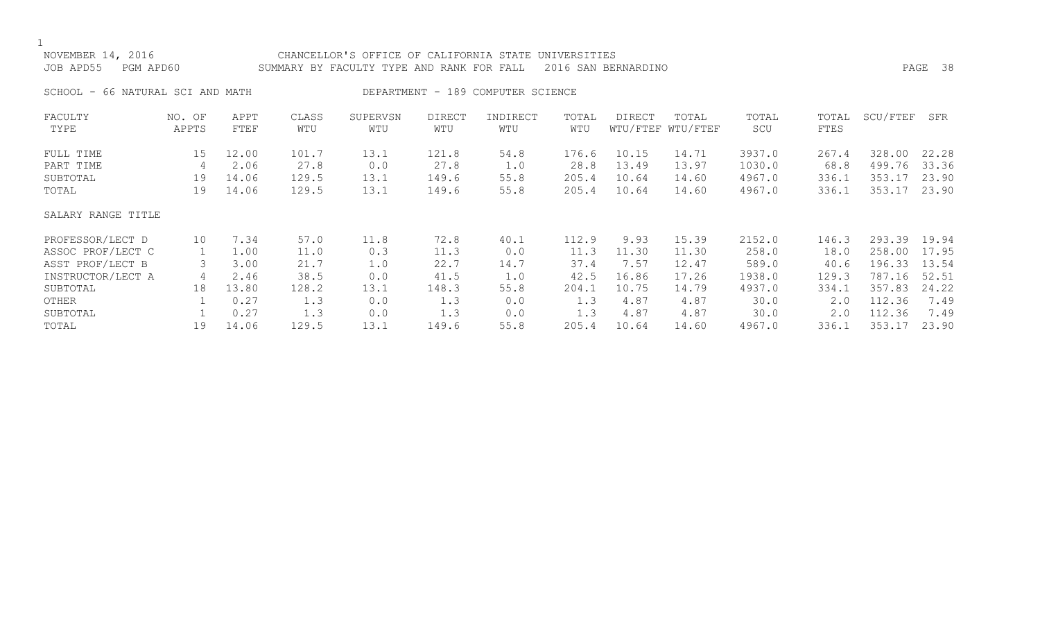| NOVEMBER 14, 2016<br>JOB APD55<br>PGM APD60 |                 |              |              | CHANCELLOR'S OFFICE OF CALIFORNIA STATE UNIVERSITIES<br>SUMMARY BY FACULTY TYPE AND RANK FOR FALL |                      | PAGE 38                           |              |        |                            |              |               |          |       |
|---------------------------------------------|-----------------|--------------|--------------|---------------------------------------------------------------------------------------------------|----------------------|-----------------------------------|--------------|--------|----------------------------|--------------|---------------|----------|-------|
| SCHOOL - 66 NATURAL SCI AND MATH            |                 |              |              |                                                                                                   |                      | DEPARTMENT - 189 COMPUTER SCIENCE |              |        |                            |              |               |          |       |
| FACULTY<br>TYPE                             | NO. OF<br>APPTS | APPT<br>FTEF | CLASS<br>WTU | SUPERVSN<br>WTU                                                                                   | <b>DIRECT</b><br>WTU | INDIRECT<br>WTU                   | TOTAL<br>WTU | DIRECT | TOTAL<br>WTU/FTEF WTU/FTEF | TOTAL<br>SCU | TOTAL<br>FTES | SCU/FTEF | SFR   |
| FULL TIME                                   | 15              | 12.00        | 101.7        | 13.1                                                                                              | 121.8                | 54.8                              | 176.6        | 10.15  | 14.71                      | 3937.0       | 267.4         | 328.00   | 22.28 |
| PART TIME                                   | 4               | 2.06         | 27.8         | 0.0                                                                                               | 27.8                 | 1.0                               | 28.8         | 13.49  | 13.97                      | 1030.0       | 68.8          | 499.76   | 33.36 |
| SUBTOTAL                                    | 19              | 14.06        | 129.5        | 13.1                                                                                              | 149.6                | 55.8                              | 205.4        | 10.64  | 14.60                      | 4967.0       | 336.1         | 353.17   | 23.90 |
| TOTAL                                       | 19              | 14.06        | 129.5        | 13.1                                                                                              | 149.6                | 55.8                              | 205.4        | 10.64  | 14.60                      | 4967.0       | 336.1         | 353.17   | 23.90 |
| SALARY RANGE TITLE                          |                 |              |              |                                                                                                   |                      |                                   |              |        |                            |              |               |          |       |
| PROFESSOR/LECT D                            | 10              | 7.34         | 57.0         | 11.8                                                                                              | 72.8                 | 40.1                              | 112.9        | 9.93   | 15.39                      | 2152.0       | 146.3         | 293.39   | 19.94 |
| ASSOC PROF/LECT C                           | 1               | 1.00         | 11.0         | 0.3                                                                                               | 11.3                 | 0.0                               | 11.3         | 11.30  | 11.30                      | 258.0        | 18.0          | 258.00   | 17.95 |
| ASST PROF/LECT B                            | 3               | 3.00         | 21.7         | 1.0                                                                                               | 22.7                 | 14.7                              | 37.4         | 7.57   | 12.47                      | 589.0        | 40.6          | 196.33   | 13.54 |
| INSTRUCTOR/LECT A                           | 4               | 2.46         | 38.5         | 0.0                                                                                               | 41.5                 | 1.0                               | 42.5         | 16.86  | 17.26                      | 1938.0       | 129.3         | 787.16   | 52.51 |
| SUBTOTAL                                    | 18              | 13.80        | 128.2        | 13.1                                                                                              | 148.3                | 55.8                              | 204.1        | 10.75  | 14.79                      | 4937.0       | 334.1         | 357.83   | 24.22 |
| OTHER                                       |                 | 0.27         | 1.3          | 0.0                                                                                               | 1.3                  | 0.0                               | 1.3          | 4.87   | 4.87                       | 30.0         | 2.0           | 112.36   | 7.49  |
| SUBTOTAL                                    |                 | 0.27         | 1.3          | 0.0                                                                                               | 1.3                  | 0.0                               | 1.3          | 4.87   | 4.87                       | 30.0         | 2.0           | 112.36   | 7.49  |
| TOTAL                                       | 19              | 14.06        | 129.5        | 13.1                                                                                              | 149.6                | 55.8                              | 205.4        | 10.64  | 14.60                      | 4967.0       | 336.1         | 353.17   | 23.90 |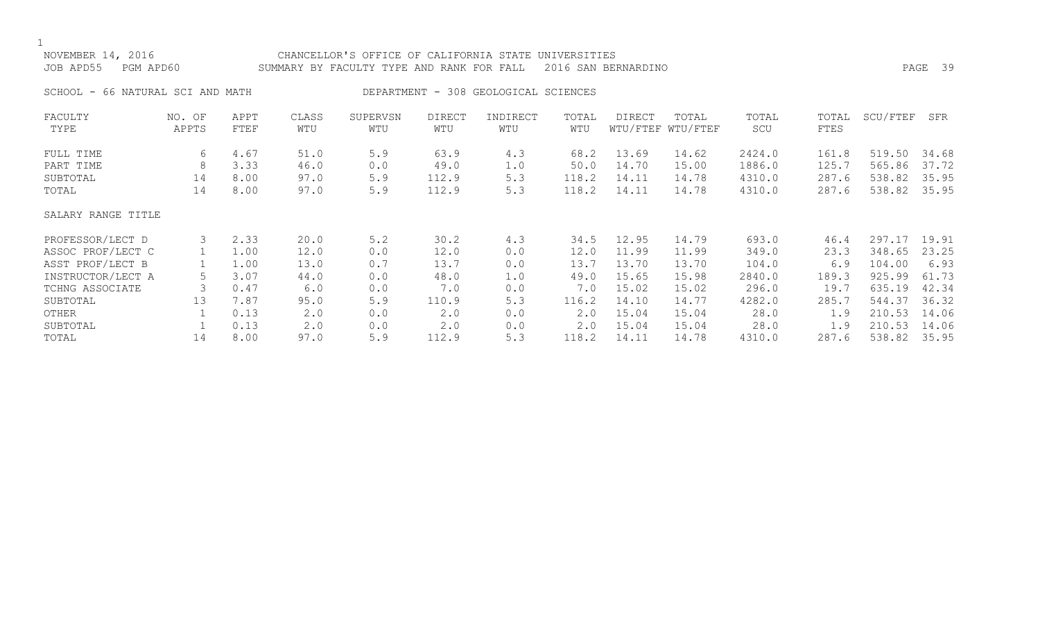| NOVEMBER 14, 2016<br>JOB APD55<br>PGM APD60 |                 |              |              | CHANCELLOR'S OFFICE OF CALIFORNIA STATE UNIVERSITIES<br>SUMMARY BY FACULTY TYPE AND RANK FOR FALL |                      | PAGE 39                              |              |        |                            |              |               |          |       |
|---------------------------------------------|-----------------|--------------|--------------|---------------------------------------------------------------------------------------------------|----------------------|--------------------------------------|--------------|--------|----------------------------|--------------|---------------|----------|-------|
| SCHOOL - 66 NATURAL SCI AND MATH            |                 |              |              |                                                                                                   |                      | DEPARTMENT - 308 GEOLOGICAL SCIENCES |              |        |                            |              |               |          |       |
| FACULTY<br>TYPE                             | NO. OF<br>APPTS | APPT<br>FTEF | CLASS<br>WTU | SUPERVSN<br>WTU                                                                                   | <b>DIRECT</b><br>WTU | INDIRECT<br>WTU                      | TOTAL<br>WTU | DIRECT | TOTAL<br>WTU/FTEF WTU/FTEF | TOTAL<br>SCU | TOTAL<br>FTES | SCU/FTEF | SFR   |
| FULL TIME                                   | 6               | 4.67         | 51.0         | 5.9                                                                                               | 63.9                 | 4.3                                  | 68.2         | 13.69  | 14.62                      | 2424.0       | 161.8         | 519.50   | 34.68 |
| PART TIME                                   | 8               | 3.33         | 46.0         | 0.0                                                                                               | 49.0                 | 1.0                                  | 50.0         | 14.70  | 15.00                      | 1886.0       | 125.7         | 565.86   | 37.72 |
| SUBTOTAL                                    | 14              | 8.00         | 97.0         | 5.9                                                                                               | 112.9                | 5.3                                  | 118.2        | 14.11  | 14.78                      | 4310.0       | 287.6         | 538.82   | 35.95 |
| TOTAL                                       | 14              | 8.00         | 97.0         | 5.9                                                                                               | 112.9                | 5.3                                  | 118.2        | 14.11  | 14.78                      | 4310.0       | 287.6         | 538.82   | 35.95 |
| SALARY RANGE TITLE                          |                 |              |              |                                                                                                   |                      |                                      |              |        |                            |              |               |          |       |
| PROFESSOR/LECT D                            | 3               | 2.33         | 20.0         | 5.2                                                                                               | 30.2                 | 4.3                                  | 34.5         | 12.95  | 14.79                      | 693.0        | 46.4          | 297.17   | 19.91 |
| ASSOC PROF/LECT C                           |                 | 1.00         | 12.0         | 0.0                                                                                               | 12.0                 | 0.0                                  | 12.0         | 11.99  | 11.99                      | 349.0        | 23.3          | 348.65   | 23.25 |
| ASST PROF/LECT B                            |                 | 1.00         | 13.0         | 0.7                                                                                               | 13.7                 | 0.0                                  | 13.7         | 13.70  | 13.70                      | 104.0        | 6.9           | 104.00   | 6.93  |
| INSTRUCTOR/LECT A                           |                 | 3.07         | 44.0         | 0.0                                                                                               | 48.0                 | 1.0                                  | 49.0         | 15.65  | 15.98                      | 2840.0       | 189.3         | 925.99   | 61.73 |
| TCHNG ASSOCIATE                             |                 | 0.47         | 6.0          | 0.0                                                                                               | 7.0                  | 0.0                                  | 7.0          | 15.02  | 15.02                      | 296.0        | 19.7          | 635.19   | 42.34 |
| SUBTOTAL                                    | 13              | 7.87         | 95.0         | 5.9                                                                                               | 110.9                | 5.3                                  | 116.2        | 14.10  | 14.77                      | 4282.0       | 285.7         | 544.37   | 36.32 |
| OTHER                                       |                 | 0.13         | 2.0          | 0.0                                                                                               | 2.0                  | 0.0                                  | 2.0          | 15.04  | 15.04                      | 28.0         | 1.9           | 210.53   | 14.06 |
| SUBTOTAL                                    |                 | 0.13         | 2.0          | 0.0                                                                                               | 2.0                  | 0.0                                  | 2.0          | 15.04  | 15.04                      | 28.0         | 1.9           | 210.53   | 14.06 |

TOTAL 14 8.00 97.0 5.9 112.9 5.3 118.2 14.11 14.78 4310.0 287.6 538.82 35.95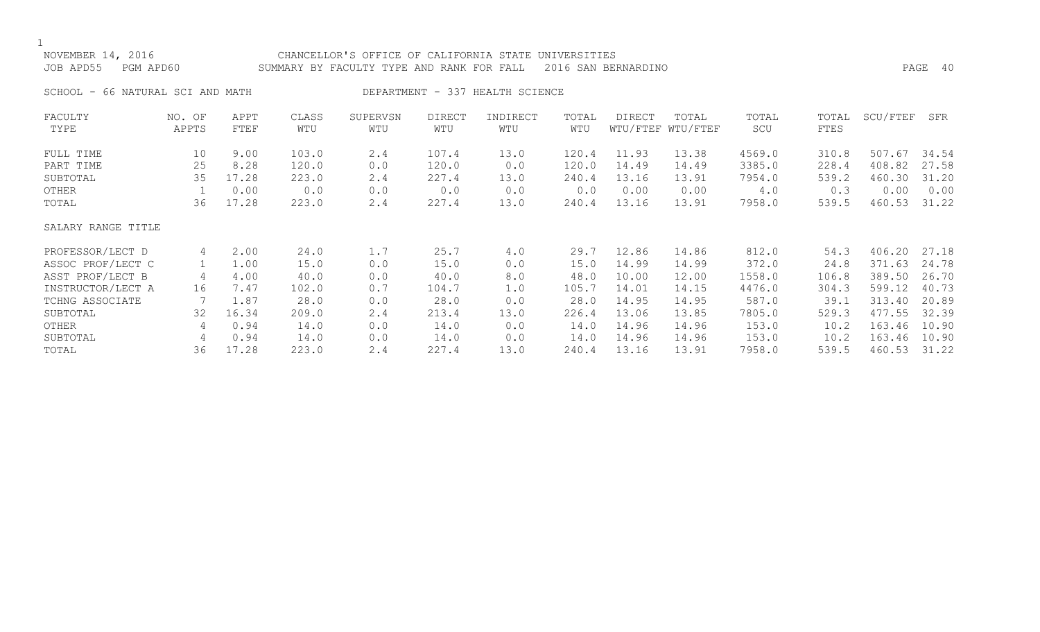$\frac{1}{N}$ 

| NOVEMBER 14, 2016<br>JOB APD55   | PGM APD60       |              |              | CHANCELLOR'S OFFICE OF CALIFORNIA STATE UNIVERSITIES<br>SUMMARY BY FACULTY TYPE AND RANK FOR FALL |               |                                 |              | 2016 SAN BERNARDINO |                            |              |               |          | PAGE 40 |
|----------------------------------|-----------------|--------------|--------------|---------------------------------------------------------------------------------------------------|---------------|---------------------------------|--------------|---------------------|----------------------------|--------------|---------------|----------|---------|
| SCHOOL - 66 NATURAL SCI AND MATH |                 |              |              |                                                                                                   |               | DEPARTMENT - 337 HEALTH SCIENCE |              |                     |                            |              |               |          |         |
| FACULTY<br>TYPE                  | NO. OF<br>APPTS | APPT<br>FTEF | CLASS<br>WTU | SUPERVSN<br>WTU                                                                                   | DIRECT<br>WTU | INDIRECT<br>WTU                 | TOTAL<br>WTU | DIRECT              | TOTAL<br>WTU/FTEF WTU/FTEF | TOTAL<br>SCU | TOTAL<br>FTES | SCU/FTEF | SFR     |
| FULL TIME                        | 10              | 9.00         | 103.0        | 2.4                                                                                               | 107.4         | 13.0                            | 120.4        | 11.93               | 13.38                      | 4569.0       | 310.8         | 507.67   | 34.54   |
| PART TIME                        | 25              | 8.28         | 120.0        | 0.0                                                                                               | 120.0         | 0.0                             | 120.0        | 14.49               | 14.49                      | 3385.0       | 228.4         | 408.82   | 27.58   |
| SUBTOTAL                         | 35              | 17.28        | 223.0        | 2.4                                                                                               | 227.4         | 13.0                            | 240.4        | 13.16               | 13.91                      | 7954.0       | 539.2         | 460.30   | 31.20   |
| OTHER                            |                 | 0.00         | 0.0          | 0.0                                                                                               | 0.0           | 0.0                             | 0.0          | 0.00                | 0.00                       | 4.0          | 0.3           | 0.00     | 0.00    |
| TOTAL                            | 36              | 17.28        | 223.0        | 2.4                                                                                               | 227.4         | 13.0                            | 240.4        | 13.16               | 13.91                      | 7958.0       | 539.5         | 460.53   | 31.22   |

SALARY RANGE TITLE

| PROFESSOR/LECT D  | 4   | 2.00        | 24.0  |     | 25.7  | 4.0  | 29.7  | 12.86 | 14.86 | 812.0  | 54.3  | 406.20 27.18 |       |
|-------------------|-----|-------------|-------|-----|-------|------|-------|-------|-------|--------|-------|--------------|-------|
| ASSOC PROF/LECT C |     | 1.00        | 15.0  | 0.0 | 15.0  | 0.0  | 15.0  | 14.99 | 14.99 | 372.0  | 24.8  | 371.63       | 24.78 |
| ASST PROF/LECT B  |     | 4.00        | 40.0  | 0.0 | 40.0  | 8.0  | 48.0  | 10.00 | 12.00 | 1558.0 | 106.8 | 389.50       | 26.70 |
| INSTRUCTOR/LECT A | 16  | 7.47        | 102.0 | 0.7 | 104.7 | 1.0  | 105.7 | 14.01 | 14.15 | 4476.0 | 304.3 | 599.12 40.73 |       |
| TCHNG ASSOCIATE   |     | $\perp$ .87 | 28.0  | 0.0 | 28.0  | 0.0  | 28.0  | 14.95 | 14.95 | 587.0  | 39.1  | 313.40       | 20.89 |
| SUBTOTAL          | 32  | 16.34       | 209.0 | 2.4 | 213.4 | 13.0 | 226.4 | 13.06 | 13.85 | 7805.0 | 529.3 | 477.55 32.39 |       |
| OTHER             | 4   | 0.94        | 14.0  | 0.0 | 14.0  | 0.0  | 14.0  | 14.96 | 14.96 | 153.0  | 10.2  | 163.46       | 10.90 |
| SUBTOTAL          | 4   | 0.94        | 14.0  | 0.0 | 14.0  | 0.0  | 14.0  | 14.96 | 14.96 | 153.0  | 10.2  | 163.46       | 10.90 |
| TOTAL             | 36. | 17.28       | 223.0 | 2.4 | 227.4 | 13.0 | 240.4 | 13.16 | 13.91 | 7958.0 | 539.5 | 460.53       | 31.22 |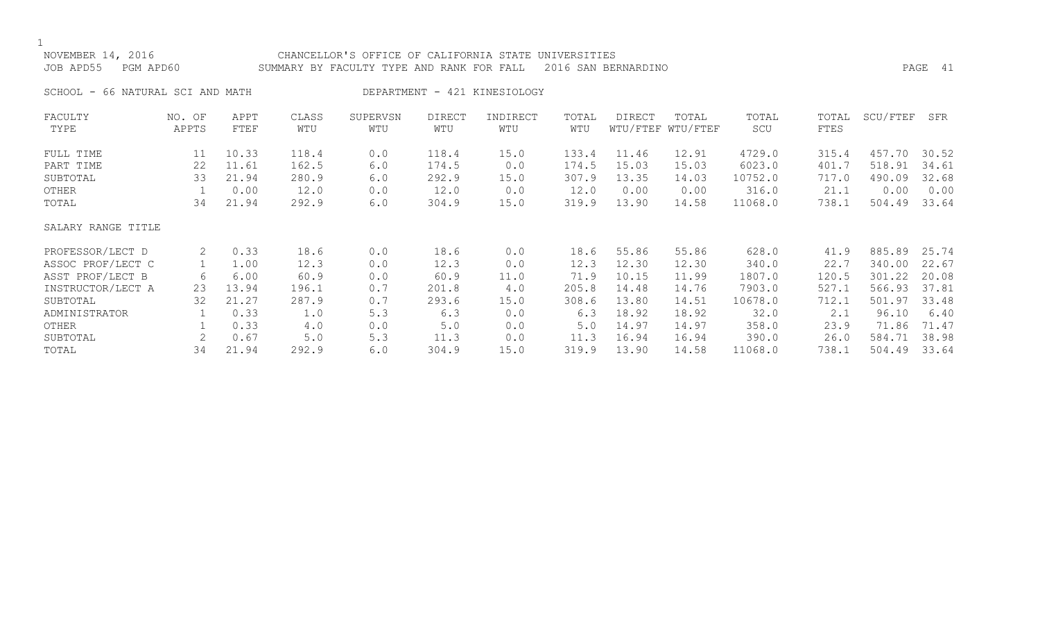### NOVEMBER 14, 2016 CHANCELLOR'S OFFICE OF CALIFORNIA STATE UNIVERSITIES JOB APD55 PGM APD60 SUMMARY BY FACULTY TYPE AND RANK FOR FALL 2016 SAN BERNARDINO PAGE 41

SCHOOL - 66 NATURAL SCI AND MATH DEPARTMENT - 421 KINESIOLOGY

| FACULTY            | NO. OF         | APPT  | CLASS | SUPERVSN | <b>DIRECT</b> | INDIRECT | TOTAL | <b>DIRECT</b> | TOTAL             | TOTAL   | TOTAL | SCU/FTEF | SFR   |
|--------------------|----------------|-------|-------|----------|---------------|----------|-------|---------------|-------------------|---------|-------|----------|-------|
| TYPE               | APPTS          | FTEF  | WTU   | WTU      | WTU           | WTU      | WTU   |               | WTU/FTEF WTU/FTEF | SCU     | FTES  |          |       |
| FULL TIME          | 11             | 10.33 | 118.4 | 0.0      | 118.4         | 15.0     | 133.4 | 11.46         | 12.91             | 4729.0  | 315.4 | 457.70   | 30.52 |
| PART TIME          | 22             | 11.61 | 162.5 | 6.0      | 174.5         | 0.0      | 174.5 | 15.03         | 15.03             | 6023.0  | 401.7 | 518.91   | 34.61 |
| SUBTOTAL           | 33             | 21.94 | 280.9 | 6.0      | 292.9         | 15.0     | 307.9 | 13.35         | 14.03             | 10752.0 | 717.0 | 490.09   | 32.68 |
| OTHER              |                | 0.00  | 12.0  | 0.0      | 12.0          | 0.0      | 12.0  | 0.00          | 0.00              | 316.0   | 21.1  | 0.00     | 0.00  |
| TOTAL              | 34             | 21.94 | 292.9 | 6.0      | 304.9         | 15.0     | 319.9 | 13.90         | 14.58             | 11068.0 | 738.1 | 504.49   | 33.64 |
| SALARY RANGE TITLE |                |       |       |          |               |          |       |               |                   |         |       |          |       |
| PROFESSOR/LECT D   | 2              | 0.33  | 18.6  | 0.0      | 18.6          | 0.0      | 18.6  | 55.86         | 55.86             | 628.0   | 41.9  | 885.89   | 25.74 |
| ASSOC PROF/LECT C  |                | 1.00  | 12.3  | 0.0      | 12.3          | 0.0      | 12.3  | 12.30         | 12.30             | 340.0   | 22.7  | 340.00   | 22.67 |
| ASST PROF/LECT B   | 6              | 6.00  | 60.9  | 0.0      | 60.9          | 11.0     | 71.9  | 10.15         | 11.99             | 1807.0  | 120.5 | 301.22   | 20.08 |
| INSTRUCTOR/LECT A  | 23             | 13.94 | 196.1 | 0.7      | 201.8         | 4.0      | 205.8 | 14.48         | 14.76             | 7903.0  | 527.1 | 566.93   | 37.81 |
| SUBTOTAL           | 32             | 21.27 | 287.9 | 0.7      | 293.6         | 15.0     | 308.6 | 13.80         | 14.51             | 10678.0 | 712.1 | 501.97   | 33.48 |
| ADMINISTRATOR      |                | 0.33  | 1.0   | 5.3      | 6.3           | 0.0      | 6.3   | 18.92         | 18.92             | 32.0    | 2.1   | 96.10    | 6.40  |
| OTHER              |                | 0.33  | 4.0   | 0.0      | 5.0           | 0.0      | 5.0   | 14.97         | 14.97             | 358.0   | 23.9  | 71.86    | 71.47 |
| SUBTOTAL           | $\overline{2}$ | 0.67  | 5.0   | 5.3      | 11.3          | 0.0      | 11.3  | 16.94         | 16.94             | 390.0   | 26.0  | 584.71   | 38.98 |
| TOTAL              | 34             | 21.94 | 292.9 | 6.0      | 304.9         | 15.0     | 319.9 | 13.90         | 14.58             | 11068.0 | 738.1 | 504.49   | 33.64 |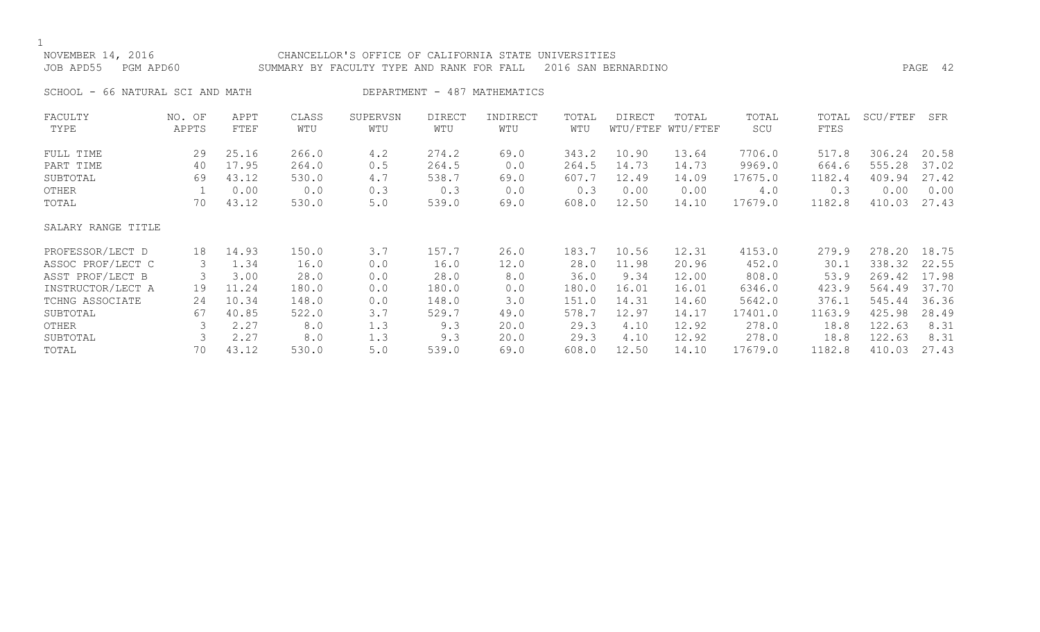| NOVEMBER 14, 2016<br>JOB APD55     | PGM APD60       |                         |                         | CHANCELLOR'S OFFICE OF CALIFORNIA STATE UNIVERSITIES<br>SUMMARY BY FACULTY TYPE AND RANK FOR FALL |                         |                     |                         | 2016 SAN BERNARDINO     |                            |                             |                          |                            | PAGE 42                 |
|------------------------------------|-----------------|-------------------------|-------------------------|---------------------------------------------------------------------------------------------------|-------------------------|---------------------|-------------------------|-------------------------|----------------------------|-----------------------------|--------------------------|----------------------------|-------------------------|
| SCHOOL - 66 NATURAL SCI AND MATH   |                 |                         |                         | DEPARTMENT                                                                                        |                         | - 487 MATHEMATICS   |                         |                         |                            |                             |                          |                            |                         |
| FACULTY<br>TYPE                    | NO. OF<br>APPTS | APPT<br>FTEF            | CLASS<br>WTU            | SUPERVSN<br>WTU                                                                                   | <b>DIRECT</b><br>WTU    | INDIRECT<br>WTU     | TOTAL<br>WTU            | <b>DIRECT</b>           | TOTAL<br>WTU/FTEF WTU/FTEF | TOTAL<br>SCU                | TOTAL<br>FTES            | SCU/FTEF                   | SFR                     |
| FULL TIME<br>PART TIME<br>SUBTOTAL | 29<br>40<br>69  | 25.16<br>17.95<br>43.12 | 266.0<br>264.0<br>530.0 | 4.2<br>0.5<br>4.7                                                                                 | 274.2<br>264.5<br>538.7 | 69.0<br>0.0<br>69.0 | 343.2<br>264.5<br>607.7 | 10.90<br>14.73<br>12.49 | 13.64<br>14.73<br>14.09    | 7706.0<br>9969.0<br>17675.0 | 517.8<br>664.6<br>1182.4 | 306.24<br>555.28<br>409.94 | 20.58<br>37.02<br>27.42 |
| OTHER                              |                 | 0.00                    | 0.0                     | 0.3                                                                                               | 0.3                     | 0.0                 | 0.3                     | 0.00                    | 0.00                       | 4.0                         | 0.3                      | 0.00                       | 0.00                    |

OTHER 1 0.00 0.0 0.3 0.3 0.0 0.3 0.00 0.00 4.0 0.3 0.00 0.00

17679.0 1182.8 410.03 27.43

| SALARY RANGE TITLE |               |       |       |     |       |      |       |       |       |         |        |              |       |
|--------------------|---------------|-------|-------|-----|-------|------|-------|-------|-------|---------|--------|--------------|-------|
| PROFESSOR/LECT D   | 18            | 14.93 | 150.0 | 3.7 | 157.7 | 26.0 | 183.7 | 10.56 | 12.31 | 4153.0  | 279.9  | 278.20       | 18.75 |
| ASSOC PROF/LECT C  | 3             | 1.34  | 16.0  | 0.0 | 16.0  | 12.0 | 28.0  | 11.98 | 20.96 | 452.0   | 30.1   | 338.32 22.55 |       |
| ASST PROF/LECT B   | 3             | 3.00  | 28.0  | 0.0 | 28.0  | 8.0  | 36.0  | 9.34  | 12.00 | 808.0   | 53.9   | 269.42 17.98 |       |
| INSTRUCTOR/LECT A  | 19            | 11.24 | 180.0 | 0.0 | 180.0 | 0.0  | 180.0 | 16.01 | 16.01 | 6346.0  | 423.9  | 564.49 37.70 |       |
| TCHNG ASSOCIATE    | 24            | 10.34 | 148.0 | 0.0 | 148.0 | 3.0  | 151.0 | 14.31 | 14.60 | 5642.0  | 376.1  | 545.44       | 36.36 |
| SUBTOTAL           | 67            | 40.85 | 522.0 | 3.7 | 529.7 | 49.0 | 578.7 | 12.97 | 14.17 | 17401.0 | 1163.9 | 425.98       | 28.49 |
| OTHER              | $\mathcal{B}$ | 2.27  | 8.0   | 1.3 | 9.3   | 20.0 | 29.3  | 4.10  | 12.92 | 278.0   | 18.8   | 122.63       | 8.31  |
| SUBTOTAL           |               | 2.27  | 8.0   | 1.3 | 9.3   | 20.0 | 29.3  | 4.10  | 12.92 | 278.0   | 18.8   | 122.63       | 8.31  |
| TOTAL              | 70            | 43.12 | 530.0 | 5.0 | 539.0 | 69.0 | 608.0 | 12.50 | 14.10 | 17679.0 | 1182.8 | 410.03       | 27.43 |
|                    |               |       |       |     |       |      |       |       |       |         |        |              |       |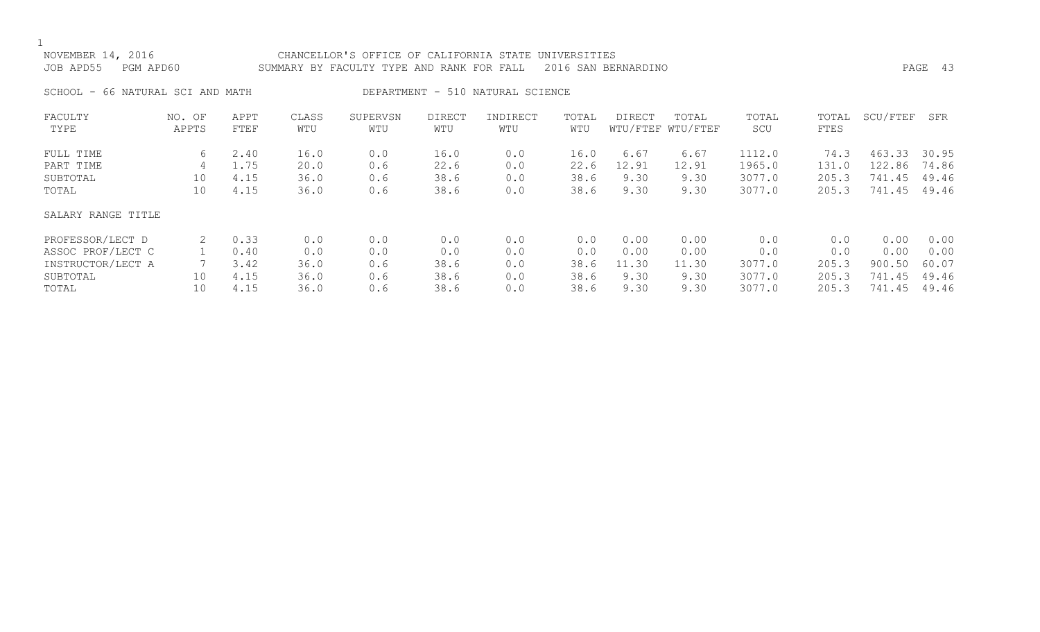| 2016<br>NOVEMBER 14,   | CHANCELLOR'S OFFICE OF CALIFORNIA STATE UNIVERSITIES          |      |  |
|------------------------|---------------------------------------------------------------|------|--|
| JOB APD55<br>PGM APD60 | SUMMARY BY FACULTY TYPE AND RANK FOR FALL 2016 SAN BERNARDINO | PAGE |  |
|                        |                                                               |      |  |

SCHOOL - 66 NATURAL SCI AND MATH DEPARTMENT - 510 NATURAL SCIENCE

| FACULTY            | NO. OF | APPT | CLASS | SUPERVSN | <b>DIRECT</b> | INDIRECT | TOTAL | DIRECT | TOTAL             | TOTAL  | TOTAL | SCU/FTEF | SFR   |
|--------------------|--------|------|-------|----------|---------------|----------|-------|--------|-------------------|--------|-------|----------|-------|
| TYPE               | APPTS  | FTEF | WTU   | WTU      | WTU           | WTU      | WTU   |        | WTU/FTEF WTU/FTEF | SCU    | FTES  |          |       |
|                    |        |      |       |          |               |          |       |        |                   |        |       |          |       |
| FULL TIME          | 6      | 2.40 | 16.0  | 0.0      | 16.0          | 0.0      | 16.0  | 6.67   | 6.67              | 1112.0 | 74.3  | 463.33   | 30.95 |
| PART TIME          | 4      | 1.75 | 20.0  | 0.6      | 22.6          | 0.0      | 22.6  | 12.91  | 12.91             | 1965.0 | 131.0 | 122.86   | 74.86 |
| SUBTOTAL           | 10     | 4.15 | 36.0  | 0.6      | 38.6          | 0.0      | 38.6  | 9.30   | 9.30              | 3077.0 | 205.3 | 741.45   | 49.46 |
| TOTAL              | 10     | 4.15 | 36.0  | 0.6      | 38.6          | 0.0      | 38.6  | 9.30   | 9.30              | 3077.0 | 205.3 | 741.45   | 49.46 |
| SALARY RANGE TITLE |        |      |       |          |               |          |       |        |                   |        |       |          |       |
| PROFESSOR/LECT D   | 2      | 0.33 | 0.0   | 0.0      | 0.0           | 0.0      | 0.0   | 0.00   | 0.00              | 0.0    | 0.0   | 0.00     | 0.00  |
| ASSOC PROF/LECT C  |        | 0.40 | 0.0   | 0.0      | 0.0           | 0.0      | 0.0   | 0.00   | 0.00              | 0.0    | 0.0   | 0.00     | 0.00  |
| INSTRUCTOR/LECT A  |        | 3.42 | 36.0  | 0.6      | 38.6          | 0.0      | 38.6  | 11.30  | 11.30             | 3077.0 | 205.3 | 900.50   | 60.07 |
| SUBTOTAL           | 10     | 4.15 | 36.0  | 0.6      | 38.6          | 0.0      | 38.6  | 9.30   | 9.30              | 3077.0 | 205.3 | 741.45   | 49.46 |
| TOTAL              | 10     | 4.15 | 36.0  | 0.6      | 38.6          | 0.0      | 38.6  | 9.30   | 9.30              | 3077.0 | 205.3 | 741.45   | 49.46 |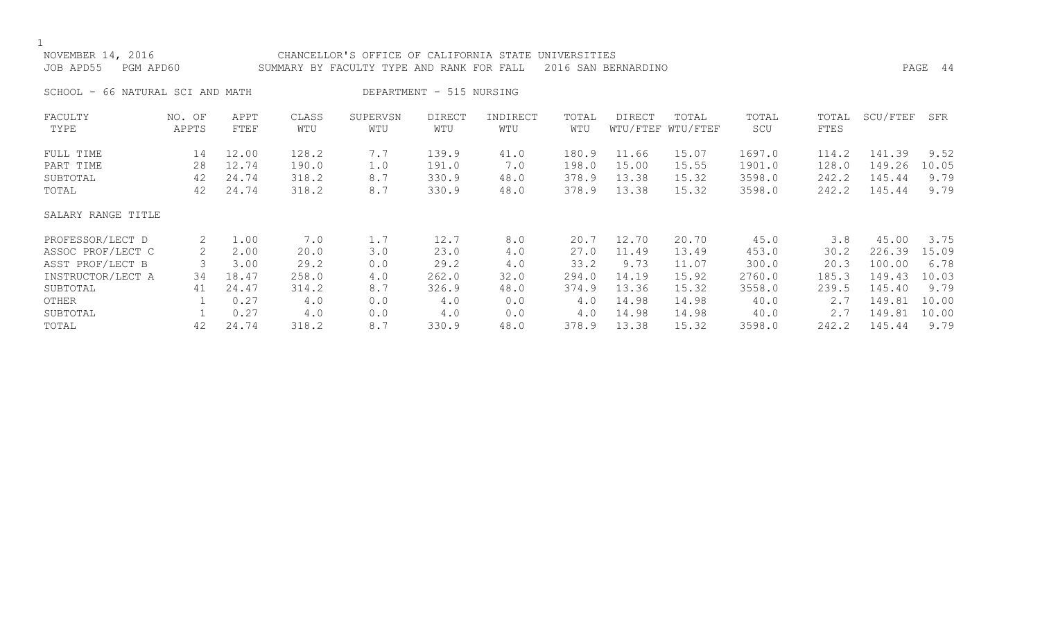## NOVEMBER 14, 2016 CHANCELLOR'S OFFICE OF CALIFORNIA STATE UNIVERSITIES JOB APD55 PGM APD60 SUMMARY BY FACULTY TYPE AND RANK FOR FALL 2016 SAN BERNARDINO PAGE 44 SCHOOL - 66 NATURAL SCI AND MATH DEPARTMENT - 515 NURSING FACULTY NO. OF APPT CLASS SUPERVSN DIRECT INDIRECT TOTAL DIRECT TOTAL TOTAL TOTAL SCU/FTEF SFR TYPE APPTS FTEF WTU WTU WTU WTU WTU WTU/FTEF WTU/FTEF SCU FTES FULL TIME 14 12.00 128.2 7.7 139.9 41.0 180.9 11.66 15.07 1697.0 114.2 141.39 9.52 PART TIME 28 12.74 190.0 1.0 191.0 7.0 198.0 15.00 15.55 1901.0 128.0 149.26 10.05 SUBTOTAL 42 24.74 318.2 8.7 330.9 48.0 378.9 13.38 15.32 3598.0 242.2 145.44 9.79 TOTAL 42 24.74 318.2 8.7 330.9 48.0 378.9 13.38 15.32 3598.0 242.2 145.44 9.79 SALARY RANGE TITLE PROFESSOR/LECT D 2 1.00 7.0 1.7 12.7 8.0 20.7 12.70 20.70 45.0 3.8 45.00 3.75 ASSOC PROF/LECT C 2 2.00 20.0 3.0 23.0 4.0 27.0 11.49 13.49 453.0 30.2 226.39 15.09 ASST PROF/LECT B 3 3.00 29.2 0.0 29.2 4.0 33.2 9.73 11.07 300.0 20.3 100.00 6.78 INSTRUCTOR/LECT A 34 18.47 258.0 4.0 262.0 32.0 294.0 14.19 15.92 2760.0 185.3 149.43 10.03 SUBTOTAL 41 24.47 314.2 8.7 326.9 48.0 374.9 13.36 15.32 3558.0 239.5 145.40 9.79 OTHER 1 0.27 4.0 0.0 4.0 0.0 4.0 14.98 14.98 40.0 2.7 149.81 10.00 SUBTOTAL 1 0.27 4.0 0.0 4.0 0.0 4.0 14.98 14.98 40.0 2.7 149.81 10.00

TOTAL 42 24.74 318.2 8.7 330.9 48.0 378.9 13.38 15.32 3598.0 242.2 145.44 9.79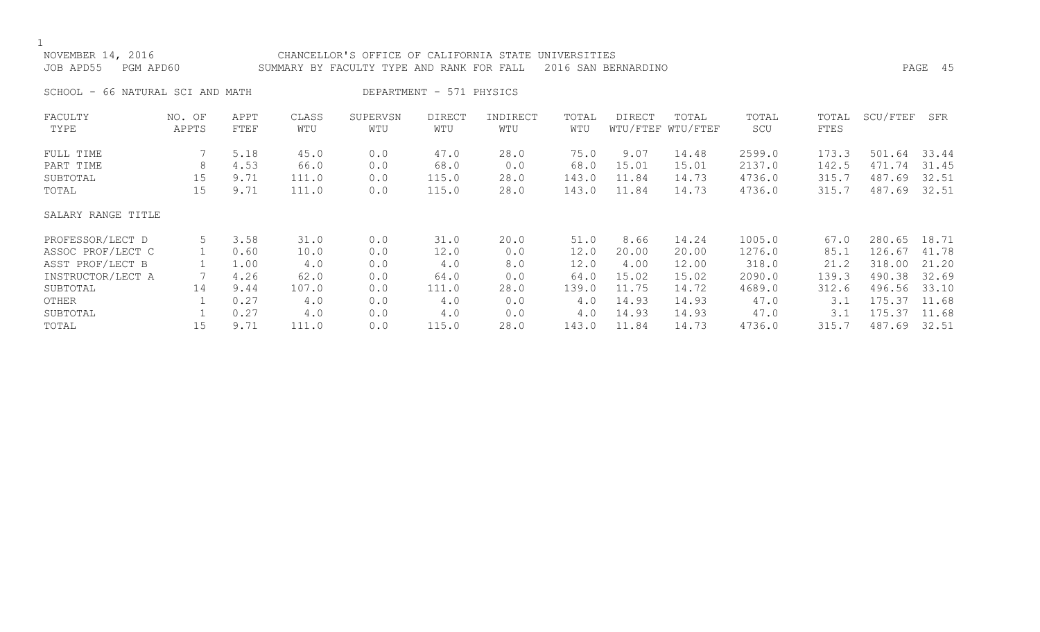## NOVEMBER 14, 2016 CHANCELLOR'S OFFICE OF CALIFORNIA STATE UNIVERSITIES JOB APD55 PGM APD60 SUMMARY BY FACULTY TYPE AND RANK FOR FALL 2016 SAN BERNARDINO PAGE 45 SCHOOL - 66 NATURAL SCI AND MATH DEPARTMENT - 571 PHYSICS FACULTY NO. OF APPT CLASS SUPERVSN DIRECT INDIRECT TOTAL DIRECT TOTAL TOTAL TOTAL SCU/FTEF SFR TYPE APPTS FTEF WTU WTU WTU WTU WTU WTU/FTEF WTU/FTEF SCU FTES FULL TIME 7 5.18 45.0 0.0 47.0 28.0 75.0 9.07 14.48 2599.0 173.3 501.64 33.44 PART TIME 8 4.53 66.0 0.0 68.0 0.0 68.0 15.01 15.01 2137.0 142.5 471.74 31.45 SUBTOTAL 15 9.71 111.0 0.0 115.0 28.0 143.0 11.84 14.73 4736.0 315.7 487.69 32.51 TOTAL 15 9.71 111.0 0.0 115.0 28.0 143.0 11.84 14.73 4736.0 315.7 487.69 32.51 SALARY RANGE TITLE PROFESSOR/LECT D 5 3.58 31.0 0.0 31.0 20.0 51.0 8.66 14.24 1005.0 67.0 280.65 18.71 ASSOC PROF/LECT C 1 0.60 10.0 0.0 12.0 0.0 12.0 20.00 20.00 1276.0 85.1 126.67 41.78 ASST PROF/LECT B 1 1.00 4.0 0.0 4.0 8.0 12.0 4.00 12.00 318.0 21.2 318.00 21.20 INSTRUCTOR/LECT A 7 4.26 62.0 0.0 64.0 0.0 64.0 15.02 15.02 2090.0 139.3 490.38 32.69 SUBTOTAL 14 9.44 107.0 0.0 111.0 28.0 139.0 11.75 14.72 4689.0 312.6 496.56 33.10 OTHER 1 0.27 4.0 0.0 4.0 0.0 4.0 14.93 14.93 47.0 3.1 175.37 11.68 SUBTOTAL 1 0.27 4.0 0.0 4.0 0.0 4.0 14.93 14.93 47.0 3.1 175.37 11.68

TOTAL 15 9.71 111.0 0.0 115.0 28.0 143.0 11.84 14.73 4736.0 315.7 487.69 32.51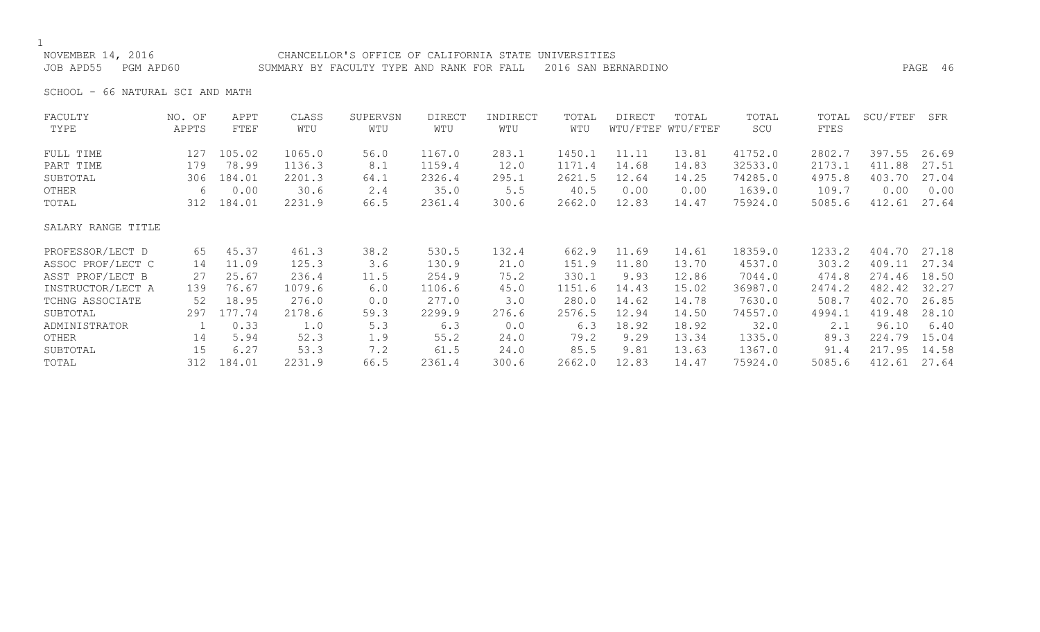NOVEMBER 14, 2016 CHANCELLOR'S OFFICE OF CALIFORNIA STATE UNIVERSITIES JOB APD55 PGM APD60 SUMMARY BY FACULTY TYPE AND RANK FOR FALL 2016 SAN BERNARDINO PAGE 46

SCHOOL - 66 NATURAL SCI AND MATH

| FACULTY            | NO. OF | APPT   | CLASS  | SUPERVSN | <b>DIRECT</b> | INDIRECT | TOTAL  | DIRECT | TOTAL             | TOTAL   | TOTAL  | SCU/FTEF | SFR   |
|--------------------|--------|--------|--------|----------|---------------|----------|--------|--------|-------------------|---------|--------|----------|-------|
| TYPE               | APPTS  | FTEF   | WTU    | WTU      | WTU           | WTU      | WTU    |        | WTU/FTEF WTU/FTEF | SCU     | FTES   |          |       |
| FULL TIME          | 127    | 105.02 | 1065.0 | 56.0     | 1167.0        | 283.1    | 1450.1 | 11.11  | 13.81             | 41752.0 | 2802.7 | 397.55   | 26.69 |
| PART TIME          | 179    | 78.99  | 1136.3 | 8.1      | 1159.4        | 12.0     | 1171.4 | 14.68  | 14.83             | 32533.0 | 2173.1 | 411.88   | 27.51 |
| SUBTOTAL           | 306    | 184.01 | 2201.3 | 64.1     | 2326.4        | 295.1    | 2621.5 | 12.64  | 14.25             | 74285.0 | 4975.8 | 403.70   | 27.04 |
| OTHER              | 6      | 0.00   | 30.6   | 2.4      | 35.0          | 5.5      | 40.5   | 0.00   | 0.00              | 1639.0  | 109.7  | 0.00     | 0.00  |
| TOTAL              | 312    | 184.01 | 2231.9 | 66.5     | 2361.4        | 300.6    | 2662.0 | 12.83  | 14.47             | 75924.0 | 5085.6 | 412.61   | 27.64 |
| SALARY RANGE TITLE |        |        |        |          |               |          |        |        |                   |         |        |          |       |
| PROFESSOR/LECT D   | 65     | 45.37  | 461.3  | 38.2     | 530.5         | 132.4    | 662.9  | 11.69  | 14.61             | 18359.0 | 1233.2 | 404.70   | 27.18 |
| ASSOC PROF/LECT C  | 14     | 11.09  | 125.3  | 3.6      | 130.9         | 21.0     | 151.9  | 11.80  | 13.70             | 4537.0  | 303.2  | 409.11   | 27.34 |
| ASST PROF/LECT B   | 27     | 25.67  | 236.4  | 11.5     | 254.9         | 75.2     | 330.1  | 9.93   | 12.86             | 7044.0  | 474.8  | 274.46   | 18.50 |
| INSTRUCTOR/LECT A  | 139    | 76.67  | 1079.6 | 6.0      | 1106.6        | 45.0     | 1151.6 | 14.43  | 15.02             | 36987.0 | 2474.2 | 482.42   | 32.27 |
| TCHNG ASSOCIATE    | 52     | 18.95  | 276.0  | 0.0      | 277.0         | 3.0      | 280.0  | 14.62  | 14.78             | 7630.0  | 508.7  | 402.70   | 26.85 |
| SUBTOTAL           | 297    | 177.74 | 2178.6 | 59.3     | 2299.9        | 276.6    | 2576.5 | 12.94  | 14.50             | 74557.0 | 4994.1 | 419.48   | 28.10 |
| ADMINISTRATOR      |        | 0.33   | 1.0    | 5.3      | 6.3           | 0.0      | 6.3    | 18.92  | 18.92             | 32.0    | 2.1    | 96.10    | 6.40  |
| OTHER              | 14     | 5.94   | 52.3   | 1.9      | 55.2          | 24.0     | 79.2   | 9.29   | 13.34             | 1335.0  | 89.3   | 224.79   | 15.04 |
| SUBTOTAL           | 15     | 6.27   | 53.3   | 7.2      | 61.5          | 24.0     | 85.5   | 9.81   | 13.63             | 1367.0  | 91.4   | 217.95   | 14.58 |
| TOTAL              | 312    | 184.01 | 2231.9 | 66.5     | 2361.4        | 300.6    | 2662.0 | 12.83  | 14.47             | 75924.0 | 5085.6 | 412.61   | 27.64 |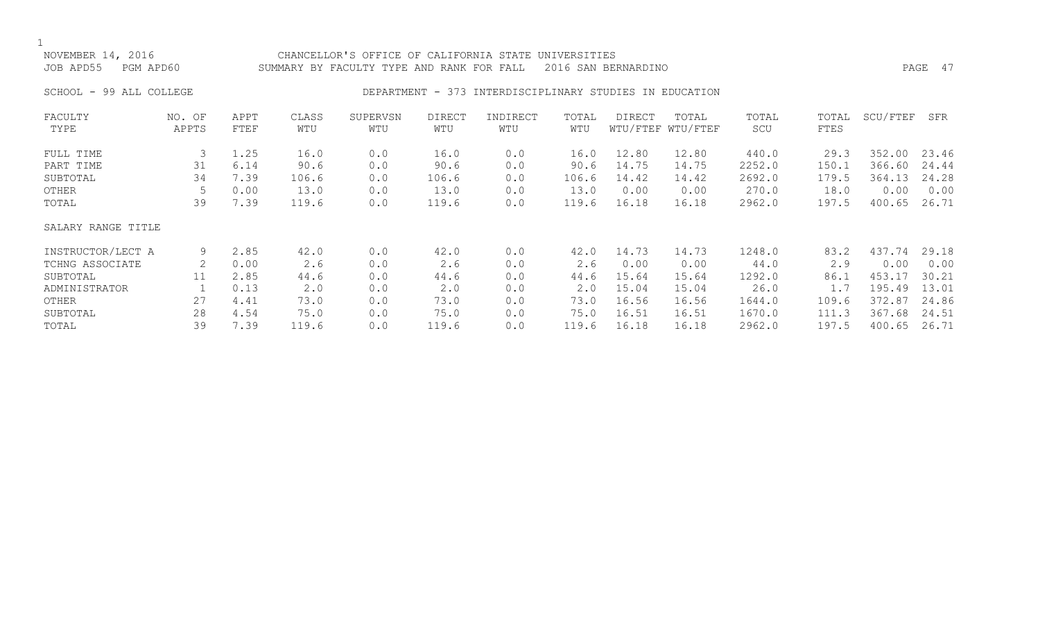#### NOVEMBER 14, 2016 CHANCELLOR'S OFFICE OF CALIFORNIA STATE UNIVERSITIES JOB APD55 PGM APD60 SUMMARY BY FACULTY TYPE AND RANK FOR FALL 2016 SAN BERNARDINO PAGE 47

#### SCHOOL - 99 ALL COLLEGE THE RESOLUTION DEPARTMENT - 373 INTERDISCIPLINARY STUDIES IN EDUCATION

| FACULTY            | NO. OF | APPT | CLASS | SUPERVSN | <b>DIRECT</b> | INDIRECT | TOTAL | <b>DIRECT</b> | TOTAL             | TOTAL  | TOTAL | SCU/FTEF | SFR   |
|--------------------|--------|------|-------|----------|---------------|----------|-------|---------------|-------------------|--------|-------|----------|-------|
| TYPE               | APPTS  | FTEF | WTU   | WTU      | WTU           | WTU      | WTU   |               | WTU/FTEF WTU/FTEF | SCU    | FTES  |          |       |
| FULL TIME          | 3      | 1.25 | 16.0  | 0.0      | 16.0          | 0.0      | 16.0  | 12.80         | 12.80             | 440.0  | 29.3  | 352.00   | 23.46 |
| PART TIME          | 31     | 6.14 | 90.6  | 0.0      | 90.6          | 0.0      | 90.6  | 14.75         | 14.75             | 2252.0 | 150.1 | 366.60   | 24.44 |
| SUBTOTAL           | 34     | 7.39 | 106.6 | 0.0      | 106.6         | 0.0      | 106.6 | 14.42         | 14.42             | 2692.0 | 179.5 | 364.13   | 24.28 |
| OTHER              |        | 0.00 | 13.0  | 0.0      | 13.0          | 0.0      | 13.0  | 0.00          | 0.00              | 270.0  | 18.0  | 0.00     | 0.00  |
| TOTAL              | 39     | 7.39 | 119.6 | 0.0      | 119.6         | 0.0      | 119.6 | 16.18         | 16.18             | 2962.0 | 197.5 | 400.65   | 26.71 |
| SALARY RANGE TITLE |        |      |       |          |               |          |       |               |                   |        |       |          |       |
| INSTRUCTOR/LECT A  | 9      | 2.85 | 42.0  | 0.0      | 42.0          | 0.0      | 42.0  | 14.73         | 14.73             | 1248.0 | 83.2  | 437.74   | 29.18 |
| TCHNG ASSOCIATE    | 2      | 0.00 | 2.6   | 0.0      | 2.6           | 0.0      | 2.6   | 0.00          | 0.00              | 44.0   | 2.9   | 0.00     | 0.00  |
| SUBTOTAL           | 11     | 2.85 | 44.6  | 0.0      | 44.6          | 0.0      | 44.6  | 15.64         | 15.64             | 1292.0 | 86.1  | 453.17   | 30.21 |
| ADMINISTRATOR      |        | 0.13 | 2.0   | 0.0      | 2.0           | 0.0      | 2.0   | 15.04         | 15.04             | 26.0   | 1.7   | 195.49   | 13.01 |
| OTHER              | 27     | 4.41 | 73.0  | 0.0      | 73.0          | 0.0      | 73.0  | 16.56         | 16.56             | 1644.0 | 109.6 | 372.87   | 24.86 |
| SUBTOTAL           | 28     | 4.54 | 75.0  | 0.0      | 75.0          | 0.0      | 75.0  | 16.51         | 16.51             | 1670.0 | 111.3 | 367.68   | 24.51 |
| TOTAL              | 39     | 7.39 | 119.6 | 0.0      | 119.6         | 0.0      | 119.6 | 16.18         | 16.18             | 2962.0 | 197.5 | 400.65   | 26.71 |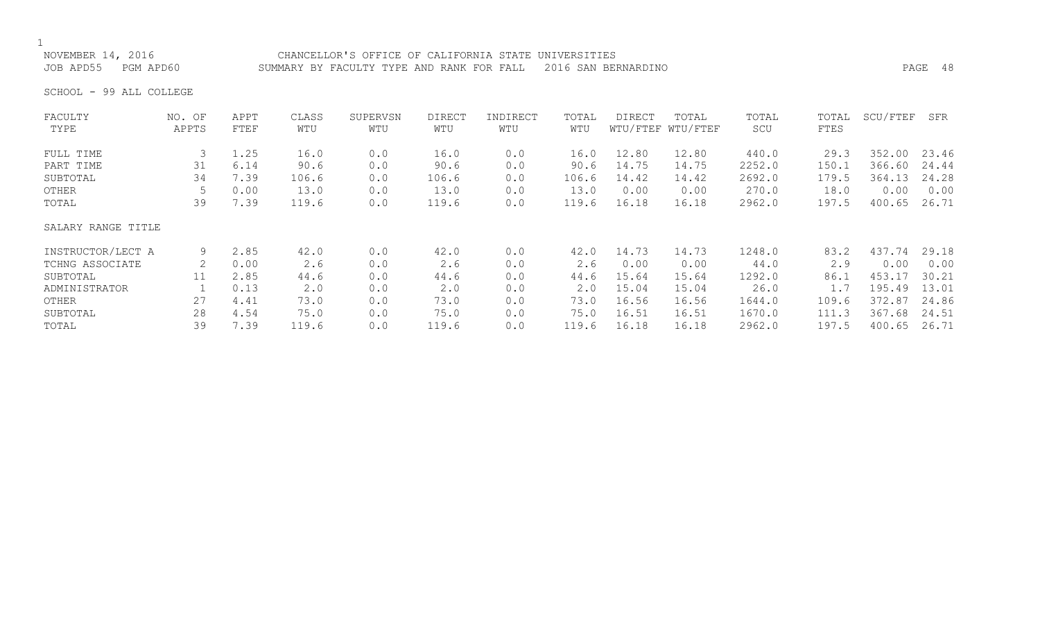## NOVEMBER 14, 2016 CHANCELLOR'S OFFICE OF CALIFORNIA STATE UNIVERSITIES

JOB APD55 PGM APD60 SUMMARY BY FACULTY TYPE AND RANK FOR FALL 2016 SAN BERNARDINO PAGE 48

SCHOOL - 99 ALL COLLEGE

| FACULTY            | NO. OF | APPT | CLASS | SUPERVSN | <b>DIRECT</b> | INDIRECT | TOTAL | DIRECT | TOTAL             | TOTAL  | TOTAL | SCU/FTEF | SFR   |
|--------------------|--------|------|-------|----------|---------------|----------|-------|--------|-------------------|--------|-------|----------|-------|
| TYPE               | APPTS  | FTEF | WTU   | WTU      | WTU           | WTU      | WTU   |        | WTU/FTEF WTU/FTEF | SCU    | FTES  |          |       |
| FULL TIME          | 3      | 1.25 | 16.0  | 0.0      | 16.0          | 0.0      | 16.0  | 12.80  | 12.80             | 440.0  | 29.3  | 352.00   | 23.46 |
| PART TIME          | 31     | 6.14 | 90.6  | 0.0      | 90.6          | 0.0      | 90.6  | 14.75  | 14.75             | 2252.0 | 150.1 | 366.60   | 24.44 |
| SUBTOTAL           | 34     | 7.39 | 106.6 | 0.0      | 106.6         | 0.0      | 106.6 | 14.42  | 14.42             | 2692.0 | 179.5 | 364.13   | 24.28 |
| OTHER              |        | 0.00 | 13.0  | 0.0      | 13.0          | 0.0      | 13.0  | 0.00   | 0.00              | 270.0  | 18.0  | 0.00     | 0.00  |
| TOTAL              | 39     | 7.39 | 119.6 | 0.0      | 119.6         | 0.0      | 119.6 | 16.18  | 16.18             | 2962.0 | 197.5 | 400.65   | 26.71 |
| SALARY RANGE TITLE |        |      |       |          |               |          |       |        |                   |        |       |          |       |
| INSTRUCTOR/LECT A  | 9      | 2.85 | 42.0  | 0.0      | 42.0          | 0.0      | 42.0  | 14.73  | 14.73             | 1248.0 | 83.2  | 437.74   | 29.18 |
| TCHNG ASSOCIATE    | 2      | 0.00 | 2.6   | 0.0      | 2.6           | 0.0      | 2.6   | 0.00   | 0.00              | 44.0   | 2.9   | 0.00     | 0.00  |
| SUBTOTAL           | 11     | 2.85 | 44.6  | 0.0      | 44.6          | 0.0      | 44.6  | 15.64  | 15.64             | 1292.0 | 86.1  | 453.17   | 30.21 |
| ADMINISTRATOR      |        | 0.13 | 2.0   | 0.0      | 2.0           | 0.0      | 2.0   | 15.04  | 15.04             | 26.0   | 1.7   | 195.49   | 13.01 |
| OTHER              | 27     | 4.41 | 73.0  | 0.0      | 73.0          | 0.0      | 73.0  | 16.56  | 16.56             | 1644.0 | 109.6 | 372.87   | 24.86 |
| SUBTOTAL           | 28     | 4.54 | 75.0  | 0.0      | 75.0          | 0.0      | 75.0  | 16.51  | 16.51             | 1670.0 | 111.3 | 367.68   | 24.51 |
| TOTAL              | 39     | 7.39 | 119.6 | 0.0      | 119.6         | 0.0      | 119.6 | 16.18  | 16.18             | 2962.0 | 197.5 | 400.65   | 26.71 |